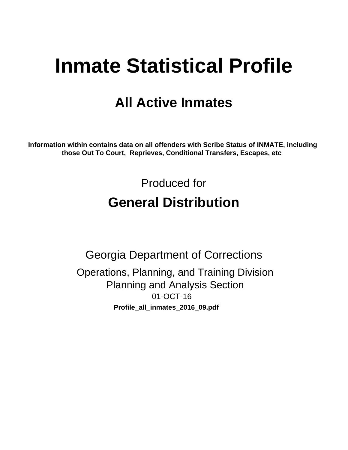# **Inmate Statistical Profile**

## **All Active Inmates**

Information within contains data on all offenders with Scribe Status of INMATE, including those Out To Court, Reprieves, Conditional Transfers, Escapes, etc

> Produced for **General Distribution**

**Georgia Department of Corrections** Operations, Planning, and Training Division **Planning and Analysis Section** 01-OCT-16 Profile\_all\_inmates\_2016\_09.pdf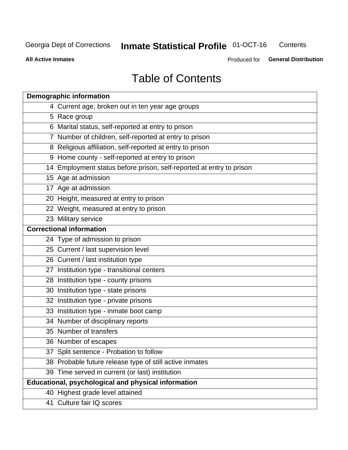#### **Inmate Statistical Profile 01-OCT-16** Contents

**All Active Inmates** 

Produced for General Distribution

## **Table of Contents**

| <b>Demographic information</b>                                       |
|----------------------------------------------------------------------|
| 4 Current age, broken out in ten year age groups                     |
| 5 Race group                                                         |
| 6 Marital status, self-reported at entry to prison                   |
| 7 Number of children, self-reported at entry to prison               |
| 8 Religious affiliation, self-reported at entry to prison            |
| 9 Home county - self-reported at entry to prison                     |
| 14 Employment status before prison, self-reported at entry to prison |
| 15 Age at admission                                                  |
| $17$ Age at admission                                                |
| 20 Height, measured at entry to prison                               |
| 22 Weight, measured at entry to prison                               |
| 23 Military service                                                  |
| <b>Correctional information</b>                                      |
| 24 Type of admission to prison                                       |
| 25 Current / last supervision level                                  |
| 26 Current / last institution type                                   |
| 27 Institution type - transitional centers                           |
| 28 Institution type - county prisons                                 |
| 30 Institution type - state prisons                                  |
| 32 Institution type - private prisons                                |
| 33 Institution type - inmate boot camp                               |
| 34 Number of disciplinary reports                                    |
| 35 Number of transfers                                               |
| 36 Number of escapes                                                 |
| 37 Split sentence - Probation to follow                              |
| 38 Probable future release type of still active inmates              |
| 39 Time served in current (or last) institution                      |
| Educational, psychological and physical information                  |
| 40 Highest grade level attained                                      |
| 41 Culture fair IQ scores                                            |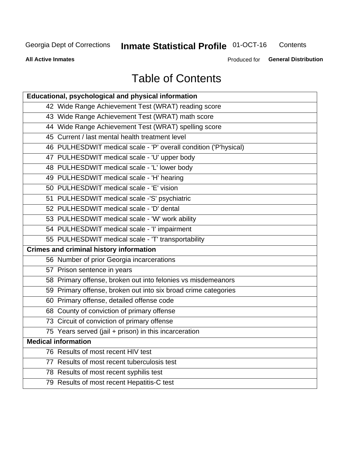#### **Inmate Statistical Profile 01-OCT-16** Contents

**All Active Inmates** 

Produced for General Distribution

## **Table of Contents**

| Educational, psychological and physical information              |
|------------------------------------------------------------------|
| 42 Wide Range Achievement Test (WRAT) reading score              |
| 43 Wide Range Achievement Test (WRAT) math score                 |
| 44 Wide Range Achievement Test (WRAT) spelling score             |
| 45 Current / last mental health treatment level                  |
| 46 PULHESDWIT medical scale - 'P' overall condition ('P'hysical) |
| 47 PULHESDWIT medical scale - 'U' upper body                     |
| 48 PULHESDWIT medical scale - 'L' lower body                     |
| 49 PULHESDWIT medical scale - 'H' hearing                        |
| 50 PULHESDWIT medical scale - 'E' vision                         |
| 51 PULHESDWIT medical scale -'S' psychiatric                     |
| 52 PULHESDWIT medical scale - 'D' dental                         |
| 53 PULHESDWIT medical scale - 'W' work ability                   |
| 54 PULHESDWIT medical scale - 'I' impairment                     |
| 55 PULHESDWIT medical scale - 'T' transportability               |
| <b>Crimes and criminal history information</b>                   |
| 56 Number of prior Georgia incarcerations                        |
| 57 Prison sentence in years                                      |
| 58 Primary offense, broken out into felonies vs misdemeanors     |
| 59 Primary offense, broken out into six broad crime categories   |
| 60 Primary offense, detailed offense code                        |
| 68 County of conviction of primary offense                       |
| 73 Circuit of conviction of primary offense                      |
| 75 Years served (jail + prison) in this incarceration            |
| <b>Medical information</b>                                       |
| 76 Results of most recent HIV test                               |
| 77 Results of most recent tuberculosis test                      |
| 78 Results of most recent syphilis test                          |
| 79 Results of most recent Hepatitis-C test                       |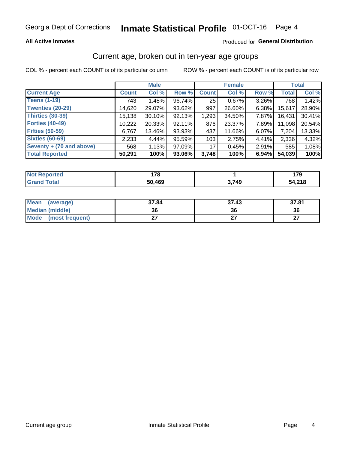#### **Inmate Statistical Profile 01-OCT-16** Page 4

## **All Active Inmates**

## Produced for General Distribution

## Current age, broken out in ten-year age groups

COL % - percent each COUNT is of its particular column

|                          |              | <b>Male</b> |        |              | <b>Female</b> | <b>Total</b> |              |        |
|--------------------------|--------------|-------------|--------|--------------|---------------|--------------|--------------|--------|
| <b>Current Age</b>       | <b>Count</b> | Col %       | Row %  | <b>Count</b> | Col %         | Row %        | <b>Total</b> | Col %  |
| <b>Teens (1-19)</b>      | 743          | 1.48%       | 96.74% | 25           | 0.67%         | 3.26%        | 768          | 1.42%  |
| <b>Twenties (20-29)</b>  | 14,620       | 29.07%      | 93.62% | 997          | 26.60%        | 6.38%        | 15,617       | 28.90% |
| <b>Thirties (30-39)</b>  | 15,138       | 30.10%      | 92.13% | 1,293        | 34.50%        | 7.87%        | 16,431       | 30.41% |
| <b>Forties (40-49)</b>   | 10,222       | 20.33%      | 92.11% | 876          | 23.37%        | 7.89%        | 11,098       | 20.54% |
| <b>Fifties (50-59)</b>   | 6,767        | 13.46%      | 93.93% | 437          | 11.66%        | 6.07%        | 7,204        | 13.33% |
| <b>Sixties (60-69)</b>   | 2,233        | 4.44%       | 95.59% | 103          | 2.75%         | 4.41%        | 2,336        | 4.32%  |
| Seventy + (70 and above) | 568          | 1.13%       | 97.09% | 17           | 0.45%         | 2.91%        | 585          | 1.08%  |
| <b>Total Reported</b>    | 50,291       | 100%        | 93.06% | 3,748        | 100%          | 6.94%        | 54,039       | 100%   |

| <b>Not Reported</b>   | 070    |       | $\mathbf{z}$<br>. |
|-----------------------|--------|-------|-------------------|
| <b>Total</b><br>. Grs | 50,469 | 2,749 | 54 215            |

| <b>Mean</b><br>(average) | 37.84 | 37.43 | 37.81         |
|--------------------------|-------|-------|---------------|
| Median (middle)          | 36    | 36    | 36            |
| Mode<br>(most frequent)  |       |       | $\sim$<br>. . |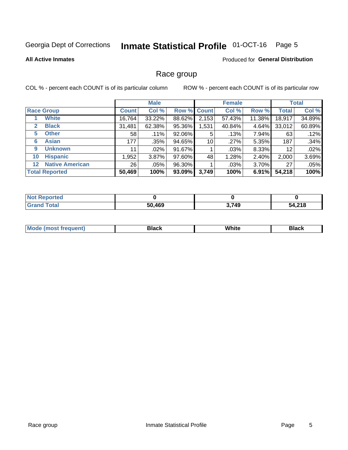#### **Inmate Statistical Profile 01-OCT-16** Page 5

### **All Active Inmates**

## **Produced for General Distribution**

## Race group

COL % - percent each COUNT is of its particular column

|                                   |              | <b>Male</b> |        |             | <b>Female</b> |          |              | <b>Total</b> |  |
|-----------------------------------|--------------|-------------|--------|-------------|---------------|----------|--------------|--------------|--|
| <b>Race Group</b>                 | <b>Count</b> | Col %       |        | Row % Count | Col %         | Row %    | <b>Total</b> | Col %        |  |
| <b>White</b>                      | 16,764       | 33.22%      | 88.62% | 2,153       | 57.43%        | 11.38%   | 18,917       | 34.89%       |  |
| <b>Black</b><br>2                 | 31,481       | 62.38%      | 95.36% | 1,531       | 40.84%        | $4.64\%$ | 33,012       | 60.89%       |  |
| <b>Other</b><br>5.                | 58           | .11%        | 92.06% | 5           | .13%          | 7.94%    | 63           | .12%         |  |
| <b>Asian</b><br>6                 | 177          | .35%        | 94.65% | 10          | .27%          | 5.35%    | 187          | .34%         |  |
| <b>Unknown</b><br>9               | 11           | $.02\%$     | 91.67% |             | .03%          | 8.33%    | 12           | .02%         |  |
| <b>Hispanic</b><br>10             | .952         | 3.87%       | 97.60% | 48          | 1.28%         | 2.40%    | 2,000        | 3.69%        |  |
| <b>Native American</b><br>$12 \,$ | 26           | .05%        | 96.30% |             | $.03\%$       | $3.70\%$ | 27           | .05%         |  |
| <b>Total Reported</b>             | 50,469       | 100%        | 93.09% | 3,749       | 100%          | 6.91%    | 54,218       | 100%         |  |

| <b>ported</b><br>NO. |        |       |        |
|----------------------|--------|-------|--------|
| `otal<br>'Grano      | 50,469 | 3,749 | 54,218 |

| m | <br>w |  |
|---|-------|--|
|   |       |  |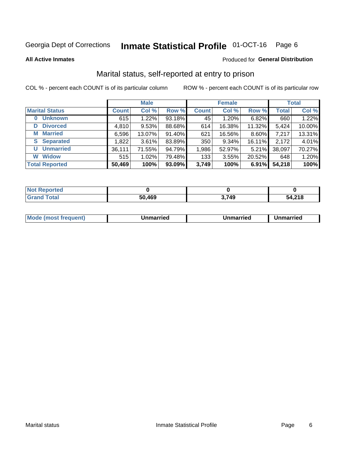#### **Inmate Statistical Profile 01-OCT-16** Page 6

**All Active Inmates** 

## Produced for General Distribution

## Marital status, self-reported at entry to prison

COL % - percent each COUNT is of its particular column

|                            | <b>Male</b>  |        |        |              | <b>Female</b> | <b>Total</b> |              |        |
|----------------------------|--------------|--------|--------|--------------|---------------|--------------|--------------|--------|
| <b>Marital Status</b>      | <b>Count</b> | Col %  | Row %  | <b>Count</b> | Col %         | Row %        | <b>Total</b> | Col %  |
| <b>Unknown</b><br>$\bf{0}$ | 615          | 1.22%  | 93.18% | 45           | 1.20%         | 6.82%        | 660          | 1.22%  |
| <b>Divorced</b><br>D       | 4,810        | 9.53%  | 88.68% | 614          | 16.38%        | 11.32%       | 5,424        | 10.00% |
| <b>Married</b><br>М        | 6,596        | 13.07% | 91.40% | 621          | 16.56%        | 8.60%        | 7,217        | 13.31% |
| <b>Separated</b><br>S.     | 1,822        | 3.61%  | 83.89% | 350          | 9.34%         | 16.11%       | 2,172        | 4.01%  |
| <b>Unmarried</b><br>U      | 36,111       | 71.55% | 94.79% | 1,986        | 52.97%        | 5.21%        | 38,097       | 70.27% |
| <b>Widow</b><br>W          | 515          | 1.02%  | 79.48% | 133          | 3.55%         | 20.52%       | 648          | 1.20%  |
| <b>Total Reported</b>      | 50,469       | 100%   | 93.09% | 3,749        | 100%          | 6.91%        | 54,218       | 100%   |

| <b>Not Reported</b> |             |      |              |
|---------------------|-------------|------|--------------|
| Total               | .469<br>-50 | 749. | 54,218<br>^^ |

|--|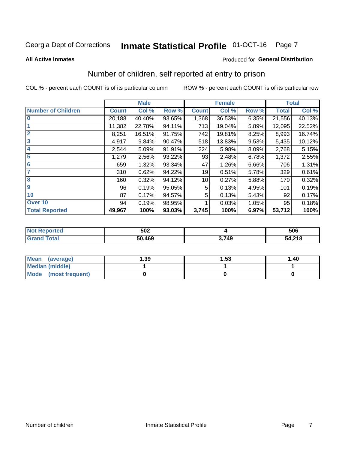#### **Inmate Statistical Profile 01-OCT-16** Page 7

## **All Active Inmates**

## Produced for General Distribution

## Number of children, self reported at entry to prison

COL % - percent each COUNT is of its particular column

|                           |              | <b>Male</b> |        |              | <b>Female</b> |          |              | <b>Total</b> |
|---------------------------|--------------|-------------|--------|--------------|---------------|----------|--------------|--------------|
| <b>Number of Children</b> | <b>Count</b> | Col %       | Row %  | <b>Count</b> | Col %         | Row %    | <b>Total</b> | Col %        |
| $\overline{\mathbf{0}}$   | 20,188       | 40.40%      | 93.65% | 1,368        | 36.53%        | 6.35%    | 21,556       | 40.13%       |
|                           | 11,382       | 22.78%      | 94.11% | 713          | 19.04%        | 5.89%    | 12,095       | 22.52%       |
| $\overline{2}$            | 8,251        | 16.51%      | 91.75% | 742          | 19.81%        | 8.25%    | 8,993        | 16.74%       |
| $\overline{3}$            | 4,917        | 9.84%       | 90.47% | 518          | 13.83%        | $9.53\%$ | 5,435        | 10.12%       |
| $\overline{\mathbf{4}}$   | 2,544        | 5.09%       | 91.91% | 224          | 5.98%         | 8.09%    | 2,768        | 5.15%        |
| 5                         | 1,279        | 2.56%       | 93.22% | 93           | 2.48%         | 6.78%    | 1,372        | 2.55%        |
| 6                         | 659          | 1.32%       | 93.34% | 47           | 1.26%         | 6.66%    | 706          | 1.31%        |
| 7                         | 310          | 0.62%       | 94.22% | 19           | 0.51%         | 5.78%    | 329          | 0.61%        |
| 8                         | 160          | 0.32%       | 94.12% | 10           | 0.27%         | 5.88%    | 170          | 0.32%        |
| 9                         | 96           | 0.19%       | 95.05% | 5            | 0.13%         | 4.95%    | 101          | 0.19%        |
| 10                        | 87           | 0.17%       | 94.57% | 5            | 0.13%         | 5.43%    | 92           | 0.17%        |
| Over 10                   | 94           | 0.19%       | 98.95% |              | 0.03%         | 1.05%    | 95           | 0.18%        |
| <b>Total Reported</b>     | 49,967       | 100%        | 93.03% | 3,745        | 100%          | 6.97%    | 53,712       | 100%         |

| 502    |     | 506          |
|--------|-----|--------------|
| 50.469 | 749 | 54,218<br>54 |

| Mean<br>(average)       | 1.39 | 1.53 | 1.40 |
|-------------------------|------|------|------|
| Median (middle)         |      |      |      |
| Mode<br>(most frequent) |      |      |      |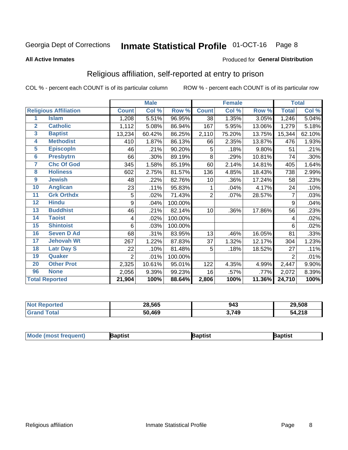#### **Inmate Statistical Profile 01-OCT-16** Page 8

### **All Active Inmates**

## Produced for General Distribution

## Religious affiliation, self-reported at entry to prison

COL % - percent each COUNT is of its particular column

|                |                              |                | <b>Male</b> |         |                | <b>Female</b> |        |                | <b>Total</b> |
|----------------|------------------------------|----------------|-------------|---------|----------------|---------------|--------|----------------|--------------|
|                | <b>Religious Affiliation</b> | <b>Count</b>   | Col %       | Row %   | <b>Count</b>   | Col %         | Row %  | <b>Total</b>   | Col %        |
| 1              | <b>Islam</b>                 | 1,208          | 5.51%       | 96.95%  | 38             | 1.35%         | 3.05%  | 1,246          | 5.04%        |
| $\overline{2}$ | <b>Catholic</b>              | 1,112          | 5.08%       | 86.94%  | 167            | 5.95%         | 13.06% | 1,279          | 5.18%        |
| 3              | <b>Baptist</b>               | 13,234         | 60.42%      | 86.25%  | 2,110          | 75.20%        | 13.75% | 15,344         | 62.10%       |
| 4              | <b>Methodist</b>             | 410            | 1.87%       | 86.13%  | 66             | 2.35%         | 13.87% | 476            | 1.93%        |
| 5              | <b>EpiscopIn</b>             | 46             | .21%        | 90.20%  | 5              | .18%          | 9.80%  | 51             | .21%         |
| $6\phantom{a}$ | <b>Presbytrn</b>             | 66             | .30%        | 89.19%  | 8              | .29%          | 10.81% | 74             | .30%         |
| 7              | <b>Chc Of God</b>            | 345            | 1.58%       | 85.19%  | 60             | 2.14%         | 14.81% | 405            | 1.64%        |
| 8              | <b>Holiness</b>              | 602            | 2.75%       | 81.57%  | 136            | 4.85%         | 18.43% | 738            | 2.99%        |
| 9              | <b>Jewish</b>                | 48             | .22%        | 82.76%  | 10             | .36%          | 17.24% | 58             | .23%         |
| 10             | <b>Anglican</b>              | 23             | .11%        | 95.83%  | 1              | .04%          | 4.17%  | 24             | .10%         |
| 11             | <b>Grk Orthdx</b>            | 5              | .02%        | 71.43%  | $\overline{2}$ | .07%          | 28.57% | 7              | .03%         |
| 12             | <b>Hindu</b>                 | 9              | .04%        | 100.00% |                |               |        | 9              | .04%         |
| 13             | <b>Buddhist</b>              | 46             | .21%        | 82.14%  | 10             | .36%          | 17.86% | 56             | .23%         |
| 14             | <b>Taoist</b>                | 4              | .02%        | 100.00% |                |               |        | 4              | .02%         |
| 15             | <b>Shintoist</b>             | 6              | .03%        | 100.00% |                |               |        | 6              | .02%         |
| 16             | <b>Seven D Ad</b>            | 68             | .31%        | 83.95%  | 13             | .46%          | 16.05% | 81             | .33%         |
| 17             | <b>Jehovah Wt</b>            | 267            | 1.22%       | 87.83%  | 37             | 1.32%         | 12.17% | 304            | 1.23%        |
| 18             | <b>Latr Day S</b>            | 22             | .10%        | 81.48%  | 5              | .18%          | 18.52% | 27             | .11%         |
| 19             | Quaker                       | $\overline{2}$ | .01%        | 100.00% |                |               |        | $\overline{2}$ | .01%         |
| 20             | <b>Other Prot</b>            | 2,325          | 10.61%      | 95.01%  | 122            | 4.35%         | 4.99%  | 2,447          | 9.90%        |
| 96             | <b>None</b>                  | 2,056          | 9.39%       | 99.23%  | 16             | .57%          | .77%   | 2,072          | 8.39%        |
|                | <b>Total Reported</b>        | 21,904         | 100%        | 88.64%  | 2,806          | 100%          | 11.36% | 24,710         | 100%         |

| N | 28,565     | 943   | 29.508                      |
|---|------------|-------|-----------------------------|
|   | .469<br>50 | 3,749 | <i>EA</i> 940<br>. + ,∠ I O |

|  | <b>Mode (most frequent)</b> | ıntist<br>ິ | <b>'a</b> ptist | aptist |
|--|-----------------------------|-------------|-----------------|--------|
|--|-----------------------------|-------------|-----------------|--------|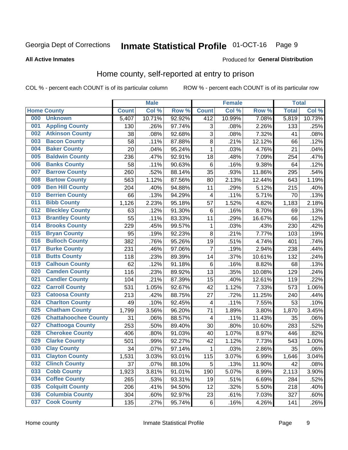#### **Inmate Statistical Profile 01-OCT-16** Page 9

### **All Active Inmates**

## Produced for General Distribution

## Home county, self-reported at entry to prison

COL % - percent each COUNT is of its particular column

|     |                             |              | <b>Male</b> |                  |                | <b>Female</b> |        | <b>Total</b> |        |
|-----|-----------------------------|--------------|-------------|------------------|----------------|---------------|--------|--------------|--------|
|     | <b>Home County</b>          | <b>Count</b> | Col %       | Row <sup>%</sup> | <b>Count</b>   | Col %         | Row %  | <b>Total</b> | Col %  |
| 000 | <b>Unknown</b>              | 5,407        | 10.71%      | 92.92%           | 412            | 10.99%        | 7.08%  | 5,819        | 10.73% |
| 001 | <b>Appling County</b>       | 130          | .26%        | 97.74%           | 3              | .08%          | 2.26%  | 133          | .25%   |
| 002 | <b>Atkinson County</b>      | 38           | .08%        | 92.68%           | 3              | .08%          | 7.32%  | 41           | .08%   |
| 003 | <b>Bacon County</b>         | 58           | .11%        | 87.88%           | 8              | .21%          | 12.12% | 66           | .12%   |
| 004 | <b>Baker County</b>         | 20           | .04%        | 95.24%           | 1              | .03%          | 4.76%  | 21           | .04%   |
| 005 | <b>Baldwin County</b>       | 236          | .47%        | 92.91%           | 18             | .48%          | 7.09%  | 254          | .47%   |
| 006 | <b>Banks County</b>         | 58           | .11%        | 90.63%           | $\,6$          | .16%          | 9.38%  | 64           | .12%   |
| 007 | <b>Barrow County</b>        | 260          | .52%        | 88.14%           | 35             | .93%          | 11.86% | 295          | .54%   |
| 008 | <b>Bartow County</b>        | 563          | 1.12%       | 87.56%           | 80             | 2.13%         | 12.44% | 643          | 1.19%  |
| 009 | <b>Ben Hill County</b>      | 204          | .40%        | 94.88%           | 11             | .29%          | 5.12%  | 215          | .40%   |
| 010 | <b>Berrien County</b>       | 66           | .13%        | 94.29%           | 4              | .11%          | 5.71%  | 70           | .13%   |
| 011 | <b>Bibb County</b>          | 1,126        | 2.23%       | 95.18%           | 57             | 1.52%         | 4.82%  | 1,183        | 2.18%  |
| 012 | <b>Bleckley County</b>      | 63           | .12%        | 91.30%           | 6              | .16%          | 8.70%  | 69           | .13%   |
| 013 | <b>Brantley County</b>      | 55           | .11%        | 83.33%           | 11             | .29%          | 16.67% | 66           | .12%   |
| 014 | <b>Brooks County</b>        | 229          | .45%        | 99.57%           | 1              | .03%          | .43%   | 230          | .42%   |
| 015 | <b>Bryan County</b>         | 95           | .19%        | 92.23%           | 8              | .21%          | 7.77%  | 103          | .19%   |
| 016 | <b>Bulloch County</b>       | 382          | .76%        | 95.26%           | 19             | .51%          | 4.74%  | 401          | .74%   |
| 017 | <b>Burke County</b>         | 231          | .46%        | 97.06%           | $\overline{7}$ | .19%          | 2.94%  | 238          | .44%   |
| 018 | <b>Butts County</b>         | 118          | .23%        | 89.39%           | 14             | .37%          | 10.61% | 132          | .24%   |
| 019 | <b>Calhoun County</b>       | 62           | .12%        | 91.18%           | $\,6$          | .16%          | 8.82%  | 68           | .13%   |
| 020 | <b>Camden County</b>        | 116          | .23%        | 89.92%           | 13             | .35%          | 10.08% | 129          | .24%   |
| 021 | <b>Candler County</b>       | 104          | .21%        | 87.39%           | 15             | .40%          | 12.61% | 119          | .22%   |
| 022 | <b>Carroll County</b>       | 531          | 1.05%       | 92.67%           | 42             | 1.12%         | 7.33%  | 573          | 1.06%  |
| 023 | <b>Catoosa County</b>       | 213          | .42%        | 88.75%           | 27             | .72%          | 11.25% | 240          | .44%   |
| 024 | <b>Charlton County</b>      | 49           | .10%        | 92.45%           | 4              | .11%          | 7.55%  | 53           | .10%   |
| 025 | <b>Chatham County</b>       | 1,799        | 3.56%       | 96.20%           | 71             | 1.89%         | 3.80%  | 1,870        | 3.45%  |
| 026 | <b>Chattahoochee County</b> | 31           | .06%        | 88.57%           | 4              | .11%          | 11.43% | 35           | .06%   |
| 027 | <b>Chattooga County</b>     | 253          | .50%        | 89.40%           | 30             | .80%          | 10.60% | 283          | .52%   |
| 028 | <b>Cherokee County</b>      | 406          | .80%        | 91.03%           | 40             | 1.07%         | 8.97%  | 446          | .82%   |
| 029 | <b>Clarke County</b>        | 501          | .99%        | 92.27%           | 42             | 1.12%         | 7.73%  | 543          | 1.00%  |
| 030 | <b>Clay County</b>          | 34           | .07%        | 97.14%           | 1              | .03%          | 2.86%  | 35           | .06%   |
| 031 | <b>Clayton County</b>       | 1,531        | 3.03%       | 93.01%           | 115            | 3.07%         | 6.99%  | 1,646        | 3.04%  |
| 032 | <b>Clinch County</b>        | 37           | .07%        | 88.10%           | 5              | .13%          | 11.90% | 42           | .08%   |
| 033 | <b>Cobb County</b>          | 1,923        | 3.81%       | 91.01%           | 190            | 5.07%         | 8.99%  | 2,113        | 3.90%  |
| 034 | <b>Coffee County</b>        | 265          | .53%        | 93.31%           | 19             | .51%          | 6.69%  | 284          | .52%   |
| 035 | <b>Colquitt County</b>      | 206          | .41%        | 94.50%           | 12             | .32%          | 5.50%  | 218          | .40%   |
| 036 | <b>Columbia County</b>      | 304          | .60%        | 92.97%           | 23             | .61%          | 7.03%  | 327          | .60%   |
| 037 | <b>Cook County</b>          | 135          | .27%        | 95.74%           | $\,6$          | .16%          | 4.26%  | 141          | .26%   |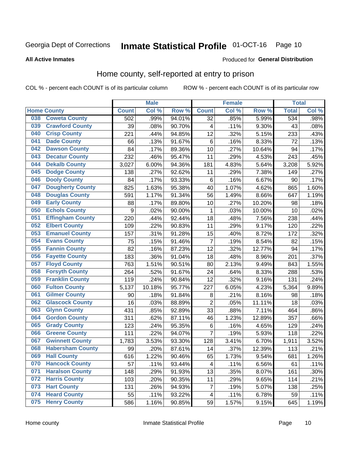## Inmate Statistical Profile 01-OCT-16 Page 10

## **All Active Inmates**

## Produced for General Distribution

## Home county, self-reported at entry to prison

COL % - percent each COUNT is of its particular column

|     |                         |                  | <b>Male</b> |        |                  | <b>Female</b> |        | <b>Total</b> |       |
|-----|-------------------------|------------------|-------------|--------|------------------|---------------|--------|--------------|-------|
|     | <b>Home County</b>      | <b>Count</b>     | Col %       | Row %  | <b>Count</b>     | Col %         | Row %  | <b>Total</b> | Col % |
| 038 | <b>Coweta County</b>    | $\overline{502}$ | .99%        | 94.01% | $\overline{32}$  | .85%          | 5.99%  | 534          | .98%  |
| 039 | <b>Crawford County</b>  | 39               | .08%        | 90.70% | 4                | .11%          | 9.30%  | 43           | .08%  |
| 040 | <b>Crisp County</b>     | 221              | .44%        | 94.85% | 12               | .32%          | 5.15%  | 233          | .43%  |
| 041 | <b>Dade County</b>      | 66               | .13%        | 91.67% | $\,6$            | .16%          | 8.33%  | 72           | .13%  |
| 042 | <b>Dawson County</b>    | 84               | .17%        | 89.36% | 10               | .27%          | 10.64% | 94           | .17%  |
| 043 | <b>Decatur County</b>   | 232              | .46%        | 95.47% | 11               | .29%          | 4.53%  | 243          | .45%  |
| 044 | <b>Dekalb County</b>    | 3,027            | 6.00%       | 94.36% | 181              | 4.83%         | 5.64%  | 3,208        | 5.92% |
| 045 | <b>Dodge County</b>     | 138              | .27%        | 92.62% | 11               | .29%          | 7.38%  | 149          | .27%  |
| 046 | <b>Dooly County</b>     | 84               | .17%        | 93.33% | 6                | .16%          | 6.67%  | 90           | .17%  |
| 047 | <b>Dougherty County</b> | 825              | 1.63%       | 95.38% | 40               | 1.07%         | 4.62%  | 865          | 1.60% |
| 048 | <b>Douglas County</b>   | 591              | 1.17%       | 91.34% | 56               | 1.49%         | 8.66%  | 647          | 1.19% |
| 049 | <b>Early County</b>     | 88               | .17%        | 89.80% | 10               | .27%          | 10.20% | 98           | .18%  |
| 050 | <b>Echols County</b>    | 9                | .02%        | 90.00% | 1                | .03%          | 10.00% | 10           | .02%  |
| 051 | <b>Effingham County</b> | 220              | .44%        | 92.44% | 18               | .48%          | 7.56%  | 238          | .44%  |
| 052 | <b>Elbert County</b>    | 109              | .22%        | 90.83% | 11               | .29%          | 9.17%  | 120          | .22%  |
| 053 | <b>Emanuel County</b>   | 157              | .31%        | 91.28% | 15               | .40%          | 8.72%  | 172          | .32%  |
| 054 | <b>Evans County</b>     | 75               | .15%        | 91.46% | $\overline{7}$   | .19%          | 8.54%  | 82           | .15%  |
| 055 | <b>Fannin County</b>    | 82               | .16%        | 87.23% | 12               | .32%          | 12.77% | 94           | .17%  |
| 056 | <b>Fayette County</b>   | 183              | .36%        | 91.04% | 18               | .48%          | 8.96%  | 201          | .37%  |
| 057 | <b>Floyd County</b>     | 763              | 1.51%       | 90.51% | 80               | 2.13%         | 9.49%  | 843          | 1.55% |
| 058 | <b>Forsyth County</b>   | 264              | .52%        | 91.67% | 24               | .64%          | 8.33%  | 288          | .53%  |
| 059 | <b>Franklin County</b>  | 119              | .24%        | 90.84% | 12               | .32%          | 9.16%  | 131          | .24%  |
| 060 | <b>Fulton County</b>    | 5,137            | 10.18%      | 95.77% | 227              | 6.05%         | 4.23%  | 5,364        | 9.89% |
| 061 | <b>Gilmer County</b>    | 90               | .18%        | 91.84% | 8                | .21%          | 8.16%  | 98           | .18%  |
| 062 | <b>Glascock County</b>  | 16               | .03%        | 88.89% | $\overline{2}$   | .05%          | 11.11% | 18           | .03%  |
| 063 | <b>Glynn County</b>     | 431              | .85%        | 92.89% | 33               | .88%          | 7.11%  | 464          | .86%  |
| 064 | <b>Gordon County</b>    | 311              | .62%        | 87.11% | 46               | 1.23%         | 12.89% | 357          | .66%  |
| 065 | <b>Grady County</b>     | 123              | .24%        | 95.35% | $\,6$            | .16%          | 4.65%  | 129          | .24%  |
| 066 | <b>Greene County</b>    | 111              | .22%        | 94.07% | 7                | .19%          | 5.93%  | 118          | .22%  |
| 067 | <b>Gwinnett County</b>  | 1,783            | 3.53%       | 93.30% | 128              | 3.41%         | 6.70%  | 1,911        | 3.52% |
| 068 | <b>Habersham County</b> | 99               | .20%        | 87.61% | 14               | .37%          | 12.39% | 113          | .21%  |
| 069 | <b>Hall County</b>      | 616              | 1.22%       | 90.46% | 65               | 1.73%         | 9.54%  | 681          | 1.26% |
| 070 | <b>Hancock County</b>   | 57               | .11%        | 93.44% | 4                | .11%          | 6.56%  | 61           | .11%  |
| 071 | <b>Haralson County</b>  | 148              | .29%        | 91.93% | 13               | .35%          | 8.07%  | 161          | .30%  |
| 072 | <b>Harris County</b>    | 103              | .20%        | 90.35% | 11               | .29%          | 9.65%  | 114          | .21%  |
| 073 | <b>Hart County</b>      | 131              | .26%        | 94.93% | $\boldsymbol{7}$ | .19%          | 5.07%  | 138          | .25%  |
| 074 | <b>Heard County</b>     | 55               | .11%        | 93.22% | $\overline{4}$   | .11%          | 6.78%  | 59           | .11%  |
| 075 | <b>Henry County</b>     | 586              | 1.16%       | 90.85% | 59               | 1.57%         | 9.15%  | 645          | 1.19% |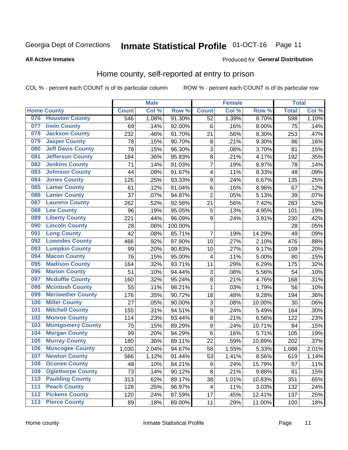## Inmate Statistical Profile 01-OCT-16 Page 11

**All Active Inmates** 

## **Produced for General Distribution**

## Home county, self-reported at entry to prison

COL % - percent each COUNT is of its particular column

|                  |                          |              | <b>Male</b> |                  |                  | <b>Female</b> |        | <b>Total</b> |       |
|------------------|--------------------------|--------------|-------------|------------------|------------------|---------------|--------|--------------|-------|
|                  | <b>Home County</b>       | <b>Count</b> | Col %       | Row <sup>%</sup> | <b>Count</b>     | Col %         | Row %  | <b>Total</b> | Col % |
| 076              | <b>Houston County</b>    | 546          | 1.08%       | 91.30%           | 52               | 1.39%         | 8.70%  | 598          | 1.10% |
| 077              | <b>Irwin County</b>      | 69           | .14%        | 92.00%           | 6                | .16%          | 8.00%  | 75           | .14%  |
| 078              | <b>Jackson County</b>    | 232          | .46%        | 91.70%           | 21               | .56%          | 8.30%  | 253          | .47%  |
| 079              | <b>Jasper County</b>     | 78           | .15%        | 90.70%           | 8                | .21%          | 9.30%  | 86           | .16%  |
| 080              | <b>Jeff Davis County</b> | 78           | .15%        | 96.30%           | 3                | .08%          | 3.70%  | 81           | .15%  |
| 081              | <b>Jefferson County</b>  | 184          | .36%        | 95.83%           | $\overline{8}$   | .21%          | 4.17%  | 192          | .35%  |
| 082              | <b>Jenkins County</b>    | 71           | .14%        | 91.03%           | 7                | .19%          | 8.97%  | 78           | .14%  |
| 083              | <b>Johnson County</b>    | 44           | .09%        | 91.67%           | 4                | .11%          | 8.33%  | 48           | .09%  |
| 084              | <b>Jones County</b>      | 126          | .25%        | 93.33%           | 9                | .24%          | 6.67%  | 135          | .25%  |
| 085              | <b>Lamar County</b>      | 61           | .12%        | 91.04%           | 6                | .16%          | 8.96%  | 67           | .12%  |
| 086              | <b>Lanier County</b>     | 37           | .07%        | 94.87%           | $\overline{2}$   | .05%          | 5.13%  | 39           | .07%  |
| 087              | <b>Laurens County</b>    | 262          | .52%        | 92.58%           | 21               | .56%          | 7.42%  | 283          | .52%  |
| 088              | <b>Lee County</b>        | 96           | .19%        | 95.05%           | 5                | .13%          | 4.95%  | 101          | .19%  |
| 089              | <b>Liberty County</b>    | 221          | .44%        | 96.09%           | 9                | .24%          | 3.91%  | 230          | .42%  |
| 090              | <b>Lincoln County</b>    | 28           | .06%        | 100.00%          |                  |               |        | 28           | .05%  |
| 091              | <b>Long County</b>       | 42           | .08%        | 85.71%           | $\overline{7}$   | .19%          | 14.29% | 49           | .09%  |
| 092              | <b>Lowndes County</b>    | 466          | .92%        | 97.90%           | 10               | .27%          | 2.10%  | 476          | .88%  |
| 093              | <b>Lumpkin County</b>    | 99           | .20%        | 90.83%           | 10               | .27%          | 9.17%  | 109          | .20%  |
| 094              | <b>Macon County</b>      | 76           | .15%        | 95.00%           | 4                | .11%          | 5.00%  | 80           | .15%  |
| 095              | <b>Madison County</b>    | 164          | .32%        | 93.71%           | 11               | .29%          | 6.29%  | 175          | .32%  |
| 096              | <b>Marion County</b>     | 51           | .10%        | 94.44%           | 3                | .08%          | 5.56%  | 54           | .10%  |
| 097              | <b>Mcduffie County</b>   | 160          | .32%        | 95.24%           | $\overline{8}$   | .21%          | 4.76%  | 168          | .31%  |
| 098              | <b>Mcintosh County</b>   | 55           | .11%        | 98.21%           | $\mathbf 1$      | .03%          | 1.79%  | 56           | .10%  |
| 099              | <b>Meriwether County</b> | 176          | .35%        | 90.72%           | 18               | .48%          | 9.28%  | 194          | .36%  |
| 100              | <b>Miller County</b>     | 27           | .05%        | 90.00%           | 3                | .08%          | 10.00% | 30           | .06%  |
| 101              | <b>Mitchell County</b>   | 155          | .31%        | 94.51%           | $\boldsymbol{9}$ | .24%          | 5.49%  | 164          | .30%  |
| 102              | <b>Monroe County</b>     | 114          | .23%        | 93.44%           | $\overline{8}$   | .21%          | 6.56%  | 122          | .23%  |
| 103              | <b>Montgomery County</b> | 75           | .15%        | 89.29%           | 9                | .24%          | 10.71% | 84           | .15%  |
| 104              | <b>Morgan County</b>     | 99           | .20%        | 94.29%           | 6                | .16%          | 5.71%  | 105          | .19%  |
| 105              | <b>Murray County</b>     | 180          | .36%        | 89.11%           | 22               | .59%          | 10.89% | 202          | .37%  |
| 106              | <b>Muscogee County</b>   | 1,030        | 2.04%       | 94.67%           | 58               | 1.55%         | 5.33%  | 1,088        | 2.01% |
| 107              | <b>Newton County</b>     | 566          | 1.12%       | $91.44\%$        | 53               | 1.41%         | 8.56%  | 619          | 1.14% |
| 108              | <b>Oconee County</b>     | 48           | .10%        | 84.21%           | 9                | .24%          | 15.79% | 57           | .11%  |
| 109              | <b>Oglethorpe County</b> | 73           | .14%        | 90.12%           | 8                | .21%          | 9.88%  | 81           | .15%  |
| 110              | <b>Paulding County</b>   | 313          | .62%        | 89.17%           | 38               | 1.01%         | 10.83% | 351          | .65%  |
| 111              | <b>Peach County</b>      | 128          | .25%        | 96.97%           | 4                | .11%          | 3.03%  | 132          | .24%  |
| $\overline{112}$ | <b>Pickens County</b>    | 120          | .24%        | 87.59%           | 17               | .45%          | 12.41% | 137          | .25%  |
| 113              | <b>Pierce County</b>     | 89           | .18%        | 89.00%           | 11               | .29%          | 11.00% | 100          | .18%  |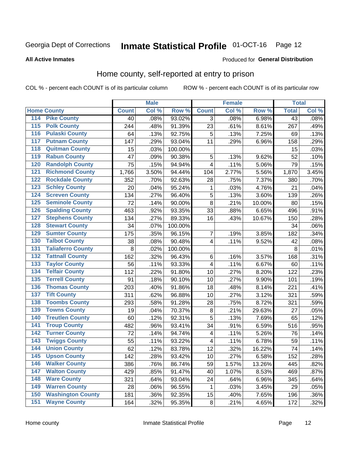## Inmate Statistical Profile 01-OCT-16 Page 12

## **All Active Inmates**

## Produced for General Distribution

## Home county, self-reported at entry to prison

COL % - percent each COUNT is of its particular column

|                           |                          |              | <b>Male</b> |         |                | <b>Female</b> |        | <b>Total</b>    |       |
|---------------------------|--------------------------|--------------|-------------|---------|----------------|---------------|--------|-----------------|-------|
| <b>Home County</b>        |                          | <b>Count</b> | Col %       | Row %   | <b>Count</b>   | Col %         | Row %  | <b>Total</b>    | Col % |
| 114<br><b>Pike County</b> |                          | 40           | .08%        | 93.02%  | 3              | .08%          | 6.98%  | $\overline{43}$ | .08%  |
| <b>Polk County</b><br>115 |                          | 244          | .48%        | 91.39%  | 23             | .61%          | 8.61%  | 267             | .49%  |
| 116                       | <b>Pulaski County</b>    | 64           | .13%        | 92.75%  | 5              | .13%          | 7.25%  | 69              | .13%  |
| 117                       | <b>Putnam County</b>     | 147          | .29%        | 93.04%  | 11             | .29%          | 6.96%  | 158             | .29%  |
| 118                       | <b>Quitman County</b>    | 15           | .03%        | 100.00% |                |               |        | 15              | .03%  |
| 119                       | <b>Rabun County</b>      | 47           | .09%        | 90.38%  | 5              | .13%          | 9.62%  | 52              | .10%  |
| 120                       | <b>Randolph County</b>   | 75           | .15%        | 94.94%  | 4              | .11%          | 5.06%  | 79              | .15%  |
| 121                       | <b>Richmond County</b>   | 1,766        | 3.50%       | 94.44%  | 104            | 2.77%         | 5.56%  | 1,870           | 3.45% |
| 122                       | <b>Rockdale County</b>   | 352          | .70%        | 92.63%  | 28             | .75%          | 7.37%  | 380             | .70%  |
| 123                       | <b>Schley County</b>     | 20           | .04%        | 95.24%  | 1              | .03%          | 4.76%  | 21              | .04%  |
| 124                       | <b>Screven County</b>    | 134          | .27%        | 96.40%  | $\overline{5}$ | .13%          | 3.60%  | 139             | .26%  |
| 125                       | <b>Seminole County</b>   | 72           | .14%        | 90.00%  | 8              | .21%          | 10.00% | 80              | .15%  |
| 126                       | <b>Spalding County</b>   | 463          | .92%        | 93.35%  | 33             | .88%          | 6.65%  | 496             | .91%  |
| 127                       | <b>Stephens County</b>   | 134          | .27%        | 89.33%  | 16             | .43%          | 10.67% | 150             | .28%  |
| 128                       | <b>Stewart County</b>    | 34           | .07%        | 100.00% |                |               |        | 34              | .06%  |
| 129                       | <b>Sumter County</b>     | 175          | .35%        | 96.15%  | 7              | .19%          | 3.85%  | 182             | .34%  |
| 130                       | <b>Talbot County</b>     | 38           | .08%        | 90.48%  | 4              | .11%          | 9.52%  | 42              | .08%  |
| 131                       | <b>Taliaferro County</b> | 8            | .02%        | 100.00% |                |               |        | 8               | .01%  |
| 132                       | <b>Tattnall County</b>   | 162          | .32%        | 96.43%  | $\,6$          | .16%          | 3.57%  | 168             | .31%  |
| 133                       | <b>Taylor County</b>     | 56           | .11%        | 93.33%  | 4              | .11%          | 6.67%  | 60              | .11%  |
| 134                       | <b>Telfair County</b>    | 112          | .22%        | 91.80%  | 10             | .27%          | 8.20%  | 122             | .23%  |
| 135                       | <b>Terrell County</b>    | 91           | .18%        | 90.10%  | 10             | .27%          | 9.90%  | 101             | .19%  |
| 136                       | <b>Thomas County</b>     | 203          | .40%        | 91.86%  | 18             | .48%          | 8.14%  | 221             | .41%  |
| <b>Tift County</b><br>137 |                          | 311          | .62%        | 96.88%  | 10             | .27%          | 3.12%  | 321             | .59%  |
| 138                       | <b>Toombs County</b>     | 293          | .58%        | 91.28%  | 28             | .75%          | 8.72%  | 321             | .59%  |
| 139                       | <b>Towns County</b>      | 19           | .04%        | 70.37%  | 8              | .21%          | 29.63% | 27              | .05%  |
| 140                       | <b>Treutlen County</b>   | 60           | .12%        | 92.31%  | $\overline{5}$ | .13%          | 7.69%  | 65              | .12%  |
| 141                       | <b>Troup County</b>      | 482          | .96%        | 93.41%  | 34             | .91%          | 6.59%  | 516             | .95%  |
| $\overline{142}$          | <b>Turner County</b>     | 72           | .14%        | 94.74%  | 4              | .11%          | 5.26%  | 76              | .14%  |
| 143                       | <b>Twiggs County</b>     | 55           | .11%        | 93.22%  | 4              | .11%          | 6.78%  | 59              | .11%  |
| 144                       | <b>Union County</b>      | 62           | .12%        | 83.78%  | 12             | .32%          | 16.22% | 74              | .14%  |
| 145                       | <b>Upson County</b>      | 142          | .28%        | 93.42%  | 10             | .27%          | 6.58%  | 152             | .28%  |
| 146                       | <b>Walker County</b>     | 386          | .76%        | 86.74%  | 59             | 1.57%         | 13.26% | 445             | .82%  |
| 147                       | <b>Walton County</b>     | 429          | .85%        | 91.47%  | 40             | 1.07%         | 8.53%  | 469             | .87%  |
| 148                       | <b>Ware County</b>       | 321          | .64%        | 93.04%  | 24             | .64%          | 6.96%  | 345             | .64%  |
| 149                       | <b>Warren County</b>     | 28           | .06%        | 96.55%  | 1              | .03%          | 3.45%  | 29              | .05%  |
| 150                       | <b>Washington County</b> | 181          | .36%        | 92.35%  | 15             | .40%          | 7.65%  | 196             | .36%  |
| 151                       | <b>Wayne County</b>      | 164          | .32%        | 95.35%  | $\bf 8$        | .21%          | 4.65%  | 172             | .32%  |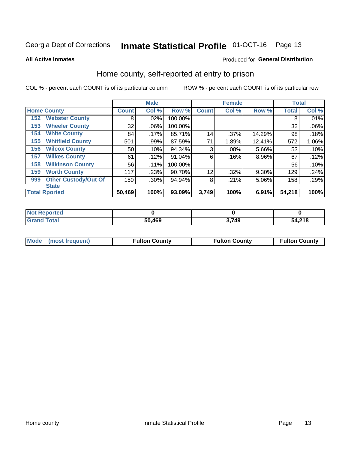## Inmate Statistical Profile 01-OCT-16 Page 13

**All Active Inmates** 

## Produced for General Distribution

## Home county, self-reported at entry to prison

COL % - percent each COUNT is of its particular column

|     |                             |              | <b>Male</b> |           |              | <b>Female</b> |          | <b>Total</b> |       |
|-----|-----------------------------|--------------|-------------|-----------|--------------|---------------|----------|--------------|-------|
|     | <b>Home County</b>          | <b>Count</b> | Col %       | Row %     | <b>Count</b> | Col %         | Row %    | <b>Total</b> | Col % |
| 152 | <b>Webster County</b>       | 8            | .02%        | 100.00%   |              |               |          | 8            | .01%  |
| 153 | <b>Wheeler County</b>       | 32           | .06%        | 100.00%   |              |               |          | 32           | .06%  |
| 154 | <b>White County</b>         | 84           | $.17\%$     | 85.71%    | 14           | .37%          | 14.29%   | 98           | .18%  |
| 155 | <b>Whitfield County</b>     | 501          | .99%        | 87.59%    | 71           | 1.89%         | 12.41%   | 572          | 1.06% |
| 156 | <b>Wilcox County</b>        | 50           | .10%        | 94.34%    | 3            | .08%          | 5.66%    | 53           | .10%  |
| 157 | <b>Wilkes County</b>        | 61           | .12%        | $91.04\%$ | 6            | .16%          | $8.96\%$ | 67           | .12%  |
| 158 | <b>Wilkinson County</b>     | 56           | $.11\%$     | 100.00%   |              |               |          | 56           | .10%  |
| 159 | <b>Worth County</b>         | 117          | .23%        | 90.70%    | 12           | .32%          | 9.30%    | 129          | .24%  |
| 999 | <b>Other Custody/Out Of</b> | 150          | .30%        | 94.94%    | 8            | .21%          | 5.06%    | 158          | .29%  |
|     | <b>State</b>                |              |             |           |              |               |          |              |       |
|     | <b>Total Rported</b>        | 50,469       | 100%        | 93.09%    | 3,749        | 100%          | 6.91%    | 54,218       | 100%  |

| 'Not<br>Reported |        |       |        |
|------------------|--------|-------|--------|
| <b>Total</b>     | 50,469 | 3,749 | 54,218 |

|  | Mode (most frequent) | <b>Fulton County</b> | <b>Fulton County</b> | <b>Fulton County</b> |
|--|----------------------|----------------------|----------------------|----------------------|
|--|----------------------|----------------------|----------------------|----------------------|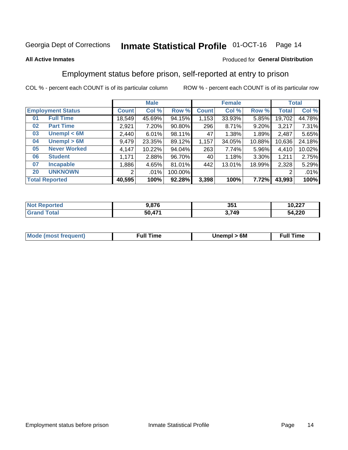#### **Inmate Statistical Profile 01-OCT-16** Page 14

## **All Active Inmates**

## Produced for General Distribution

## Employment status before prison, self-reported at entry to prison

COL % - percent each COUNT is of its particular column

|                           | <b>Male</b>  |        |         |              | <b>Female</b> |        |        | <b>Total</b> |
|---------------------------|--------------|--------|---------|--------------|---------------|--------|--------|--------------|
| <b>Employment Status</b>  | <b>Count</b> | Col %  | Row %   | <b>Count</b> | Col %         | Row %  | Total  | Col %        |
| <b>Full Time</b><br>01    | 18,549       | 45.69% | 94.15%  | 1,153        | 33.93%        | 5.85%  | 19,702 | 44.78%       |
| <b>Part Time</b><br>02    | 2,921        | 7.20%  | 90.80%  | 296          | 8.71%         | 9.20%  | 3,217  | 7.31%        |
| Unempl $<$ 6M<br>03       | 2,440        | 6.01%  | 98.11%  | 47           | 1.38%         | 1.89%  | 2.487  | 5.65%        |
| Unempl > 6M<br>04         | 9,479        | 23.35% | 89.12%  | 1,157        | 34.05%        | 10.88% | 10,636 | 24.18%       |
| <b>Never Worked</b><br>05 | 4,147        | 10.22% | 94.04%  | 263          | 7.74%         | 5.96%  | 4,410  | 10.02%       |
| <b>Student</b><br>06      | .171         | 2.88%  | 96.70%  | 40           | 1.18%         | 3.30%  | 1,211  | 2.75%        |
| <b>Incapable</b><br>07    | 886          | 4.65%  | 81.01%  | 442          | 13.01%        | 18.99% | 2,328  | 5.29%        |
| <b>UNKNOWN</b><br>20      | 2            | .01%   | 100.00% |              |               |        | 2      | .01%         |
| <b>Total Reported</b>     | 40,595       | 100%   | 92.28%  | 3,398        | 100%          | 7.72%  | 43,993 | 100%         |

| <b>Not Reported</b>   | 9,876  | 351   | 10,227 |
|-----------------------|--------|-------|--------|
| Total<br><b>Grand</b> | 50,471 | 3,749 | 54,220 |

| <b>Mode (most frequent)</b> | Full Time | Unempl > 6M | <b>That Time</b> |
|-----------------------------|-----------|-------------|------------------|
|                             |           |             |                  |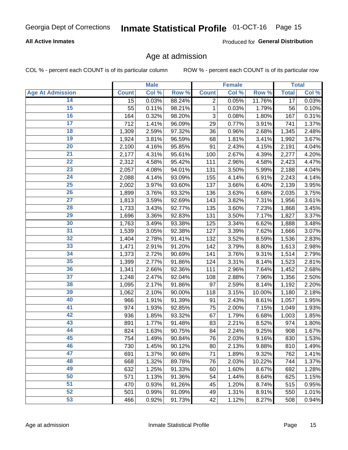## Inmate Statistical Profile 01-OCT-16 Page 15

## **All Active Inmates**

Produced for General Distribution

## Age at admission

COL % - percent each COUNT is of its particular column

|                         |              | <b>Male</b> |        |                | <b>Female</b> |        |                 | <b>Total</b> |
|-------------------------|--------------|-------------|--------|----------------|---------------|--------|-----------------|--------------|
| <b>Age At Admission</b> | <b>Count</b> | Col %       | Row %  | <b>Count</b>   | Col %         | Row %  | <b>Total</b>    | Col %        |
| 14                      | 15           | 0.03%       | 88.24% | $\overline{2}$ | 0.05%         | 11.76% | $\overline{17}$ | 0.03%        |
| $\overline{15}$         | 55           | 0.11%       | 98.21% | 1              | 0.03%         | 1.79%  | 56              | 0.10%        |
| 16                      | 164          | 0.32%       | 98.20% | 3              | 0.08%         | 1.80%  | 167             | 0.31%        |
| $\overline{17}$         | 712          | 1.41%       | 96.09% | 29             | 0.77%         | 3.91%  | 741             | 1.37%        |
| $\overline{18}$         | 1,309        | 2.59%       | 97.32% | 36             | 0.96%         | 2.68%  | 1,345           | 2.48%        |
| 19                      | 1,924        | 3.81%       | 96.59% | 68             | 1.81%         | 3.41%  | 1,992           | 3.67%        |
| 20                      | 2,100        | 4.16%       | 95.85% | 91             | 2.43%         | 4.15%  | 2,191           | 4.04%        |
| $\overline{21}$         | 2,177        | 4.31%       | 95.61% | 100            | 2.67%         | 4.39%  | 2,277           | 4.20%        |
| $\overline{22}$         | 2,312        | 4.58%       | 95.42% | 111            | 2.96%         | 4.58%  | 2,423           | 4.47%        |
| $\overline{23}$         | 2,057        | 4.08%       | 94.01% | 131            | 3.50%         | 5.99%  | 2,188           | 4.04%        |
| 24                      | 2,088        | 4.14%       | 93.09% | 155            | 4.14%         | 6.91%  | 2,243           | 4.14%        |
| $\overline{25}$         | 2,002        | 3.97%       | 93.60% | 137            | 3.66%         | 6.40%  | 2,139           | 3.95%        |
| $\overline{26}$         | 1,899        | 3.76%       | 93.32% | 136            | 3.63%         | 6.68%  | 2,035           | 3.75%        |
| $\overline{27}$         | 1,813        | 3.59%       | 92.69% | 143            | 3.82%         | 7.31%  | 1,956           | 3.61%        |
| 28                      | 1,733        | 3.43%       | 92.77% | 135            | 3.60%         | 7.23%  | 1,868           | 3.45%        |
| 29                      | 1,696        | 3.36%       | 92.83% | 131            | 3.50%         | 7.17%  | 1,827           | 3.37%        |
| 30                      | 1,763        | 3.49%       | 93.38% | 125            | 3.34%         | 6.62%  | 1,888           | 3.48%        |
| 31                      | 1,539        | 3.05%       | 92.38% | 127            | 3.39%         | 7.62%  | 1,666           | 3.07%        |
| 32                      | 1,404        | 2.78%       | 91.41% | 132            | 3.52%         | 8.59%  | 1,536           | 2.83%        |
| 33                      | 1,471        | 2.91%       | 91.20% | 142            | 3.79%         | 8.80%  | 1,613           | 2.98%        |
| 34                      | 1,373        | 2.72%       | 90.69% | 141            | 3.76%         | 9.31%  | 1,514           | 2.79%        |
| 35                      | 1,399        | 2.77%       | 91.86% | 124            | 3.31%         | 8.14%  | 1,523           | 2.81%        |
| 36                      | 1,341        | 2.66%       | 92.36% | 111            | 2.96%         | 7.64%  | 1,452           | 2.68%        |
| $\overline{37}$         | 1,248        | 2.47%       | 92.04% | 108            | 2.88%         | 7.96%  | 1,356           | 2.50%        |
| 38                      | 1,095        | 2.17%       | 91.86% | 97             | 2.59%         | 8.14%  | 1,192           | 2.20%        |
| 39                      | 1,062        | 2.10%       | 90.00% | 118            | 3.15%         | 10.00% | 1,180           | 2.18%        |
| 40                      | 966          | 1.91%       | 91.39% | 91             | 2.43%         | 8.61%  | 1,057           | 1.95%        |
| 41                      | 974          | 1.93%       | 92.85% | 75             | 2.00%         | 7.15%  | 1,049           | 1.93%        |
| 42                      | 936          | 1.85%       | 93.32% | 67             | 1.79%         | 6.68%  | 1,003           | 1.85%        |
| 43                      | 891          | 1.77%       | 91.48% | 83             | 2.21%         | 8.52%  | 974             | 1.80%        |
| 44                      | 824          | 1.63%       | 90.75% | 84             | 2.24%         | 9.25%  | 908             | 1.67%        |
| 45                      | 754          | 1.49%       | 90.84% | 76             | 2.03%         | 9.16%  | 830             | 1.53%        |
| 46                      | 730          | 1.45%       | 90.12% | 80             | 2.13%         | 9.88%  | 810             | 1.49%        |
| 47                      | 691          | 1.37%       | 90.68% | 71             | 1.89%         | 9.32%  | 762             | 1.41%        |
| 48                      | 668          | 1.32%       | 89.78% | 76             | 2.03%         | 10.22% | 744             | 1.37%        |
| 49                      | 632          | 1.25%       | 91.33% | 60             | 1.60%         | 8.67%  | 692             | 1.28%        |
| 50                      | 571          | 1.13%       | 91.36% | 54             | 1.44%         | 8.64%  | 625             | 1.15%        |
| 51                      | 470          | 0.93%       | 91.26% | 45             | 1.20%         | 8.74%  | 515             | 0.95%        |
| 52                      | 501          | 0.99%       | 91.09% | 49             | 1.31%         | 8.91%  | 550             | 1.01%        |
| 53                      | 466          | 0.92%       | 91.73% | 42             | 1.12%         | 8.27%  | 508             | 0.94%        |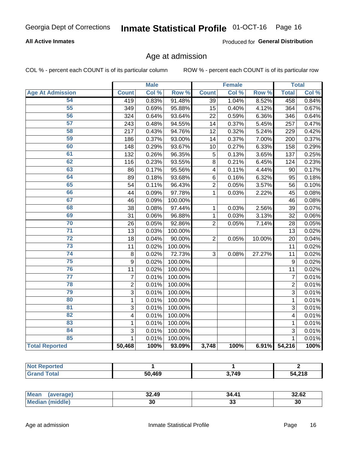#### **Inmate Statistical Profile 01-OCT-16** Page 16

## **All Active Inmates**

Produced for General Distribution

## Age at admission

COL % - percent each COUNT is of its particular column

|                         |                         | <b>Male</b> |         |                         | <b>Female</b> |        |                | <b>Total</b> |
|-------------------------|-------------------------|-------------|---------|-------------------------|---------------|--------|----------------|--------------|
| <b>Age At Admission</b> | <b>Count</b>            | Col %       | Row %   | <b>Count</b>            | Col %         | Row %  | <b>Total</b>   | Col %        |
| 54                      | 419                     | 0.83%       | 91.48%  | $\overline{39}$         | 1.04%         | 8.52%  | 458            | 0.84%        |
| 55                      | 349                     | 0.69%       | 95.88%  | 15                      | 0.40%         | 4.12%  | 364            | 0.67%        |
| 56                      | 324                     | 0.64%       | 93.64%  | 22                      | 0.59%         | 6.36%  | 346            | 0.64%        |
| $\overline{57}$         | 243                     | 0.48%       | 94.55%  | 14                      | 0.37%         | 5.45%  | 257            | 0.47%        |
| 58                      | 217                     | 0.43%       | 94.76%  | $\overline{12}$         | 0.32%         | 5.24%  | 229            | 0.42%        |
| 59                      | 186                     | 0.37%       | 93.00%  | 14                      | 0.37%         | 7.00%  | 200            | 0.37%        |
| 60                      | 148                     | 0.29%       | 93.67%  | 10                      | 0.27%         | 6.33%  | 158            | 0.29%        |
| 61                      | 132                     | 0.26%       | 96.35%  | 5                       | 0.13%         | 3.65%  | 137            | 0.25%        |
| 62                      | 116                     | 0.23%       | 93.55%  | 8                       | 0.21%         | 6.45%  | 124            | 0.23%        |
| 63                      | 86                      | 0.17%       | 95.56%  | $\overline{\mathbf{4}}$ | 0.11%         | 4.44%  | 90             | 0.17%        |
| 64                      | 89                      | 0.18%       | 93.68%  | 6                       | 0.16%         | 6.32%  | 95             | 0.18%        |
| 65                      | 54                      | 0.11%       | 96.43%  | $\overline{2}$          | 0.05%         | 3.57%  | 56             | 0.10%        |
| 66                      | 44                      | 0.09%       | 97.78%  | $\overline{1}$          | 0.03%         | 2.22%  | 45             | 0.08%        |
| 67                      | 46                      | 0.09%       | 100.00% |                         |               |        | 46             | 0.08%        |
| 68                      | 38                      | 0.08%       | 97.44%  | 1                       | 0.03%         | 2.56%  | 39             | 0.07%        |
| 69                      | 31                      | 0.06%       | 96.88%  | 1                       | 0.03%         | 3.13%  | 32             | 0.06%        |
| 70                      | 26                      | 0.05%       | 92.86%  | $\overline{2}$          | 0.05%         | 7.14%  | 28             | 0.05%        |
| $\overline{71}$         | 13                      | 0.03%       | 100.00% |                         |               |        | 13             | 0.02%        |
| $\overline{72}$         | 18                      | 0.04%       | 90.00%  | $\overline{2}$          | 0.05%         | 10.00% | 20             | 0.04%        |
| $\overline{73}$         | 11                      | 0.02%       | 100.00% |                         |               |        | 11             | 0.02%        |
| 74                      | 8                       | 0.02%       | 72.73%  | 3                       | 0.08%         | 27.27% | 11             | 0.02%        |
| $\overline{75}$         | 9                       | 0.02%       | 100.00% |                         |               |        | 9              | 0.02%        |
| 76                      | 11                      | 0.02%       | 100.00% |                         |               |        | 11             | 0.02%        |
| $\overline{77}$         | $\overline{7}$          | 0.01%       | 100.00% |                         |               |        | $\overline{7}$ | 0.01%        |
| 78                      | $\overline{2}$          | 0.01%       | 100.00% |                         |               |        | $\overline{2}$ | 0.01%        |
| 79                      | $\overline{3}$          | 0.01%       | 100.00% |                         |               |        | $\overline{3}$ | 0.01%        |
| 80                      | $\mathbf{1}$            | 0.01%       | 100.00% |                         |               |        | $\mathbf{1}$   | 0.01%        |
| 81                      | $\overline{3}$          | 0.01%       | 100.00% |                         |               |        | $\overline{3}$ | 0.01%        |
| $\overline{82}$         | $\overline{\mathbf{4}}$ | 0.01%       | 100.00% |                         |               |        | $\overline{4}$ | 0.01%        |
| 83                      | $\mathbf{1}$            | 0.01%       | 100.00% |                         |               |        | 1              | 0.01%        |
| 84                      | 3                       | 0.01%       | 100.00% |                         |               |        | 3              | 0.01%        |
| 85                      | $\mathbf{1}$            | 0.01%       | 100.00% |                         |               |        | 1              | 0.01%        |
| <b>Total Reported</b>   | 50,468                  | 100%        | 93.09%  | 3,748                   | 100%          | 6.91%  | 54,216         | 100%         |

| <b>Not Reported</b> |        |     |                          |
|---------------------|--------|-----|--------------------------|
| ™∩tal               | 50.469 | 749 | <b>54.218</b><br>4,4 I O |

| <b>Mean</b><br>ише | 32.49 | $\overline{A}$<br>34 | 32.62 |
|--------------------|-------|----------------------|-------|
| dle,<br>Me         | 30    | . .<br>JJ            | 30    |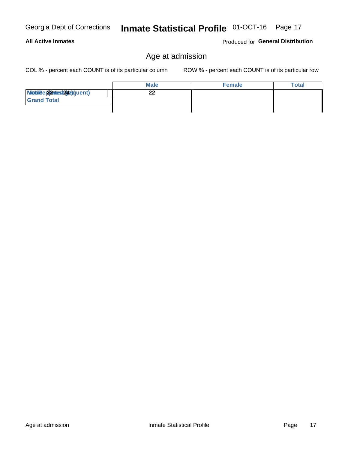## Inmate Statistical Profile 01-OCT-16 Page 17

## Age at admission

COL % - percent each COUNT is of its particular column

ROW % - percent each COUNT is of its particular row

|                          | <b>Male</b> | <b>Female</b> | <b>Total</b> |
|--------------------------|-------------|---------------|--------------|
| Modiae 22 Mast24e)quent) | ົ<br>- -    |               |              |
| <b>Grand Total</b>       |             |               |              |
|                          |             |               |              |

Produced for General Distribution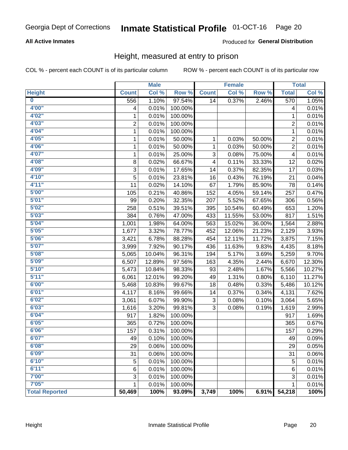#### Inmate Statistical Profile 01-OCT-16 Page 20

## **All Active Inmates**

## Produced for General Distribution

## Height, measured at entry to prison

COL % - percent each COUNT is of its particular column

|                       |                | <b>Male</b> |         |                         | <b>Female</b> |        |                | <b>Total</b> |
|-----------------------|----------------|-------------|---------|-------------------------|---------------|--------|----------------|--------------|
| <b>Height</b>         | <b>Count</b>   | Col %       | Row %   | <b>Count</b>            | Col %         | Row %  | <b>Total</b>   | Col %        |
| $\bf{0}$              | 556            | 1.10%       | 97.54%  | 14                      | 0.37%         | 2.46%  | 570            | 1.05%        |
| 4'00"                 | 4              | 0.01%       | 100.00% |                         |               |        | 4              | 0.01%        |
| 4'02"                 | 1              | 0.01%       | 100.00% |                         |               |        | 1              | 0.01%        |
| 4'03''                | $\overline{2}$ | 0.01%       | 100.00% |                         |               |        | $\overline{c}$ | 0.01%        |
| 4'04"                 | 1              | 0.01%       | 100.00% |                         |               |        | $\mathbf{1}$   | 0.01%        |
| 4'05"                 | 1              | 0.01%       | 50.00%  | $\mathbf{1}$            | 0.03%         | 50.00% | $\overline{2}$ | 0.01%        |
| 4'06"                 | 1              | 0.01%       | 50.00%  | $\mathbf{1}$            | 0.03%         | 50.00% | $\overline{2}$ | 0.01%        |
| 4'07"                 | 1              | 0.01%       | 25.00%  | 3                       | 0.08%         | 75.00% | 4              | 0.01%        |
| 4'08"                 | 8              | 0.02%       | 66.67%  | $\overline{\mathbf{4}}$ | 0.11%         | 33.33% | 12             | 0.02%        |
| 4'09"                 | 3              | 0.01%       | 17.65%  | 14                      | 0.37%         | 82.35% | 17             | 0.03%        |
| 4'10''                | 5              | 0.01%       | 23.81%  | 16                      | 0.43%         | 76.19% | 21             | 0.04%        |
| 4'11''                | 11             | 0.02%       | 14.10%  | 67                      | 1.79%         | 85.90% | 78             | 0.14%        |
| 5'00''                | 105            | 0.21%       | 40.86%  | 152                     | 4.05%         | 59.14% | 257            | 0.47%        |
| 5'01''                | 99             | 0.20%       | 32.35%  | 207                     | 5.52%         | 67.65% | 306            | 0.56%        |
| 5'02"                 | 258            | 0.51%       | 39.51%  | 395                     | 10.54%        | 60.49% | 653            | 1.20%        |
| 5'03''                | 384            | 0.76%       | 47.00%  | 433                     | 11.55%        | 53.00% | 817            | 1.51%        |
| 5'04"                 | 1,001          | 1.98%       | 64.00%  | 563                     | 15.02%        | 36.00% | 1,564          | 2.88%        |
| 5'05"                 | 1,677          | 3.32%       | 78.77%  | 452                     | 12.06%        | 21.23% | 2,129          | 3.93%        |
| 5'06''                | 3,421          | 6.78%       | 88.28%  | 454                     | 12.11%        | 11.72% | 3,875          | 7.15%        |
| 5'07''                | 3,999          | 7.92%       | 90.17%  | 436                     | 11.63%        | 9.83%  | 4,435          | 8.18%        |
| 5'08''                | 5,065          | 10.04%      | 96.31%  | 194                     | 5.17%         | 3.69%  | 5,259          | 9.70%        |
| 5'09''                | 6,507          | 12.89%      | 97.56%  | 163                     | 4.35%         | 2.44%  | 6,670          | 12.30%       |
| 5'10''                | 5,473          | 10.84%      | 98.33%  | 93                      | 2.48%         | 1.67%  | 5,566          | 10.27%       |
| 5'11''                | 6,061          | 12.01%      | 99.20%  | 49                      | 1.31%         | 0.80%  | 6,110          | 11.27%       |
| 6'00''                | 5,468          | 10.83%      | 99.67%  | 18                      | 0.48%         | 0.33%  | 5,486          | 10.12%       |
| 6'01''                | 4,117          | 8.16%       | 99.66%  | 14                      | 0.37%         | 0.34%  | 4,131          | 7.62%        |
| 6'02"                 | 3,061          | 6.07%       | 99.90%  | 3                       | 0.08%         | 0.10%  | 3,064          | 5.65%        |
| 6'03''                | 1,616          | 3.20%       | 99.81%  | 3                       | 0.08%         | 0.19%  | 1,619          | 2.99%        |
| 6'04"                 | 917            | 1.82%       | 100.00% |                         |               |        | 917            | 1.69%        |
| 6'05"                 | 365            | 0.72%       | 100.00% |                         |               |        | 365            | 0.67%        |
| 6'06''                | 157            | 0.31%       | 100.00% |                         |               |        | 157            | 0.29%        |
| 6'07''                | 49             | 0.10%       | 100.00% |                         |               |        | 49             | 0.09%        |
| 6'08''                | 29             | 0.06%       | 100.00% |                         |               |        | 29             | 0.05%        |
| 6'09''                | 31             | 0.06%       | 100.00% |                         |               |        | 31             | 0.06%        |
| 6'10''                | 5              | 0.01%       | 100.00% |                         |               |        | 5              | 0.01%        |
| 6'11''                | 6              | 0.01%       | 100.00% |                         |               |        | 6              | 0.01%        |
| 7'00"                 | 3              | 0.01%       | 100.00% |                         |               |        | 3              | 0.01%        |
| 7'05"                 | 1              | 0.01%       | 100.00% |                         |               |        | 1              | 0.01%        |
| <b>Total Reported</b> | 50,469         | 100%        | 93.09%  | 3,749                   | 100%          | 6.91%  | 54,218         | 100%         |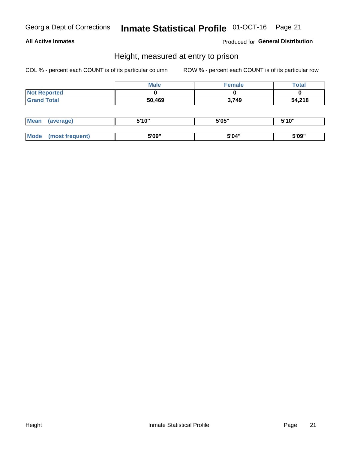## Inmate Statistical Profile 01-OCT-16 Page 21

## **All Active Inmates**

Produced for General Distribution

## Height, measured at entry to prison

COL % - percent each COUNT is of its particular column

|                     | <b>Male</b> | <b>Female</b> | <b>Total</b> |
|---------------------|-------------|---------------|--------------|
| <b>Not Reported</b> |             |               |              |
| <b>Grand Total</b>  | 50,469      | 3,749         | 54,218       |

| <b>Mean</b> | 'average) | EI4 OIL | 5'05" | 5'10" |
|-------------|-----------|---------|-------|-------|
|             |           |         |       |       |
| $M_{\odot}$ | frequent) | 5'09"   | 5'04" | 5'09" |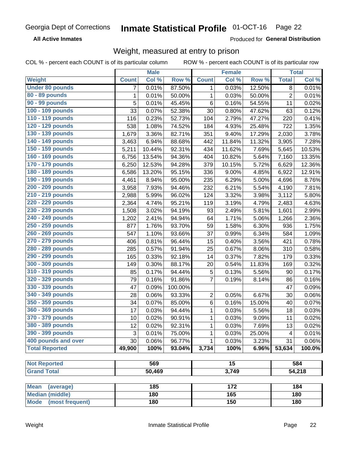#### **Inmate Statistical Profile 01-OCT-16** Page 22

**All Active Inmates** 

Produced for General Distribution

## Weight, measured at entry to prison

COL % - percent each COUNT is of its particular column

|                          |              | <b>Male</b> |         |                 | <b>Female</b> |        |                | <b>Total</b> |
|--------------------------|--------------|-------------|---------|-----------------|---------------|--------|----------------|--------------|
| <b>Weight</b>            | <b>Count</b> | Col %       | Row %   | <b>Count</b>    | Col %         | Row %  | <b>Total</b>   | Col %        |
| <b>Under 80 pounds</b>   | 7            | 0.01%       | 87.50%  | 1               | 0.03%         | 12.50% | 8              | 0.01%        |
| 80 - 89 pounds           | $\mathbf{1}$ | 0.01%       | 50.00%  | 1               | 0.03%         | 50.00% | $\overline{c}$ | 0.01%        |
| 90 - 99 pounds           | 5            | 0.01%       | 45.45%  | 6               | 0.16%         | 54.55% | 11             | 0.02%        |
| 100 - 109 pounds         | 33           | 0.07%       | 52.38%  | 30              | 0.80%         | 47.62% | 63             | 0.12%        |
| 110 - 119 pounds         | 116          | 0.23%       | 52.73%  | 104             | 2.79%         | 47.27% | 220            | 0.41%        |
| 120 - 129 pounds         | 538          | 1.08%       | 74.52%  | 184             | 4.93%         | 25.48% | 722            | 1.35%        |
| 130 - 139 pounds         | 1,679        | 3.36%       | 82.71%  | 351             | 9.40%         | 17.29% | 2,030          | 3.78%        |
| 140 - 149 pounds         | 3,463        | 6.94%       | 88.68%  | 442             | 11.84%        | 11.32% | 3,905          | 7.28%        |
| 150 - 159 pounds         | 5,211        | 10.44%      | 92.31%  | 434             | 11.62%        | 7.69%  | 5,645          | 10.53%       |
| 160 - 169 pounds         | 6,756        | 13.54%      | 94.36%  | 404             | 10.82%        | 5.64%  | 7,160          | 13.35%       |
| 170 - 179 pounds         | 6,250        | 12.53%      | 94.28%  | 379             | 10.15%        | 5.72%  | 6,629          | 12.36%       |
| 180 - 189 pounds         | 6,586        | 13.20%      | 95.15%  | 336             | 9.00%         | 4.85%  | 6,922          | 12.91%       |
| 190 - 199 pounds         | 4,461        | 8.94%       | 95.00%  | 235             | 6.29%         | 5.00%  | 4,696          | 8.76%        |
| 200 - 209 pounds         | 3,958        | 7.93%       | 94.46%  | 232             | 6.21%         | 5.54%  | 4,190          | 7.81%        |
| 210 - 219 pounds         | 2,988        | 5.99%       | 96.02%  | 124             | 3.32%         | 3.98%  | 3,112          | 5.80%        |
| 220 - 229 pounds         | 2,364        | 4.74%       | 95.21%  | 119             | 3.19%         | 4.79%  | 2,483          | 4.63%        |
| 230 - 239 pounds         | 1,508        | 3.02%       | 94.19%  | 93              | 2.49%         | 5.81%  | 1,601          | 2.99%        |
| 240 - 249 pounds         | 1,202        | 2.41%       | 94.94%  | 64              | 1.71%         | 5.06%  | 1,266          | 2.36%        |
| 250 - 259 pounds         | 877          | 1.76%       | 93.70%  | 59              | 1.58%         | 6.30%  | 936            | 1.75%        |
| 260 - 269 pounds         | 547          | 1.10%       | 93.66%  | 37              | 0.99%         | 6.34%  | 584            | 1.09%        |
| 270 - 279 pounds         | 406          | 0.81%       | 96.44%  | 15              | 0.40%         | 3.56%  | 421            | 0.78%        |
| 280 - 289 pounds         | 285          | 0.57%       | 91.94%  | 25              | 0.67%         | 8.06%  | 310            | 0.58%        |
| 290 - 299 pounds         | 165          | 0.33%       | 92.18%  | 14              | 0.37%         | 7.82%  | 179            | 0.33%        |
| 300 - 309 pounds         | 149          | 0.30%       | 88.17%  | 20              | 0.54%         | 11.83% | 169            | 0.32%        |
| 310 - 319 pounds         | 85           | 0.17%       | 94.44%  | $\mathbf 5$     | 0.13%         | 5.56%  | 90             | 0.17%        |
| 320 - 329 pounds         | 79           | 0.16%       | 91.86%  | $\overline{7}$  | 0.19%         | 8.14%  | 86             | 0.16%        |
| 330 - 339 pounds         | 47           | 0.09%       | 100.00% |                 |               |        | 47             | 0.09%        |
| 340 - 349 pounds         | 28           | 0.06%       | 93.33%  | $\overline{2}$  | 0.05%         | 6.67%  | 30             | 0.06%        |
| 350 - 359 pounds         | 34           | 0.07%       | 85.00%  | 6               | 0.16%         | 15.00% | 40             | 0.07%        |
| 360 - 369 pounds         | 17           | 0.03%       | 94.44%  | 1               | 0.03%         | 5.56%  | 18             | 0.03%        |
| 370 - 379 pounds         | 10           | 0.02%       | 90.91%  | 1               | 0.03%         | 9.09%  | 11             | 0.02%        |
| 380 - 389 pounds         | 12           | 0.02%       | 92.31%  | 1               | 0.03%         | 7.69%  | 13             | 0.02%        |
| 390 - 399 pounds         | 3            | 0.01%       | 75.00%  | 1               | 0.03%         | 25.00% | 4              | 0.01%        |
| 400 pounds and over      | 30           | 0.06%       | 96.77%  | 1               | 0.03%         | 3.23%  | 31             | 0.06%        |
| <b>Total Reported</b>    | 49,900       | 100%        | 93.04%  | 3,734           | 100%          | 6.96%  | 53,634         | 100.0%       |
|                          |              |             |         |                 |               |        |                |              |
| <b>Not Reported</b>      |              | 569         |         | $\overline{15}$ |               |        |                | 584          |
| <b>Grand Total</b>       |              | 50,469      |         | 3,749           |               |        |                | 54,218       |
|                          |              |             |         |                 |               |        |                |              |
| <b>Mean</b><br>(average) |              | 185         |         |                 | 172           |        |                | 184          |
| <b>Median (middle)</b>   |              | 180         |         |                 | 165           |        |                | 180          |
| Mode (most frequent)     |              | 180         |         |                 | 150           |        |                | 180          |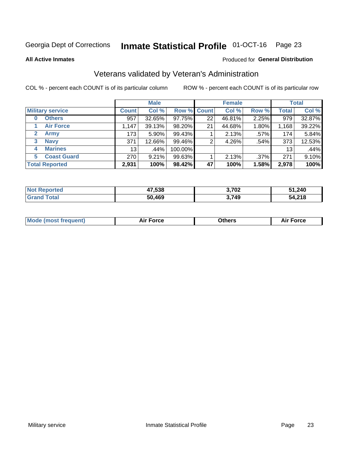#### **Inmate Statistical Profile 01-OCT-16** Page 23

**All Active Inmates** 

## Produced for General Distribution

## Veterans validated by Veteran's Administration

COL % - percent each COUNT is of its particular column

|                             |                 | <b>Male</b> |                    |    | <b>Female</b> |         |              | <b>Total</b> |
|-----------------------------|-----------------|-------------|--------------------|----|---------------|---------|--------------|--------------|
| <b>Military service</b>     | <b>Count</b>    | Col %       | <b>Row % Count</b> |    | Col %         | Row %   | <b>Total</b> | Col %        |
| <b>Others</b><br>0          | 957             | 32.65%      | 97.75%             | 22 | 46.81%        | 2.25%   | 979          | 32.87%       |
| <b>Air Force</b>            | 1,147           | 39.13%      | 98.20%             | 21 | 44.68%        | 1.80%   | 1,168        | 39.22%       |
| $\mathbf{2}$<br><b>Army</b> | 173             | $5.90\%$    | 99.43%             |    | 2.13%         | .57%    | 174          | 5.84%        |
| <b>Navy</b><br>3            | 371             | 12.66%      | 99.46%             | 2  | 4.26%         | .54%    | 373          | 12.53%       |
| <b>Marines</b><br>4         | 13 <sub>1</sub> | .44%        | 100.00%            |    |               |         | 13           | .44%         |
| <b>Coast Guard</b><br>5.    | 270             | 9.21%       | 99.63%             |    | 2.13%         | $.37\%$ | 271          | 9.10%        |
| <b>Total Reported</b>       | 2,931           | 100%        | 98.42%             | 47 | 100%          | 1.58%   | 2,978        | 100%         |

| <b>Not</b><br>Reported | 47,538 | 3,702 | 51,240 |
|------------------------|--------|-------|--------|
| 'otal                  | 50,469 | 3,749 | 54,218 |

|  |  | <b>Mode (most frequent)</b> | <b>Force</b><br>Aır | วthers | orce |
|--|--|-----------------------------|---------------------|--------|------|
|--|--|-----------------------------|---------------------|--------|------|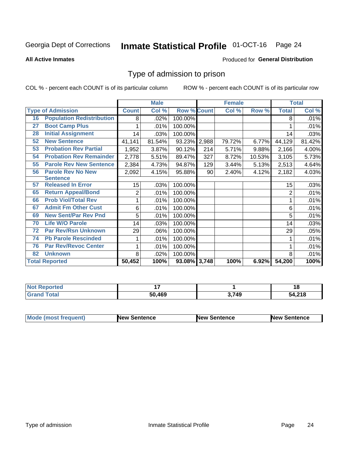## Inmate Statistical Profile 01-OCT-16 Page 24

### **All Active Inmates**

## Produced for General Distribution

## Type of admission to prison

COL % - percent each COUNT is of its particular column

|    |                                  |              | <b>Male</b> |                    |     | <b>Female</b> |        |                | <b>Total</b> |
|----|----------------------------------|--------------|-------------|--------------------|-----|---------------|--------|----------------|--------------|
|    | <b>Type of Admission</b>         | <b>Count</b> | Col %       | <b>Row % Count</b> |     | Col %         | Row %  | <b>Total</b>   | Col %        |
| 16 | <b>Population Redistribution</b> | 8            | .02%        | 100.00%            |     |               |        | 8              | .01%         |
| 27 | <b>Boot Camp Plus</b>            |              | .01%        | 100.00%            |     |               |        |                | .01%         |
| 28 | <b>Initial Assignment</b>        | 14           | .03%        | 100.00%            |     |               |        | 14             | .03%         |
| 52 | <b>New Sentence</b>              | 41,141       | 81.54%      | 93.23% 2,988       |     | 79.72%        | 6.77%  | 44,129         | 81.42%       |
| 53 | <b>Probation Rev Partial</b>     | 1,952        | 3.87%       | 90.12%             | 214 | 5.71%         | 9.88%  | 2,166          | 4.00%        |
| 54 | <b>Probation Rev Remainder</b>   | 2,778        | 5.51%       | 89.47%             | 327 | 8.72%         | 10.53% | 3,105          | 5.73%        |
| 55 | <b>Parole Rev New Sentence</b>   | 2,384        | 4.73%       | 94.87%             | 129 | 3.44%         | 5.13%  | 2,513          | 4.64%        |
| 56 | <b>Parole Rev No New</b>         | 2,092        | 4.15%       | 95.88%             | 90  | 2.40%         | 4.12%  | 2,182          | 4.03%        |
|    | <b>Sentence</b>                  |              |             |                    |     |               |        |                |              |
| 57 | <b>Released In Error</b>         | 15           | .03%        | 100.00%            |     |               |        | 15             | .03%         |
| 65 | <b>Return Appeal/Bond</b>        | 2            | .01%        | 100.00%            |     |               |        | $\overline{2}$ | .01%         |
| 66 | <b>Prob Viol/Total Rev</b>       | 1            | .01%        | 100.00%            |     |               |        |                | .01%         |
| 67 | <b>Admit Fm Other Cust</b>       | 6            | .01%        | 100.00%            |     |               |        | 6              | .01%         |
| 69 | <b>New Sent/Par Rev Pnd</b>      | 5            | .01%        | 100.00%            |     |               |        | 5              | .01%         |
| 70 | <b>Life W/O Parole</b>           | 14           | .03%        | 100.00%            |     |               |        | 14             | .03%         |
| 72 | <b>Par Rev/Rsn Unknown</b>       | 29           | .06%        | 100.00%            |     |               |        | 29             | .05%         |
| 74 | <b>Pb Parole Rescinded</b>       |              | .01%        | 100.00%            |     |               |        |                | .01%         |
| 76 | <b>Par Rev/Revoc Center</b>      | 1            | .01%        | 100.00%            |     |               |        |                | .01%         |
| 82 | <b>Unknown</b>                   | 8            | .02%        | 100.00%            |     |               |        | 8              | .01%         |
|    | <b>Total Reported</b>            | 50,452       | 100%        | 93.08% 3,748       |     | 100%          | 6.92%  | 54,200         | 100%         |

| <b>Not</b><br><b>orted</b> |        |       | . .<br>1 O |
|----------------------------|--------|-------|------------|
| <b>Total</b>               | 50,469 | 3,749 | 4,218      |

| Mode (most frequent) | <b>New Sentence</b> | <b>New Sentence</b> | <b>New Sentence</b> |
|----------------------|---------------------|---------------------|---------------------|
|                      |                     |                     |                     |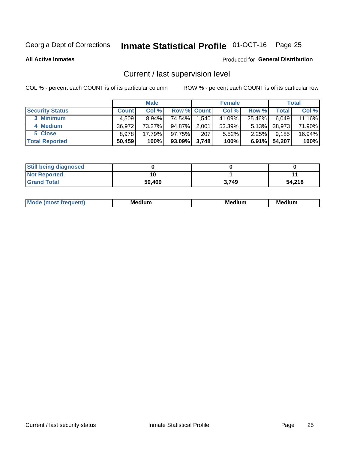## Inmate Statistical Profile 01-OCT-16 Page 25

**All Active Inmates** 

## Produced for General Distribution

## Current / last supervision level

COL % - percent each COUNT is of its particular column

|                        |              | <b>Male</b> |                    |       | <b>Female</b> |          |        | <b>Total</b> |
|------------------------|--------------|-------------|--------------------|-------|---------------|----------|--------|--------------|
| <b>Security Status</b> | <b>Count</b> | Col %       | <b>Row % Count</b> |       | Col %         | Row %    | Total  | Col %        |
| 3 Minimum              | 4.509        | 8.94%       | 74.54%             | 1,540 | 41.09%        | 25.46%   | 6,049  | 11.16%       |
| 4 Medium               | 36.972       | 73.27%      | 94.87%             | 2,001 | 53.39%        | $5.13\%$ | 38,973 | 71.90%       |
| 5 Close                | 8.978        | 17.79%      | $97.75\%$          | 207   | 5.52%         | $2.25\%$ | 9,185  | 16.94%       |
| <b>Total Reported</b>  | 50,459       | 100%        | $93.09\%$          | 3,748 | 100%          | $6.91\%$ | 54,207 | 100%         |

| <b>Still being diagnosed</b> |        |       |        |
|------------------------------|--------|-------|--------|
| <b>Not Reported</b>          |        |       |        |
| <b>Grand Total</b>           | 50,469 | 3.749 | 54,218 |

| M | . | -- |
|---|---|----|
|   |   |    |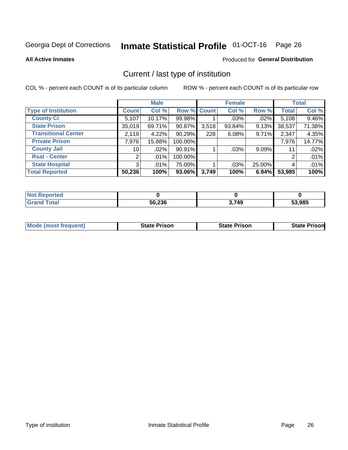## Inmate Statistical Profile 01-OCT-16 Page 26

**All Active Inmates** 

## Produced for General Distribution

## Current / last type of institution

COL % - percent each COUNT is of its particular column

|                            |                 | <b>Male</b> |             |       | <b>Female</b> |          |              | <b>Total</b> |
|----------------------------|-----------------|-------------|-------------|-------|---------------|----------|--------------|--------------|
| <b>Type of Institution</b> | <b>Count</b>    | Col %       | Row % Count |       | Col %         | Row %    | <b>Total</b> | Col %        |
| <b>County Ci</b>           | 5,107           | 10.17%      | 99.98%      |       | $.03\%$       | .02%     | 5,108        | 9.46%        |
| <b>State Prison</b>        | 35,019          | 69.71%      | 90.87%      | 3,518 | 93.84%        | 9.13%    | 38,537       | 71.38%       |
| <b>Transitional Center</b> | 2,119           | 4.22%       | 90.29%      | 228   | 6.08%         | 9.71%    | 2,347        | 4.35%        |
| <b>Private Prison</b>      | 7,976           | 15.88%      | 100.00%     |       |               |          | 7,976        | 14.77%       |
| <b>County Jail</b>         | 10 <sup>1</sup> | $.02\%$     | 90.91%      |       | .03%          | $9.09\%$ | 11           | .02%         |
| <b>Rsat - Center</b>       | 2               | .01%        | 100.00%     |       |               |          | 2            | .01%         |
| <b>State Hospital</b>      | 3 <sup>1</sup>  | $.01\%$     | 75.00%      |       | .03%          | 25.00%   | 4            | .01%         |
| <b>Total Reported</b>      | 50,236          | 100%        | 93.06%      | 3,749 | 100%          | 6.94%    | 53,985       | 100%         |

| oorted<br>NOT |        |       |        |
|---------------|--------|-------|--------|
| <b>otal</b>   | 50,236 | 3,749 | 53,985 |

| <b>Mode (most frequent)</b> | <b>State Prison</b> | <b>State Prison</b> | <b>State Prison</b> |
|-----------------------------|---------------------|---------------------|---------------------|
|                             |                     |                     |                     |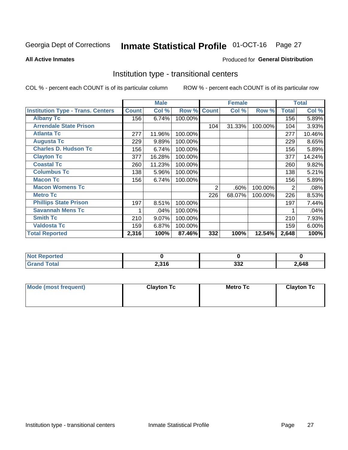## Inmate Statistical Profile 01-OCT-16 Page 27

### **All Active Inmates**

## Produced for General Distribution

## Institution type - transitional centers

COL % - percent each COUNT is of its particular column

|                                          |              | <b>Male</b> |         |              | <b>Female</b> |         |              | <b>Total</b> |
|------------------------------------------|--------------|-------------|---------|--------------|---------------|---------|--------------|--------------|
| <b>Institution Type - Trans. Centers</b> | <b>Count</b> | Col %       | Row %   | <b>Count</b> | Col %         | Row %   | <b>Total</b> | Col %        |
| <b>Albany Tc</b>                         | 156          | 6.74%       | 100.00% |              |               |         | 156          | 5.89%        |
| <b>Arrendale State Prison</b>            |              |             |         | 104          | 31.33%        | 100.00% | 104          | 3.93%        |
| <b>Atlanta Tc</b>                        | 277          | 11.96%      | 100.00% |              |               |         | 277          | 10.46%       |
| <b>Augusta Tc</b>                        | 229          | 9.89%       | 100.00% |              |               |         | 229          | 8.65%        |
| <b>Charles D. Hudson Tc</b>              | 156          | 6.74%       | 100.00% |              |               |         | 156          | 5.89%        |
| <b>Clayton Tc</b>                        | 377          | 16.28%      | 100.00% |              |               |         | 377          | 14.24%       |
| <b>Coastal Tc</b>                        | 260          | 11.23%      | 100.00% |              |               |         | 260          | 9.82%        |
| <b>Columbus Tc</b>                       | 138          | 5.96%       | 100.00% |              |               |         | 138          | 5.21%        |
| <b>Macon Tc</b>                          | 156          | 6.74%       | 100.00% |              |               |         | 156          | 5.89%        |
| <b>Macon Womens Tc</b>                   |              |             |         | 2            | .60%          | 100.00% | 2            | .08%         |
| <b>Metro Tc</b>                          |              |             |         | 226          | 68.07%        | 100.00% | 226          | 8.53%        |
| <b>Phillips State Prison</b>             | 197          | 8.51%       | 100.00% |              |               |         | 197          | 7.44%        |
| <b>Savannah Mens Tc</b>                  |              | .04%        | 100.00% |              |               |         |              | .04%         |
| <b>Smith Tc</b>                          | 210          | 9.07%       | 100.00% |              |               |         | 210          | 7.93%        |
| <b>Valdosta Tc</b>                       | 159          | 6.87%       | 100.00% |              |               |         | 159          | 6.00%        |
| <b>Total Reported</b>                    | 2,316        | 100%        | 87.46%  | 332          | 100%          | 12.54%  | 2,648        | 100%         |

| тео |       |            |       |
|-----|-------|------------|-------|
|     | 2,316 | າາາ<br>งง∠ | .,648 |

| Mode (most frequent) | <b>Clayton Tc</b> | Metro Tc | <b>Clayton Tc</b> |
|----------------------|-------------------|----------|-------------------|
|                      |                   |          |                   |
|                      |                   |          |                   |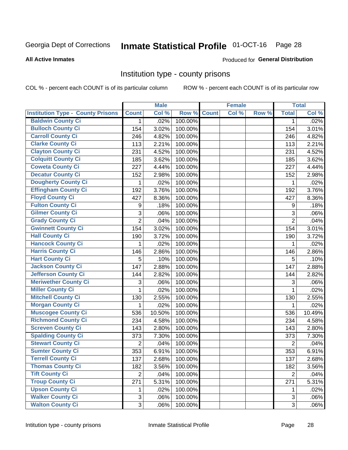## Inmate Statistical Profile 01-OCT-16 Page 28

### **All Active Inmates**

### Produced for General Distribution

## Institution type - county prisons

COL % - percent each COUNT is of its particular column

|                                          |                | <b>Male</b> |         |              | <b>Female</b> |       |                | <b>Total</b> |
|------------------------------------------|----------------|-------------|---------|--------------|---------------|-------|----------------|--------------|
| <b>Institution Type - County Prisons</b> | <b>Count</b>   | Col %       | Row %   | <b>Count</b> | Col %         | Row % | <b>Total</b>   | Col %        |
| <b>Baldwin County Ci</b>                 | $\mathbf{1}$   | .02%        | 100.00% |              |               |       | $\mathbf 1$    | .02%         |
| <b>Bulloch County Ci</b>                 | 154            | 3.02%       | 100.00% |              |               |       | 154            | 3.01%        |
| <b>Carroll County Ci</b>                 | 246            | 4.82%       | 100.00% |              |               |       | 246            | 4.82%        |
| <b>Clarke County Ci</b>                  | 113            | 2.21%       | 100.00% |              |               |       | 113            | 2.21%        |
| <b>Clayton County Ci</b>                 | 231            | 4.52%       | 100.00% |              |               |       | 231            | 4.52%        |
| <b>Colquitt County Ci</b>                | 185            | 3.62%       | 100.00% |              |               |       | 185            | 3.62%        |
| <b>Coweta County Ci</b>                  | 227            | 4.44%       | 100.00% |              |               |       | 227            | 4.44%        |
| <b>Decatur County Ci</b>                 | 152            | 2.98%       | 100.00% |              |               |       | 152            | 2.98%        |
| <b>Dougherty County Ci</b>               | 1              | .02%        | 100.00% |              |               |       | 1              | .02%         |
| <b>Effingham County Ci</b>               | 192            | 3.76%       | 100.00% |              |               |       | 192            | 3.76%        |
| <b>Floyd County Ci</b>                   | 427            | 8.36%       | 100.00% |              |               |       | 427            | 8.36%        |
| <b>Fulton County Ci</b>                  | 9              | .18%        | 100.00% |              |               |       | 9              | .18%         |
| <b>Gilmer County Ci</b>                  | $\mathbf{3}$   | .06%        | 100.00% |              |               |       | 3              | .06%         |
| <b>Grady County Ci</b>                   | $\overline{2}$ | .04%        | 100.00% |              |               |       | $\overline{2}$ | .04%         |
| <b>Gwinnett County Ci</b>                | 154            | 3.02%       | 100.00% |              |               |       | 154            | 3.01%        |
| <b>Hall County Ci</b>                    | 190            | 3.72%       | 100.00% |              |               |       | 190            | 3.72%        |
| <b>Hancock County Ci</b>                 | 1              | .02%        | 100.00% |              |               |       | 1              | .02%         |
| <b>Harris County Ci</b>                  | 146            | 2.86%       | 100.00% |              |               |       | 146            | 2.86%        |
| <b>Hart County Ci</b>                    | 5              | .10%        | 100.00% |              |               |       | 5              | .10%         |
| <b>Jackson County Ci</b>                 | 147            | 2.88%       | 100.00% |              |               |       | 147            | 2.88%        |
| <b>Jefferson County Ci</b>               | 144            | 2.82%       | 100.00% |              |               |       | 144            | 2.82%        |
| <b>Meriwether County Ci</b>              | 3              | .06%        | 100.00% |              |               |       | 3              | .06%         |
| <b>Miller County Ci</b>                  | 1              | .02%        | 100.00% |              |               |       | 1              | .02%         |
| <b>Mitchell County Ci</b>                | 130            | 2.55%       | 100.00% |              |               |       | 130            | 2.55%        |
| <b>Morgan County Ci</b>                  | 1              | .02%        | 100.00% |              |               |       | 1              | .02%         |
| <b>Muscogee County Ci</b>                | 536            | 10.50%      | 100.00% |              |               |       | 536            | 10.49%       |
| <b>Richmond County Ci</b>                | 234            | 4.58%       | 100.00% |              |               |       | 234            | 4.58%        |
| <b>Screven County Ci</b>                 | 143            | 2.80%       | 100.00% |              |               |       | 143            | 2.80%        |
| <b>Spalding County Ci</b>                | 373            | 7.30%       | 100.00% |              |               |       | 373            | 7.30%        |
| <b>Stewart County Ci</b>                 | $\overline{2}$ | .04%        | 100.00% |              |               |       | $\overline{2}$ | .04%         |
| <b>Sumter County Ci</b>                  | 353            | 6.91%       | 100.00% |              |               |       | 353            | 6.91%        |
| <b>Terrell County Ci</b>                 | 137            | 2.68%       | 100.00% |              |               |       | 137            | 2.68%        |
| <b>Thomas County Ci</b>                  | 182            | 3.56%       | 100.00% |              |               |       | 182            | 3.56%        |
| <b>Tift County Ci</b>                    | $\overline{2}$ | .04%        | 100.00% |              |               |       | $\overline{2}$ | .04%         |
| <b>Troup County Ci</b>                   | 271            | 5.31%       | 100.00% |              |               |       | 271            | 5.31%        |
| <b>Upson County Ci</b>                   | 1              | .02%        | 100.00% |              |               |       | 1              | .02%         |
| <b>Walker County Ci</b>                  | $\mathfrak{B}$ | .06%        | 100.00% |              |               |       | 3              | .06%         |
| <b>Walton County Ci</b>                  | 3              | .06%        | 100.00% |              |               |       | 3              | .06%         |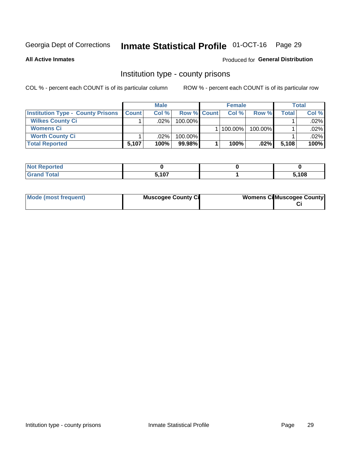## Inmate Statistical Profile 01-OCT-16 Page 29

**All Active Inmates** 

## Produced for General Distribution

## Institution type - county prisons

COL % - percent each COUNT is of its particular column

|                                          |              | <b>Male</b> |                    | <b>Female</b> |         |         | <b>Total</b> |
|------------------------------------------|--------------|-------------|--------------------|---------------|---------|---------|--------------|
| <b>Institution Type - County Prisons</b> | <b>Count</b> | Col%        | <b>Row % Count</b> | Col%          | Row %   | Total i | Col %        |
| <b>Wilkes County Ci</b>                  |              | .02%        | $100.00\%$         |               |         |         | $.02\%$      |
| <b>Womens Ci</b>                         |              |             |                    | 100.00%       | 100.00% |         | $.02\%$      |
| <b>Worth County Ci</b>                   |              | $.02\%$     | 100.00%            |               |         |         | $.02\%$      |
| <b>Total Reported</b>                    | 5,107        | 100%        | 99.98%             | 100%          | $.02\%$ | 5,108   | 100%         |

| τeα                         |       |      |
|-----------------------------|-------|------|
| $\sim$ $\sim$ $\sim$ $\sim$ | 5,107 | ,108 |

| Mode (most frequent)<br><b>Muscogee County Ci</b> |  | <b>Womens CilMuscogee County</b> |
|---------------------------------------------------|--|----------------------------------|
|---------------------------------------------------|--|----------------------------------|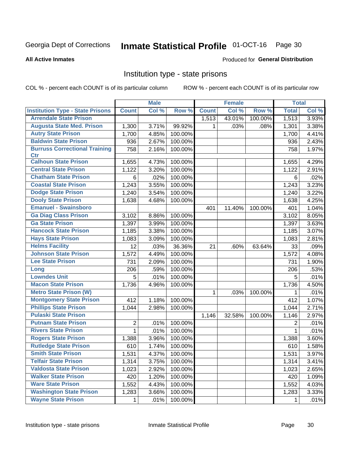## Inmate Statistical Profile 01-OCT-16 Page 30

### **All Active Inmates**

## Produced for General Distribution

## Institution type - state prisons

COL % - percent each COUNT is of its particular column

|                                         |              | <b>Male</b> |         |              | <b>Female</b> |         | <b>Total</b> |       |
|-----------------------------------------|--------------|-------------|---------|--------------|---------------|---------|--------------|-------|
| <b>Institution Type - State Prisons</b> | <b>Count</b> | Col %       | Row %   | <b>Count</b> | Col %         | Row %   | <b>Total</b> | Col % |
| <b>Arrendale State Prison</b>           |              |             |         | 1,513        | 43.01%        | 100.00% | 1,513        | 3.93% |
| <b>Augusta State Med. Prison</b>        | 1,300        | 3.71%       | 99.92%  | $\mathbf 1$  | .03%          | .08%    | 1,301        | 3.38% |
| <b>Autry State Prison</b>               | 1,700        | 4.85%       | 100.00% |              |               |         | 1,700        | 4.41% |
| <b>Baldwin State Prison</b>             | 936          | 2.67%       | 100.00% |              |               |         | 936          | 2.43% |
| <b>Burruss Correctional Training</b>    | 758          | 2.16%       | 100.00% |              |               |         | 758          | 1.97% |
| <b>Ctr</b>                              |              |             |         |              |               |         |              |       |
| <b>Calhoun State Prison</b>             | 1,655        | 4.73%       | 100.00% |              |               |         | 1,655        | 4.29% |
| <b>Central State Prison</b>             | 1,122        | 3.20%       | 100.00% |              |               |         | 1,122        | 2.91% |
| <b>Chatham State Prison</b>             | 6            | .02%        | 100.00% |              |               |         | 6            | .02%  |
| <b>Coastal State Prison</b>             | 1,243        | 3.55%       | 100.00% |              |               |         | 1,243        | 3.23% |
| <b>Dodge State Prison</b>               | 1,240        | 3.54%       | 100.00% |              |               |         | 1,240        | 3.22% |
| <b>Dooly State Prison</b>               | 1,638        | 4.68%       | 100.00% |              |               |         | 1,638        | 4.25% |
| <b>Emanuel - Swainsboro</b>             |              |             |         | 401          | 11.40%        | 100.00% | 401          | 1.04% |
| <b>Ga Diag Class Prison</b>             | 3,102        | 8.86%       | 100.00% |              |               |         | 3,102        | 8.05% |
| <b>Ga State Prison</b>                  | 1,397        | 3.99%       | 100.00% |              |               |         | 1,397        | 3.63% |
| <b>Hancock State Prison</b>             | 1,185        | 3.38%       | 100.00% |              |               |         | 1,185        | 3.07% |
| <b>Hays State Prison</b>                | 1,083        | 3.09%       | 100.00% |              |               |         | 1,083        | 2.81% |
| <b>Helms Facility</b>                   | 12           | .03%        | 36.36%  | 21           | .60%          | 63.64%  | 33           | .09%  |
| <b>Johnson State Prison</b>             | 1,572        | 4.49%       | 100.00% |              |               |         | 1,572        | 4.08% |
| <b>Lee State Prison</b>                 | 731          | 2.09%       | 100.00% |              |               |         | 731          | 1.90% |
| Long                                    | 206          | .59%        | 100.00% |              |               |         | 206          | .53%  |
| <b>Lowndes Unit</b>                     | 5            | .01%        | 100.00% |              |               |         | 5            | .01%  |
| <b>Macon State Prison</b>               | 1,736        | 4.96%       | 100.00% |              |               |         | 1,736        | 4.50% |
| <b>Metro State Prison (W)</b>           |              |             |         | 1            | .03%          | 100.00% | 1            | .01%  |
| <b>Montgomery State Prison</b>          | 412          | 1.18%       | 100.00% |              |               |         | 412          | 1.07% |
| <b>Phillips State Prison</b>            | 1,044        | 2.98%       | 100.00% |              |               |         | 1,044        | 2.71% |
| <b>Pulaski State Prison</b>             |              |             |         | 1,146        | 32.58%        | 100.00% | 1,146        | 2.97% |
| <b>Putnam State Prison</b>              | 2            | .01%        | 100.00% |              |               |         | 2            | .01%  |
| <b>Rivers State Prison</b>              | 1            | .01%        | 100.00% |              |               |         | 1            | .01%  |
| <b>Rogers State Prison</b>              | 1,388        | 3.96%       | 100.00% |              |               |         | 1,388        | 3.60% |
| <b>Rutledge State Prison</b>            | 610          | 1.74%       | 100.00% |              |               |         | 610          | 1.58% |
| <b>Smith State Prison</b>               | 1,531        | 4.37%       | 100.00% |              |               |         | 1,531        | 3.97% |
| <b>Telfair State Prison</b>             | 1,314        | 3.75%       | 100.00% |              |               |         | 1,314        | 3.41% |
| <b>Valdosta State Prison</b>            | 1,023        | 2.92%       | 100.00% |              |               |         | 1,023        | 2.65% |
| <b>Walker State Prison</b>              | 420          | 1.20%       | 100.00% |              |               |         | 420          | 1.09% |
| <b>Ware State Prison</b>                | 1,552        | 4.43%       | 100.00% |              |               |         | 1,552        | 4.03% |
| <b>Washington State Prison</b>          | 1,283        | 3.66%       | 100.00% |              |               |         | 1,283        | 3.33% |
| <b>Wayne State Prison</b>               | 1            | .01%        | 100.00% |              |               |         | 1            | .01%  |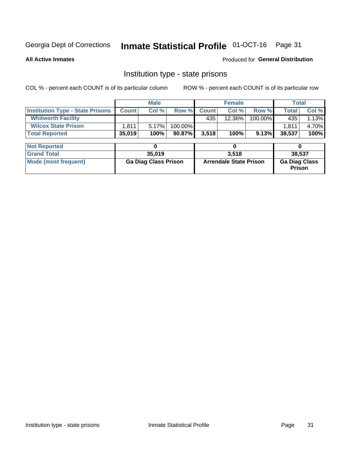## Inmate Statistical Profile 01-OCT-16 Page 31

**All Active Inmates** 

Produced for General Distribution

## Institution type - state prisons

COL % - percent each COUNT is of its particular column

|                                         |                             | <b>Male</b> |                               |              | <b>Female</b> |                                       | <b>Total</b> |        |
|-----------------------------------------|-----------------------------|-------------|-------------------------------|--------------|---------------|---------------------------------------|--------------|--------|
| <b>Institution Type - State Prisons</b> | <b>Count</b>                | Col %       | Row %                         | <b>Count</b> | Col %         | Row %                                 | <b>Total</b> | Col %  |
| <b>Whitworth Facility</b>               |                             |             |                               | 435          | 12.36%        | 100.00%                               | 435          | 1.13%  |
| <b>Wilcox State Prison</b>              | 1,811                       | 5.17%       | 100.00%                       |              |               |                                       | 1.811        | 4.70%  |
| <b>Total Reported</b>                   | 35,019                      | 100%        | 90.87%                        | 3,518        | 100%          | 9.13%                                 | 38,537       | 100%   |
| <b>Not Reported</b>                     |                             | 0           |                               |              | 0             |                                       | 0            |        |
| <b>Grand Total</b>                      |                             | 35,019      |                               |              | 3,518         |                                       |              | 38,537 |
| <b>Mode (most frequent)</b>             | <b>Ga Diag Class Prison</b> |             | <b>Arrendale State Prison</b> |              |               | <b>Ga Diag Class</b><br><b>Prison</b> |              |        |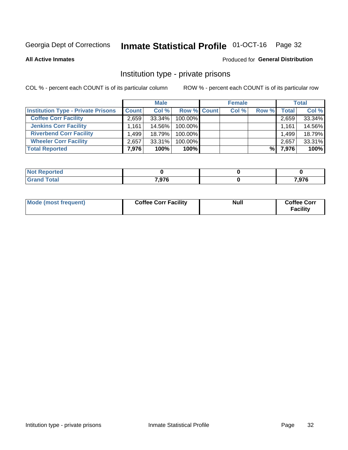## Inmate Statistical Profile 01-OCT-16 Page 32

**All Active Inmates** 

## Produced for General Distribution

## Institution type - private prisons

COL % - percent each COUNT is of its particular column

|                                           |              | <b>Male</b> |                    | <b>Female</b> |       |       | <b>Total</b> |
|-------------------------------------------|--------------|-------------|--------------------|---------------|-------|-------|--------------|
| <b>Institution Type - Private Prisons</b> | <b>Count</b> | Col %       | <b>Row % Count</b> | Col %         | Row % | Total | Col %        |
| <b>Coffee Corr Facility</b>               | 2.659        | 33.34%      | 100.00%            |               |       | 2,659 | 33.34%       |
| <b>Jenkins Corr Facility</b>              | 1.161        | 14.56%      | $100.00\%$         |               |       | 1,161 | 14.56%       |
| <b>Riverbend Corr Facility</b>            | .499         | 18.79%      | 100.00%            |               |       | 1,499 | 18.79%       |
| <b>Wheeler Corr Facility</b>              | 2,657        | 33.31%      | 100.00%            |               |       | 2,657 | 33.31%       |
| <b>Total Reported</b>                     | 7,976        | 100%        | 100%               |               | %।    | 7,976 | 100%         |

| Reported    |       |                    |
|-------------|-------|--------------------|
| <b>otal</b> | 7,976 | 7 Q76<br>. , J I V |

| Mode (most frequent) | <b>Coffee Corr Facility</b> | <b>Null</b> | <b>Coffee Corr</b><br><b>Facility</b> |
|----------------------|-----------------------------|-------------|---------------------------------------|
|----------------------|-----------------------------|-------------|---------------------------------------|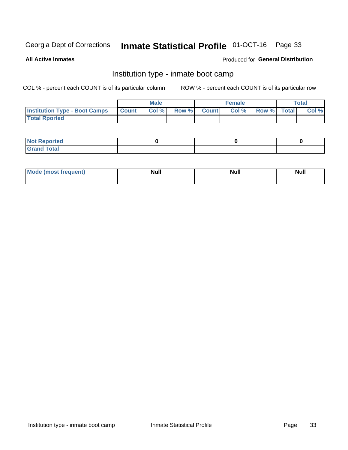#### **Inmate Statistical Profile 01-OCT-16** Page 33

**All Active Inmates** 

## Produced for General Distribution

## Institution type - inmate boot camp

COL % - percent each COUNT is of its particular column

|                                      |              | <b>Male</b> |               |              | <b>Female</b> |             | <b>Total</b> |
|--------------------------------------|--------------|-------------|---------------|--------------|---------------|-------------|--------------|
| <b>Institution Type - Boot Camps</b> | <b>Count</b> | Col %       | <b>Row %I</b> | <b>Count</b> | Col %         | Row % Total | Col %        |
| <b>Total Rported</b>                 |              |             |               |              |               |             |              |

| <b>Not Reported</b>            |  |  |
|--------------------------------|--|--|
| <b>Total</b><br>C <sub>r</sub> |  |  |

| Mod<br>uamo | Nul.<br>$- - - - - -$ | <b>Null</b> | <br>uu.<br>------ |
|-------------|-----------------------|-------------|-------------------|
|             |                       |             |                   |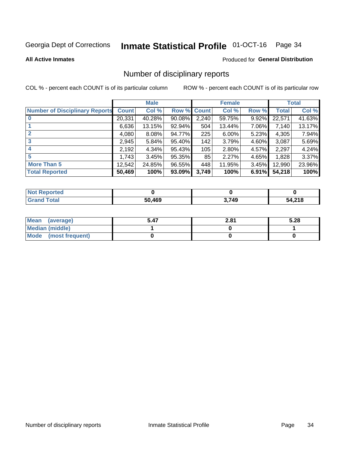## Inmate Statistical Profile 01-OCT-16 Page 34

### **All Active Inmates**

## Produced for General Distribution

## Number of disciplinary reports

COL % - percent each COUNT is of its particular column

|                                       |              | <b>Male</b> |        |              | <b>Female</b> |          |              | <b>Total</b> |
|---------------------------------------|--------------|-------------|--------|--------------|---------------|----------|--------------|--------------|
| <b>Number of Disciplinary Reports</b> | <b>Count</b> | Col %       | Row %  | <b>Count</b> | Col %         | Row %    | <b>Total</b> | Col %        |
|                                       | 20,331       | 40.28%      | 90.08% | 2,240        | 59.75%        | 9.92%    | 22,571       | 41.63%       |
|                                       | 6,636        | 13.15%      | 92.94% | 504          | 13.44%        | 7.06%    | 7.140        | 13.17%       |
|                                       | 4,080        | 8.08%       | 94.77% | 225          | 6.00%         | $5.23\%$ | 4,305        | 7.94%        |
| 3                                     | 2,945        | 5.84%       | 95.40% | 142          | 3.79%         | $4.60\%$ | 3,087        | 5.69%        |
| 4                                     | 2,192        | 4.34%       | 95.43% | 105          | 2.80%         | $4.57\%$ | 2,297        | 4.24%        |
| 5                                     | 1,743        | 3.45%       | 95.35% | 85           | 2.27%         | 4.65%    | 1,828        | 3.37%        |
| <b>More Than 5</b>                    | 12,542       | 24.85%      | 96.55% | 448          | 11.95%        | $3.45\%$ | 12,990       | 23.96%       |
| <b>Total Reported</b>                 | 50,469       | 100%        | 93.09% | 3,749        | 100%          | 6.91%    | 54,218       | 100%         |

| Not F<br>Reported |        |      |        |
|-------------------|--------|------|--------|
| Total             | 50.469 | .749 | 54,218 |

| Mean (average)         | 2.81 | 5.28 |
|------------------------|------|------|
| <b>Median (middle)</b> |      |      |
| Mode (most frequent)   |      |      |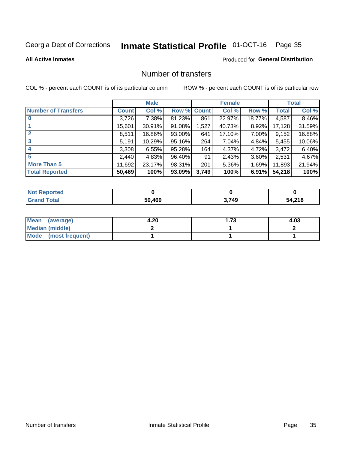## Inmate Statistical Profile 01-OCT-16 Page 35

**All Active Inmates** 

## Produced for General Distribution

## Number of transfers

COL % - percent each COUNT is of its particular column

|                            |              | <b>Male</b> |           |             | <b>Female</b> |          |        | <b>Total</b> |
|----------------------------|--------------|-------------|-----------|-------------|---------------|----------|--------|--------------|
| <b>Number of Transfers</b> | <b>Count</b> | Col %       |           | Row % Count | Col %         | Row %    | Total  | Col %        |
| $\bf{0}$                   | 3,726        | 7.38%       | 81.23%    | 861         | 22.97%        | 18.77%   | 4,587  | 8.46%        |
|                            | 15,601       | 30.91%      | $91.08\%$ | 1,527       | 40.73%        | 8.92%    | 17,128 | 31.59%       |
| $\mathbf{2}$               | 8,511        | 16.86%      | $93.00\%$ | 641         | 17.10%        | 7.00%    | 9,152  | 16.88%       |
| 3                          | 5,191        | 10.29%      | $95.16\%$ | 264         | 7.04%         | 4.84%    | 5,455  | 10.06%       |
|                            | 3,308        | 6.55%       | 95.28%    | 164         | 4.37%         | 4.72%    | 3,472  | 6.40%        |
| 5                          | 2,440        | 4.83%       | 96.40%    | 91          | 2.43%         | $3.60\%$ | 2,531  | 4.67%        |
| <b>More Than 5</b>         | 11,692       | 23.17%      | 98.31%    | 201         | 5.36%         | 1.69%    | 11,893 | 21.94%       |
| <b>Total Reported</b>      | 50,469       | 100%        | 93.09%    | 3,749       | 100%          | 6.91%    | 54,218 | 100%         |

| orted<br>Not l |        |       |        |
|----------------|--------|-------|--------|
| Total          | 50.469 | 3.749 | 54,218 |

| Mean (average)       | 4.20 | 1.73 | 4.03 |
|----------------------|------|------|------|
| Median (middle)      |      |      |      |
| Mode (most frequent) |      |      |      |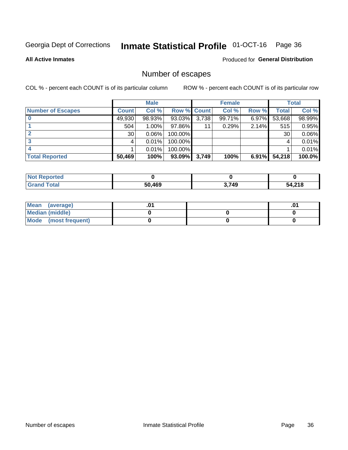## Inmate Statistical Profile 01-OCT-16 Page 36

**All Active Inmates** 

Produced for General Distribution

## Number of escapes

COL % - percent each COUNT is of its particular column

|                          |              | <b>Male</b> |             |       | <b>Female</b> |          |        | <b>Total</b> |
|--------------------------|--------------|-------------|-------------|-------|---------------|----------|--------|--------------|
| <b>Number of Escapes</b> | <b>Count</b> | Col %       | Row % Count |       | Col %         | Row %    | Total  | Col %        |
|                          | 49,930       | 98.93%      | 93.03%      | 3,738 | 99.71%        | $6.97\%$ | 53,668 | 98.99%       |
|                          | 504          | $1.00\%$    | 97.86%      | 11    | 0.29%         | 2.14%    | 515    | 0.95%        |
|                          | 30           | 0.06%       | 100.00%     |       |               |          | 30     | 0.06%        |
|                          |              | 0.01%       | $100.00\%$  |       |               |          |        | 0.01%        |
|                          |              | 0.01%       | 100.00%     |       |               |          |        | 0.01%        |
| <b>Total Reported</b>    | 50,469       | 100%        | $93.09\%$   | 3,749 | 100%          | $6.91\%$ | 54,218 | 100.0%       |

| <b>Not Reported</b> |        |       |        |
|---------------------|--------|-------|--------|
| Total               | 50,469 | 3,749 | 54,218 |

| Mean (average)       |  | .0 <sup>1</sup> |
|----------------------|--|-----------------|
| Median (middle)      |  |                 |
| Mode (most frequent) |  |                 |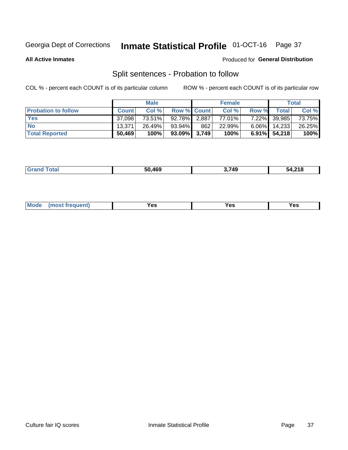## Inmate Statistical Profile 01-OCT-16 Page 37

**All Active Inmates** 

## Produced for General Distribution

## Split sentences - Probation to follow

COL % - percent each COUNT is of its particular column

|                            |              | <b>Male</b> |                    |       | <b>Female</b> |          |              | <b>Total</b> |
|----------------------------|--------------|-------------|--------------------|-------|---------------|----------|--------------|--------------|
| <b>Probation to follow</b> | <b>Count</b> | Col%        | <b>Row % Count</b> |       | Col %         | Row %    | Total        | Col %        |
| <b>Yes</b>                 | 37.098       | 73.51%      | 92.78%             | 2,887 | 77.01%        | $7.22\%$ | 39,985       | 73.75%       |
| <b>No</b>                  | 13.371       | 26.49%      | $93.94\%$          | 862   | 22.99%        | $6.06\%$ | 14,233       | 26.25%       |
| <b>Total Reported</b>      | 50,469       | 100%        | $93.09\%$ 3,749    |       | 100%          |          | 6.91% 54,218 | 100%         |

|  |  | 50.469 | .749 | 54,218 |
|--|--|--------|------|--------|
|--|--|--------|------|--------|

| M<br>reauent)<br>/٥<br>$\sim$<br>v.,<br>.<br>w<br>$\cdot$ - $\cdot$ |  |  |  |  |  |
|---------------------------------------------------------------------|--|--|--|--|--|
|---------------------------------------------------------------------|--|--|--|--|--|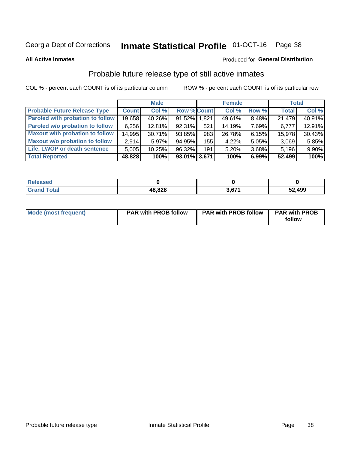## Inmate Statistical Profile 01-OCT-16 Page 38

**All Active Inmates** 

## Produced for General Distribution

## Probable future release type of still active inmates

COL % - percent each COUNT is of its particular column

|                                         |              | <b>Male</b> |                    |     | <b>Female</b> |       | <b>Total</b> |        |
|-----------------------------------------|--------------|-------------|--------------------|-----|---------------|-------|--------------|--------|
| <b>Probable Future Release Type</b>     | <b>Count</b> | Col %       | <b>Row % Count</b> |     | Col %         | Row % | <b>Total</b> | Col %  |
| <b>Paroled with probation to follow</b> | 19,658       | 40.26%      | 91.52% 1,821       |     | 49.61%        | 8.48% | 21,479       | 40.91% |
| Paroled w/o probation to follow         | 6,256        | 12.81%      | 92.31%             | 521 | 14.19%        | 7.69% | 6,777        | 12.91% |
| <b>Maxout with probation to follow</b>  | 14,995       | 30.71%      | 93.85%             | 983 | 26.78%        | 6.15% | 15,978       | 30.43% |
| <b>Maxout w/o probation to follow</b>   | 2.914        | 5.97%       | 94.95%             | 155 | 4.22%         | 5.05% | 3,069        | 5.85%  |
| Life, LWOP or death sentence            | 5,005        | 10.25%      | 96.32%             | 191 | 5.20%         | 3.68% | 5,196        | 9.90%  |
| <b>Total Reported</b>                   | 48,828       | 100%        | 93.01% 3,671       |     | 100%          | 6.99% | 52,499       | 100%   |

| eleased     |        |     |               |
|-------------|--------|-----|---------------|
| <b>otal</b> | 48,828 | 074 | 52,499<br>,∡ت |

| <b>Mode (most frequent)</b> | <b>PAR with PROB follow</b> | <b>PAR with PROB follow</b> | <b>PAR with PROB</b> |
|-----------------------------|-----------------------------|-----------------------------|----------------------|
|                             |                             |                             | follow               |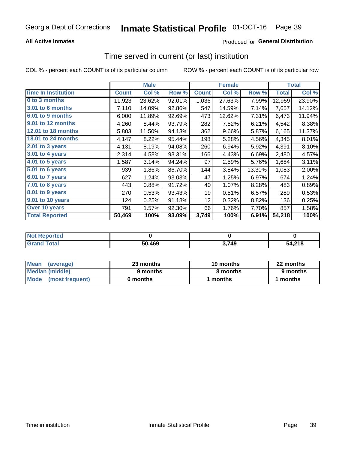## **All Active Inmates**

## Produced for General Distribution

# Time served in current (or last) institution

COL % - percent each COUNT is of its particular column

|                            |              | <b>Male</b> |        |              | <b>Female</b> |        |              | <b>Total</b> |
|----------------------------|--------------|-------------|--------|--------------|---------------|--------|--------------|--------------|
| <b>Time In Institution</b> | <b>Count</b> | Col %       | Row %  | <b>Count</b> | Col %         | Row %  | <b>Total</b> | Col %        |
| 0 to 3 months              | 11,923       | 23.62%      | 92.01% | 1,036        | 27.63%        | 7.99%  | 12,959       | 23.90%       |
| 3.01 to 6 months           | 7,110        | 14.09%      | 92.86% | 547          | 14.59%        | 7.14%  | 7,657        | 14.12%       |
| 6.01 to 9 months           | 6,000        | 11.89%      | 92.69% | 473          | 12.62%        | 7.31%  | 6,473        | 11.94%       |
| 9.01 to 12 months          | 4,260        | 8.44%       | 93.79% | 282          | 7.52%         | 6.21%  | 4,542        | 8.38%        |
| 12.01 to 18 months         | 5,803        | 11.50%      | 94.13% | 362          | 9.66%         | 5.87%  | 6,165        | 11.37%       |
| <b>18.01 to 24 months</b>  | 4,147        | 8.22%       | 95.44% | 198          | 5.28%         | 4.56%  | 4,345        | 8.01%        |
| 2.01 to 3 years            | 4,131        | 8.19%       | 94.08% | 260          | 6.94%         | 5.92%  | 4,391        | 8.10%        |
| 3.01 to 4 years            | 2,314        | 4.58%       | 93.31% | 166          | 4.43%         | 6.69%  | 2,480        | 4.57%        |
| $4.01$ to 5 years          | 1,587        | 3.14%       | 94.24% | 97           | 2.59%         | 5.76%  | 1,684        | 3.11%        |
| 5.01 to 6 years            | 939          | 1.86%       | 86.70% | 144          | 3.84%         | 13.30% | 1,083        | 2.00%        |
| $6.01$ to 7 years          | 627          | 1.24%       | 93.03% | 47           | 1.25%         | 6.97%  | 674          | 1.24%        |
| 7.01 to 8 years            | 443          | 0.88%       | 91.72% | 40           | 1.07%         | 8.28%  | 483          | 0.89%        |
| $8.01$ to 9 years          | 270          | 0.53%       | 93.43% | 19           | 0.51%         | 6.57%  | 289          | 0.53%        |
| 9.01 to 10 years           | 124          | 0.25%       | 91.18% | 12           | 0.32%         | 8.82%  | 136          | 0.25%        |
| Over 10 years              | 791          | 1.57%       | 92.30% | 66           | 1.76%         | 7.70%  | 857          | 1.58%        |
| <b>Total Reported</b>      | 50,469       | 100%        | 93.09% | 3,749        | 100%          | 6.91%  | 54,218       | 100%         |

| Not R<br>Reported |        |       |        |
|-------------------|--------|-------|--------|
| <b>Total</b>      | 50.469 | 3,749 | 54,218 |

| <b>Mean</b><br>(average) | 23 months | 19 months | 22 months |  |
|--------------------------|-----------|-----------|-----------|--|
| Median (middle)          | 9 months  | 8 months  | 9 months  |  |
| Mode<br>(most frequent)  | 0 months  | months    | ∖ months  |  |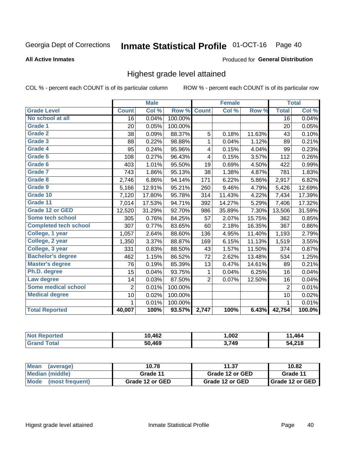#### Inmate Statistical Profile 01-OCT-16 Page 40

### **All Active Inmates**

### Produced for General Distribution

## Highest grade level attained

COL % - percent each COUNT is of its particular column

|                              |                 | <b>Male</b> |         |                 | <b>Female</b> |        |                 | <b>Total</b> |
|------------------------------|-----------------|-------------|---------|-----------------|---------------|--------|-----------------|--------------|
| <b>Grade Level</b>           | <b>Count</b>    | Col %       | Row %   | <b>Count</b>    | Col %         | Row %  | <b>Total</b>    | Col %        |
| No school at all             | $\overline{16}$ | 0.04%       | 100.00% |                 |               |        | $\overline{16}$ | 0.04%        |
| <b>Grade 1</b>               | 20              | 0.05%       | 100.00% |                 |               |        | 20              | 0.05%        |
| <b>Grade 2</b>               | 38              | 0.09%       | 88.37%  | 5               | 0.18%         | 11.63% | 43              | 0.10%        |
| Grade 3                      | 88              | 0.22%       | 98.88%  | $\mathbf{1}$    | 0.04%         | 1.12%  | 89              | 0.21%        |
| <b>Grade 4</b>               | 95              | 0.24%       | 95.96%  | 4               | 0.15%         | 4.04%  | 99              | 0.23%        |
| Grade 5                      | 108             | 0.27%       | 96.43%  | 4               | 0.15%         | 3.57%  | 112             | 0.26%        |
| Grade 6                      | 403             | 1.01%       | 95.50%  | 19              | 0.69%         | 4.50%  | 422             | 0.99%        |
| <b>Grade 7</b>               | 743             | 1.86%       | 95.13%  | 38              | 1.38%         | 4.87%  | 781             | 1.83%        |
| Grade 8                      | 2,746           | 6.86%       | 94.14%  | 171             | 6.22%         | 5.86%  | 2,917           | 6.82%        |
| Grade 9                      | 5,166           | 12.91%      | 95.21%  | 260             | 9.46%         | 4.79%  | 5,426           | 12.69%       |
| Grade 10                     | 7,120           | 17.80%      | 95.78%  | 314             | 11.43%        | 4.22%  | 7,434           | 17.39%       |
| Grade 11                     | 7,014           | 17.53%      | 94.71%  | 392             | 14.27%        | 5.29%  | 7,406           | 17.32%       |
| <b>Grade 12 or GED</b>       | 12,520          | 31.29%      | 92.70%  | 986             | 35.89%        | 7.30%  | 13,506          | 31.59%       |
| <b>Some tech school</b>      | 305             | 0.76%       | 84.25%  | 57              | 2.07%         | 15.75% | 362             | 0.85%        |
| <b>Completed tech school</b> | 307             | 0.77%       | 83.65%  | 60              | 2.18%         | 16.35% | 367             | 0.86%        |
| College, 1 year              | 1,057           | 2.64%       | 88.60%  | 136             | 4.95%         | 11.40% | 1,193           | 2.79%        |
| College, 2 year              | 1,350           | 3.37%       | 88.87%  | 169             | 6.15%         | 11.13% | 1,519           | 3.55%        |
| College, 3 year              | 331             | 0.83%       | 88.50%  | 43              | 1.57%         | 11.50% | 374             | 0.87%        |
| <b>Bachelor's degree</b>     | 462             | 1.15%       | 86.52%  | $\overline{72}$ | 2.62%         | 13.48% | 534             | 1.25%        |
| <b>Master's degree</b>       | 76              | 0.19%       | 85.39%  | 13              | 0.47%         | 14.61% | 89              | 0.21%        |
| Ph.D. degree                 | 15              | 0.04%       | 93.75%  | 1               | 0.04%         | 6.25%  | 16              | 0.04%        |
| Law degree                   | 14              | 0.03%       | 87.50%  | $\overline{2}$  | 0.07%         | 12.50% | 16              | 0.04%        |
| <b>Some medical school</b>   | $\overline{2}$  | 0.01%       | 100.00% |                 |               |        | $\overline{2}$  | 0.01%        |
| <b>Medical degree</b>        | 10              | 0.02%       | 100.00% |                 |               |        | 10              | 0.02%        |
|                              | 1.              | 0.01%       | 100.00% |                 |               |        | 1               | 0.01%        |
| <b>Total Reported</b>        | 40,007          | 100%        | 93.57%  | 2,747           | 100%          | 6.43%  | 42,754          | 100.0%       |

| 10,462 | ,002  | AC                       |
|--------|-------|--------------------------|
| 50.469 | 3,749 | 240<br>-54<br>. + 2. I O |

| <b>Mean</b><br>(average) | 10.78           | 11.37           |                 |  |  |
|--------------------------|-----------------|-----------------|-----------------|--|--|
| Median (middle)          | Grade 11        | Grade 12 or GED | Grade 11        |  |  |
| Mode (most frequent)     | Grade 12 or GED | Grade 12 or GED | Grade 12 or GED |  |  |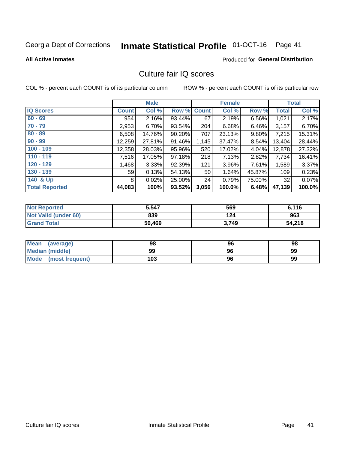# Inmate Statistical Profile 01-OCT-16 Page 41

### **All Active Inmates**

## **Produced for General Distribution**

## Culture fair IQ scores

COL % - percent each COUNT is of its particular column

|                       |              | <b>Male</b> |             |       | <b>Female</b> |          |              | <b>Total</b> |
|-----------------------|--------------|-------------|-------------|-------|---------------|----------|--------------|--------------|
| <b>IQ Scores</b>      | <b>Count</b> | Col %       | Row % Count |       | Col %         | Row %    | <b>Total</b> | Col %        |
| $60 - 69$             | 954          | 2.16%       | 93.44%      | 67    | 2.19%         | 6.56%    | 1,021        | 2.17%        |
| $70 - 79$             | 2,953        | 6.70%       | 93.54%      | 204   | 6.68%         | 6.46%    | 3,157        | 6.70%        |
| $80 - 89$             | 6,508        | 14.76%      | 90.20%      | 707   | 23.13%        | $9.80\%$ | 7,215        | 15.31%       |
| $90 - 99$             | 12,259       | 27.81%      | 91.46%      | 1,145 | 37.47%        | 8.54%    | 13,404       | 28.44%       |
| $100 - 109$           | 12,358       | 28.03%      | 95.96%      | 520   | 17.02%        | 4.04%    | 12,878       | 27.32%       |
| $110 - 119$           | 7,516        | 17.05%      | 97.18%      | 218   | 7.13%         | 2.82%    | 7,734        | 16.41%       |
| $120 - 129$           | 1,468        | 3.33%       | 92.39%      | 121   | 3.96%         | 7.61%    | 1,589        | 3.37%        |
| $130 - 139$           | 59           | 0.13%       | 54.13%      | 50    | 1.64%         | 45.87%   | 109          | 0.23%        |
| 140 & Up              | 8            | 0.02%       | 25.00%      | 24    | 0.79%         | 75.00%   | 32           | 0.07%        |
| <b>Total Reported</b> | 44,083       | 100%        | 93.52%      | 3,056 | 100.0%        | 6.48%    | 47,139       | 100.0%       |

| <b>Not Reported</b>         | 5,547  | 569   | 6,116  |
|-----------------------------|--------|-------|--------|
| <b>Not Valid (under 60)</b> | 839    | 124   | 963    |
| <b>Grand Total</b>          | 50,469 | 3,749 | 54,218 |

| <b>Mean</b><br>(average)       | 98  | 96 | 98 |
|--------------------------------|-----|----|----|
| Median (middle)                | 99  | 96 | 99 |
| <b>Mode</b><br>(most frequent) | 103 | 96 | 99 |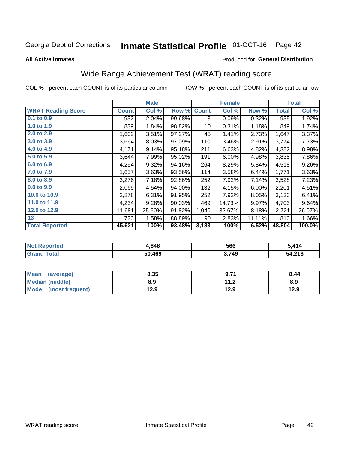#### **Inmate Statistical Profile 01-OCT-16** Page 42

### **All Active Inmates**

## Produced for General Distribution

## Wide Range Achievement Test (WRAT) reading score

COL % - percent each COUNT is of its particular column

|                           |              | <b>Male</b> |        |              | <b>Female</b> |        |              | <b>Total</b> |
|---------------------------|--------------|-------------|--------|--------------|---------------|--------|--------------|--------------|
| <b>WRAT Reading Score</b> | <b>Count</b> | Col %       | Row %  | <b>Count</b> | Col %         | Row %  | <b>Total</b> | Col %        |
| $0.1$ to $0.9$            | 932          | 2.04%       | 99.68% | 3            | 0.09%         | 0.32%  | 935          | 1.92%        |
| 1.0 to 1.9                | 839          | 1.84%       | 98.82% | 10           | 0.31%         | 1.18%  | 849          | 1.74%        |
| 2.0 to 2.9                | 1,602        | 3.51%       | 97.27% | 45           | 1.41%         | 2.73%  | 1,647        | 3.37%        |
| 3.0 to 3.9                | 3,664        | 8.03%       | 97.09% | 110          | 3.46%         | 2.91%  | 3,774        | 7.73%        |
| 4.0 to 4.9                | 4,171        | 9.14%       | 95.18% | 211          | 6.63%         | 4.82%  | 4,382        | 8.98%        |
| 5.0 to 5.9                | 3,644        | 7.99%       | 95.02% | 191          | 6.00%         | 4.98%  | 3,835        | 7.86%        |
| 6.0 to 6.9                | 4,254        | 9.32%       | 94.16% | 264          | 8.29%         | 5.84%  | 4,518        | 9.26%        |
| 7.0 to 7.9                | 1,657        | 3.63%       | 93.56% | 114          | 3.58%         | 6.44%  | 1,771        | 3.63%        |
| 8.0 to 8.9                | 3,276        | 7.18%       | 92.86% | 252          | 7.92%         | 7.14%  | 3,528        | 7.23%        |
| 9.0 to 9.9                | 2,069        | 4.54%       | 94.00% | 132          | 4.15%         | 6.00%  | 2,201        | 4.51%        |
| 10.0 to 10.9              | 2,878        | 6.31%       | 91.95% | 252          | 7.92%         | 8.05%  | 3,130        | 6.41%        |
| 11.0 to 11.9              | 4,234        | 9.28%       | 90.03% | 469          | 14.73%        | 9.97%  | 4,703        | 9.64%        |
| 12.0 to 12.9              | 11,681       | 25.60%      | 91.82% | 1,040        | 32.67%        | 8.18%  | 12,721       | 26.07%       |
| 13                        | 720          | 1.58%       | 88.89% | 90           | 2.83%         | 11.11% | 810          | 1.66%        |
| <b>Total Reported</b>     | 45,621       | 100%        | 93.48% | 3,183        | 100%          | 6.52%  | 48,804       | 100.0%       |

| ertet.<br>NO. | .848        | 566  | .414   |
|---------------|-------------|------|--------|
| .Gr           | .469<br>50. | ,749 | 54,218 |

| Mean<br>(average)    | 8.35 | 9.71          | 8.44 |
|----------------------|------|---------------|------|
| Median (middle)      | 8.9  | 11 つ<br>. . Z | 8.9  |
| Mode (most frequent) | 12.9 | 12.9          | 12.9 |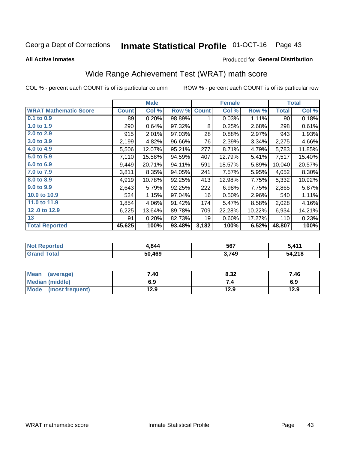#### **Inmate Statistical Profile 01-OCT-16** Page 43

**All Active Inmates** 

### Produced for General Distribution

## Wide Range Achievement Test (WRAT) math score

COL % - percent each COUNT is of its particular column

|                              |              | <b>Male</b> |        |              | <b>Female</b> |        |              | <b>Total</b> |
|------------------------------|--------------|-------------|--------|--------------|---------------|--------|--------------|--------------|
| <b>WRAT Mathematic Score</b> | <b>Count</b> | Col %       | Row %  | <b>Count</b> | Col %         | Row %  | <b>Total</b> | Col %        |
| $0.1$ to $0.9$               | 89           | 0.20%       | 98.89% | 1            | 0.03%         | 1.11%  | 90           | 0.18%        |
| 1.0 to 1.9                   | 290          | 0.64%       | 97.32% | 8            | 0.25%         | 2.68%  | 298          | 0.61%        |
| 2.0 to 2.9                   | 915          | 2.01%       | 97.03% | 28           | 0.88%         | 2.97%  | 943          | 1.93%        |
| 3.0 to 3.9                   | 2,199        | 4.82%       | 96.66% | 76           | 2.39%         | 3.34%  | 2,275        | 4.66%        |
| 4.0 to 4.9                   | 5,506        | 12.07%      | 95.21% | 277          | 8.71%         | 4.79%  | 5,783        | 11.85%       |
| 5.0 to 5.9                   | 7,110        | 15.58%      | 94.59% | 407          | 12.79%        | 5.41%  | 7,517        | 15.40%       |
| 6.0 to 6.9                   | 9,449        | 20.71%      | 94.11% | 591          | 18.57%        | 5.89%  | 10,040       | 20.57%       |
| 7.0 to 7.9                   | 3,811        | 8.35%       | 94.05% | 241          | 7.57%         | 5.95%  | 4,052        | 8.30%        |
| 8.0 to 8.9                   | 4,919        | 10.78%      | 92.25% | 413          | 12.98%        | 7.75%  | 5,332        | 10.92%       |
| 9.0 to 9.9                   | 2,643        | 5.79%       | 92.25% | 222          | 6.98%         | 7.75%  | 2,865        | 5.87%        |
| 10.0 to 10.9                 | 524          | 1.15%       | 97.04% | 16           | 0.50%         | 2.96%  | 540          | 1.11%        |
| 11.0 to 11.9                 | 1,854        | 4.06%       | 91.42% | 174          | 5.47%         | 8.58%  | 2,028        | 4.16%        |
| 12.0 to 12.9                 | 6,225        | 13.64%      | 89.78% | 709          | 22.28%        | 10.22% | 6,934        | 14.21%       |
| 13                           | 91           | 0.20%       | 82.73% | 19           | 0.60%         | 17.27% | 110          | 0.23%        |
| <b>Total Reported</b>        | 45,625       | 100%        | 93.48% | 3,182        | 100%          | 6.52%  | 48,807       | 100%         |

| <b>Not Reported</b>  | 1,844  | 567   | 5,411  |
|----------------------|--------|-------|--------|
| $\tau$ otal<br>Grand | 50,469 | 3,749 | 54,218 |

| Mean (average)       | 7.40 | 8.32 | 7.46 |
|----------------------|------|------|------|
| Median (middle)      | 6.9  |      | 6.9  |
| Mode (most frequent) | 12.9 | 12.9 | 12.9 |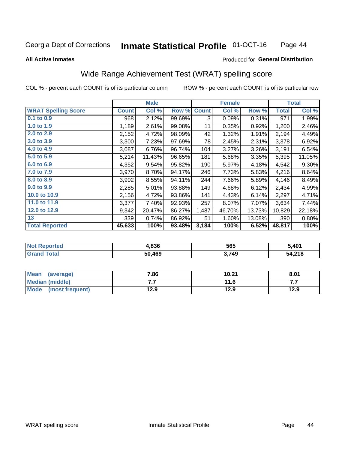#### **Inmate Statistical Profile 01-OCT-16** Page 44

### **All Active Inmates**

## Produced for General Distribution

## Wide Range Achievement Test (WRAT) spelling score

COL % - percent each COUNT is of its particular column

|                            | <b>Male</b>  |        |        | <b>Female</b> |        |        | <b>Total</b> |          |
|----------------------------|--------------|--------|--------|---------------|--------|--------|--------------|----------|
| <b>WRAT Spelling Score</b> | <b>Count</b> | Col %  | Row %  | <b>Count</b>  | Col %  | Row %  | <b>Total</b> | Col %    |
| 0.1 to 0.9                 | 968          | 2.12%  | 99.69% | 3             | 0.09%  | 0.31%  | 971          | 1.99%    |
| 1.0 to 1.9                 | 1,189        | 2.61%  | 99.08% | 11            | 0.35%  | 0.92%  | 1,200        | 2.46%    |
| 2.0 to 2.9                 | 2,152        | 4.72%  | 98.09% | 42            | 1.32%  | 1.91%  | 2,194        | 4.49%    |
| 3.0 to 3.9                 | 3,300        | 7.23%  | 97.69% | 78            | 2.45%  | 2.31%  | 3,378        | 6.92%    |
| 4.0 to 4.9                 | 3,087        | 6.76%  | 96.74% | 104           | 3.27%  | 3.26%  | 3,191        | 6.54%    |
| 5.0 to 5.9                 | 5,214        | 11.43% | 96.65% | 181           | 5.68%  | 3.35%  | 5,395        | 11.05%   |
| 6.0 to 6.9                 | 4,352        | 9.54%  | 95.82% | 190           | 5.97%  | 4.18%  | 4,542        | $9.30\%$ |
| 7.0 to 7.9                 | 3,970        | 8.70%  | 94.17% | 246           | 7.73%  | 5.83%  | 4,216        | 8.64%    |
| 8.0 to 8.9                 | 3,902        | 8.55%  | 94.11% | 244           | 7.66%  | 5.89%  | 4,146        | 8.49%    |
| 9.0 to 9.9                 | 2,285        | 5.01%  | 93.88% | 149           | 4.68%  | 6.12%  | 2,434        | 4.99%    |
| 10.0 to 10.9               | 2,156        | 4.72%  | 93.86% | 141           | 4.43%  | 6.14%  | 2,297        | 4.71%    |
| 11.0 to 11.9               | 3,377        | 7.40%  | 92.93% | 257           | 8.07%  | 7.07%  | 3,634        | 7.44%    |
| 12.0 to 12.9               | 9,342        | 20.47% | 86.27% | 1,487         | 46.70% | 13.73% | 10,829       | 22.18%   |
| 13                         | 339          | 0.74%  | 86.92% | 51            | 1.60%  | 13.08% | 390          | 0.80%    |
| <b>Total Reported</b>      | 45,633       | 100%   | 93.48% | 3,184         | 100%   | 6.52%  | 48,817       | 100%     |

| <b>rted</b><br>NO   | 4,836  | 565   | 5 ፈሰ1<br>ושד |
|---------------------|--------|-------|--------------|
| $T \sim 6 \times 1$ | 50,469 | 3,749 | 4,218ر       |

| <b>Mean</b><br>(average) | 7.86 | 10.21 | 8.01 |
|--------------------------|------|-------|------|
| Median (middle)          | .    | 11.6  | .    |
| Mode (most frequent)     | 12.9 | 12.9  | 12.9 |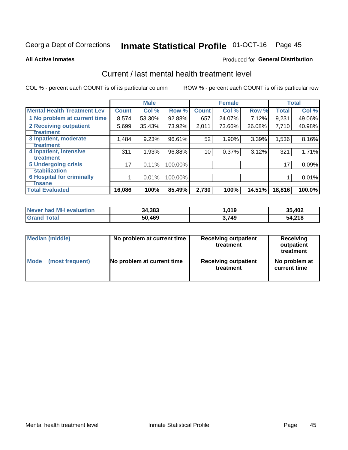# Inmate Statistical Profile 01-OCT-16 Page 45

### **All Active Inmates**

### **Produced for General Distribution**

## Current / last mental health treatment level

COL % - percent each COUNT is of its particular column

|                                    |                 | <b>Male</b> |         |              | <b>Female</b> |        |              | <b>Total</b> |
|------------------------------------|-----------------|-------------|---------|--------------|---------------|--------|--------------|--------------|
| <b>Mental Health Treatment Lev</b> | <b>Count</b>    | Col %       | Row %   | <b>Count</b> | Col %         | Row %  | <b>Total</b> | Col %        |
| 1 No problem at current time       | 8,574           | 53.30%      | 92.88%  | 657          | 24.07%        | 7.12%  | 9,231        | 49.06%       |
| 2 Receiving outpatient             | 5,699           | 35.43%      | 73.92%  | 2,011        | 73.66%        | 26.08% | 7,710        | 40.98%       |
| <b>Treatment</b>                   |                 |             |         |              |               |        |              |              |
| 3 Inpatient, moderate              | 1,484           | 9.23%       | 96.61%  | 52           | 1.90%         | 3.39%  | 1,536        | 8.16%        |
| Treatment                          |                 |             |         |              |               |        |              |              |
| 4 Inpatient, intensive             | 311             | 1.93%       | 96.88%  | 10           | 0.37%         | 3.12%  | 321          | 1.71%        |
| <b>Treatment</b>                   |                 |             |         |              |               |        |              |              |
| 5 Undergoing crisis                | 17 <sub>1</sub> | 0.11%       | 100.00% |              |               |        | 17           | 0.09%        |
| <b>stabilization</b>               |                 |             |         |              |               |        |              |              |
| <b>6 Hospital for criminally</b>   |                 | 0.01%       | 100.00% |              |               |        |              | 0.01%        |
| <b>Tinsane</b>                     |                 |             |         |              |               |        |              |              |
| <b>Total Evaluated</b>             | 16,086          | 100%        | 85.49%  | 2,730        | 100%          | 14.51% | 18,816       | 100.0%       |

| Never had MH evaluation | 34,383 | 1,019 | 35,402 |
|-------------------------|--------|-------|--------|
| <b>Grand Total</b>      | 50,469 | 3.749 | 54,218 |

| <b>Median (middle)</b> | No problem at current time | <b>Receiving outpatient</b><br>treatment | <b>Receiving</b><br>outpatient<br>treatment |  |  |
|------------------------|----------------------------|------------------------------------------|---------------------------------------------|--|--|
| <b>Mode</b>            | No problem at current time | <b>Receiving outpatient</b>              | No problem at                               |  |  |
| (most frequent)        |                            | treatment                                | current time                                |  |  |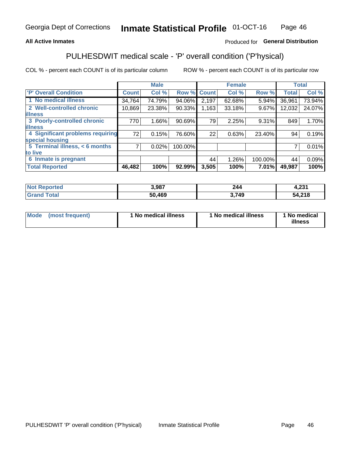## **All Active Inmates**

## Produced for General Distribution

## PULHESDWIT medical scale - 'P' overall condition ('P'hysical)

COL % - percent each COUNT is of its particular column

|                                    | <b>Male</b>  |        |         | <b>Female</b> |        |         | <b>Total</b> |        |
|------------------------------------|--------------|--------|---------|---------------|--------|---------|--------------|--------|
| 'P' Overall Condition              | <b>Count</b> | Col %  | Row %   | <b>Count</b>  | Col %  | Row %   | <b>Total</b> | Col %  |
| 1 No medical illness               | 34,764       | 74.79% | 94.06%  | 2,197         | 62.68% | 5.94%   | 36,961       | 73.94% |
| 2 Well-controlled chronic          | 10,869       | 23.38% | 90.33%  | 1,163         | 33.18% | 9.67%   | 12,032       | 24.07% |
| <b>lillness</b>                    |              |        |         |               |        |         |              |        |
| 3 Poorly-controlled chronic        | 770          | 1.66%  | 90.69%  | 79            | 2.25%  | 9.31%   | 849          | 1.70%  |
| <b>illness</b>                     |              |        |         |               |        |         |              |        |
| 4 Significant problems requiring   | 72           | 0.15%  | 76.60%  | 22            | 0.63%  | 23.40%  | 94           | 0.19%  |
| special housing                    |              |        |         |               |        |         |              |        |
| 5 Terminal illness, $\lt 6$ months | 7            | 0.02%  | 100.00% |               |        |         | 7            | 0.01%  |
| to live                            |              |        |         |               |        |         |              |        |
| 6 Inmate is pregnant               |              |        |         | 44            | 1.26%  | 100.00% | 44           | 0.09%  |
| <b>Total Reported</b>              | 46,482       | 100%   | 92.99%  | 3,505         | 100%   | 7.01%   | 49,987       | 100%   |

| тео | 3,987             | 244 | 0.24<br>1.ZJ I |
|-----|-------------------|-----|----------------|
|     | <b>AGO</b><br>.o. | 749 | 54.21C         |

| Mode<br>(most frequent) |  | <sup>1</sup> No medical illness | 1 No medical illness | 1 No medical<br>illness |
|-------------------------|--|---------------------------------|----------------------|-------------------------|
|-------------------------|--|---------------------------------|----------------------|-------------------------|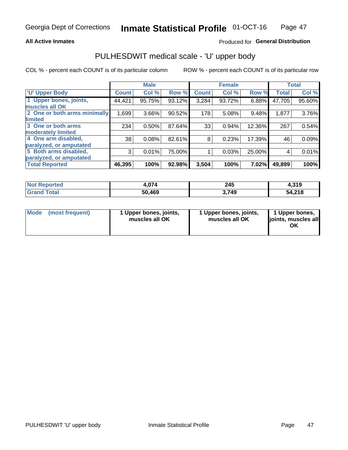## **All Active Inmates**

## Produced for General Distribution

# PULHESDWIT medical scale - 'U' upper body

COL % - percent each COUNT is of its particular column

|                                                  |              | <b>Male</b> |        |              | <b>Female</b> |        |              | <b>Total</b> |
|--------------------------------------------------|--------------|-------------|--------|--------------|---------------|--------|--------------|--------------|
| <b>'U' Upper Body</b>                            | <b>Count</b> | Col %       | Row %  | <b>Count</b> | Col %         | Row %  | <b>Total</b> | Col %        |
| 1 Upper bones, joints,<br>muscles all OK         | 44,421       | 95.75%      | 93.12% | 3,284        | 93.72%        | 6.88%  | 47,705       | 95.60%       |
| 2 One or both arms minimally<br>limited          | 1,699        | 3.66%       | 90.52% | 178          | 5.08%         | 9.48%  | 1,877        | 3.76%        |
| 3 One or both arms<br><b>moderately limited</b>  | 234          | 0.50%       | 87.64% | 33           | 0.94%         | 12.36% | 267          | 0.54%        |
| 4 One arm disabled,<br>paralyzed, or amputated   | 38           | 0.08%       | 82.61% | 8            | 0.23%         | 17.39% | 46           | 0.09%        |
| 5 Both arms disabled,<br>paralyzed, or amputated | 3            | 0.01%       | 75.00% |              | 0.03%         | 25.00% | 4            | 0.01%        |
| <b>Total Reported</b>                            | 46,395       | 100%        | 92.98% | 3,504        | 100%          | 7.02%  | 49,899       | 100%         |

| <b>Not Reported</b>          | 4,074  | 245   | 210<br>4.919 |
|------------------------------|--------|-------|--------------|
| <b>Total</b><br><b>Grand</b> | 50,469 | 3,749 | 54,218       |

|  | Mode (most frequent) | 1 Upper bones, joints,<br>muscles all OK | 1 Upper bones, joints,<br>muscles all OK | 1 Upper bones,<br>joints, muscles all<br>ΟK |
|--|----------------------|------------------------------------------|------------------------------------------|---------------------------------------------|
|--|----------------------|------------------------------------------|------------------------------------------|---------------------------------------------|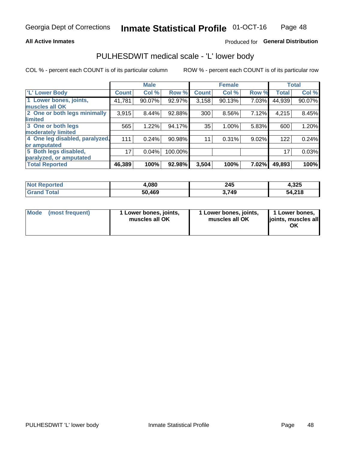## **All Active Inmates**

## Produced for General Distribution

## PULHESDWIT medical scale - 'L' lower body

COL % - percent each COUNT is of its particular column

|                                |              | <b>Male</b> |         |              | <b>Female</b> |       |              | <b>Total</b> |
|--------------------------------|--------------|-------------|---------|--------------|---------------|-------|--------------|--------------|
| 'L' Lower Body                 | <b>Count</b> | Col %       | Row %   | <b>Count</b> | Col %         | Row % | <b>Total</b> | Col %        |
| 1 Lower bones, joints,         | 41,781       | 90.07%      | 92.97%  | 3,158        | 90.13%        | 7.03% | 44,939       | 90.07%       |
| muscles all OK                 |              |             |         |              |               |       |              |              |
| 2 One or both legs minimally   | 3,915        | 8.44%       | 92.88%  | 300          | 8.56%         | 7.12% | 4,215        | 8.45%        |
| limited                        |              |             |         |              |               |       |              |              |
| 3 One or both legs             | 565          | 1.22%       | 94.17%  | 35           | 1.00%         | 5.83% | 600          | 1.20%        |
| moderately limited             |              |             |         |              |               |       |              |              |
| 4 One leg disabled, paralyzed, | 111          | 0.24%       | 90.98%  | 11           | 0.31%         | 9.02% | 122          | 0.24%        |
| or amputated                   |              |             |         |              |               |       |              |              |
| 5 Both legs disabled,          | 17           | 0.04%       | 100.00% |              |               |       | 17           | 0.03%        |
| paralyzed, or amputated        |              |             |         |              |               |       |              |              |
| <b>Total Reported</b>          | 46,389       | 100%        | 92.98%  | 3,504        | 100%          | 7.02% | 49,893       | 100%         |

| <b>Not Reported</b> | 1,080  | 245   | 4,325  |
|---------------------|--------|-------|--------|
| <b>Total</b>        | 50,469 | 3,749 | 54,218 |

|  | Mode (most frequent) | 1 Lower bones, joints,<br>muscles all OK | 1 Lower bones, joints,<br>muscles all OK | 1 Lower bones,<br>joints, muscles all<br>ΟK |
|--|----------------------|------------------------------------------|------------------------------------------|---------------------------------------------|
|--|----------------------|------------------------------------------|------------------------------------------|---------------------------------------------|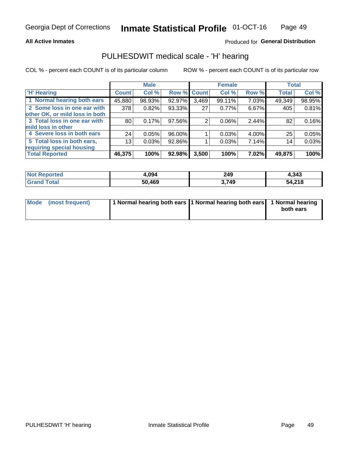## **All Active Inmates**

## Produced for General Distribution

## PULHESDWIT medical scale - 'H' hearing

COL % - percent each COUNT is of its particular column

|                                |                 | <b>Male</b> |                    |       | <b>Female</b> |       | <b>Total</b> |        |
|--------------------------------|-----------------|-------------|--------------------|-------|---------------|-------|--------------|--------|
| <b>'H' Hearing</b>             | <b>Count</b>    | Col %       | <b>Row % Count</b> |       | Col %         | Row % | <b>Total</b> | Col %  |
| 1 Normal hearing both ears     | 45,880          | 98.93%      | 92.97%             | 3,469 | 99.11%        | 7.03% | 49,349       | 98.95% |
| 2 Some loss in one ear with    | 378             | 0.82%       | 93.33%             | 27    | 0.77%         | 6.67% | 405          | 0.81%  |
| other OK, or mild loss in both |                 |             |                    |       |               |       |              |        |
| 3 Total loss in one ear with   | 80 <sub>1</sub> | 0.17%       | 97.56%             | 2     | $0.06\%$      | 2.44% | 82           | 0.16%  |
| mild loss in other             |                 |             |                    |       |               |       |              |        |
| 4 Severe loss in both ears     | 24              | 0.05%       | 96.00%             |       | 0.03%         | 4.00% | 25           | 0.05%  |
| 5 Total loss in both ears,     | 13              | 0.03%       | 92.86%             |       | 0.03%         | 7.14% | 14           | 0.03%  |
| requiring special housing      |                 |             |                    |       |               |       |              |        |
| <b>Total Reported</b>          | 46,375          | 100%        | 92.98%             | 3,500 | 100%          | 7.02% | 49,875       | 100%   |

| <b>Not Reported</b> | .094   | 249   | 1,343  |
|---------------------|--------|-------|--------|
| Total<br>Grand      | 50,469 | 3,749 | 54,218 |

| Mode (most frequent) | 1 Normal hearing both ears 1 Normal hearing both ears 1 Normal hearing | both ears |
|----------------------|------------------------------------------------------------------------|-----------|
|                      |                                                                        |           |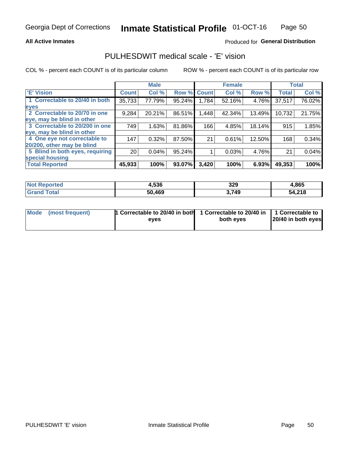## **All Active Inmates**

## Produced for General Distribution

## PULHESDWIT medical scale - 'E' vision

COL % - percent each COUNT is of its particular column

|                                 |                 | <b>Male</b> |        |              | <b>Female</b> |        |              | <b>Total</b> |
|---------------------------------|-----------------|-------------|--------|--------------|---------------|--------|--------------|--------------|
| <b>E' Vision</b>                | <b>Count</b>    | Col %       | Row %  | <b>Count</b> | Col %         | Row %  | <b>Total</b> | Col %        |
| 1 Correctable to 20/40 in both  | 35,733          | 77.79%      | 95.24% | 1,784        | 52.16%        | 4.76%  | 37,517       | 76.02%       |
| eyes                            |                 |             |        |              |               |        |              |              |
| 2 Correctable to 20/70 in one   | 9,284           | 20.21%      | 86.51% | 1,448        | 42.34%        | 13.49% | 10,732       | 21.75%       |
| eye, may be blind in other      |                 |             |        |              |               |        |              |              |
| 3 Correctable to 20/200 in one  | 749             | 1.63%       | 81.86% | 166          | 4.85%         | 18.14% | 915          | 1.85%        |
| eye, may be blind in other      |                 |             |        |              |               |        |              |              |
| 4 One eye not correctable to    | 147             | 0.32%       | 87.50% | 21           | 0.61%         | 12.50% | 168          | 0.34%        |
| 20/200, other may be blind      |                 |             |        |              |               |        |              |              |
| 5 Blind in both eyes, requiring | 20 <sub>1</sub> | 0.04%       | 95.24% |              | 0.03%         | 4.76%  | 21           | 0.04%        |
| special housing                 |                 |             |        |              |               |        |              |              |
| <b>Total Reported</b>           | 45,933          | 100%        | 93.07% | 3,420        | 100%          | 6.93%  | 49,353       | 100%         |

| <b>Not Reported</b> | 4,536  | 329   | 4,865  |
|---------------------|--------|-------|--------|
| <b>Total</b>        | 50,469 | 3,749 | 54,218 |

| Mode (most frequent) | 1 Correctable to 20/40 in both<br>eves | 1 Correctable to 20/40 in   1 Correctable to  <br>both eves | 20/40 in both eyes |
|----------------------|----------------------------------------|-------------------------------------------------------------|--------------------|
|                      |                                        |                                                             |                    |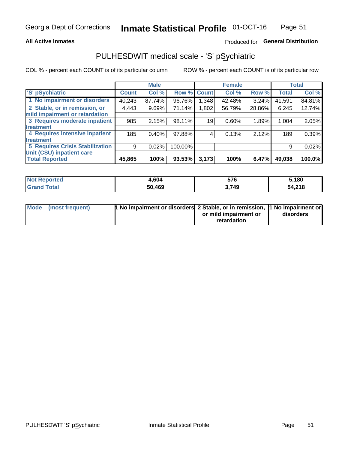## **All Active Inmates**

## Produced for General Distribution

## PULHESDWIT medical scale - 'S' pSychiatric

COL % - percent each COUNT is of its particular column

|                                        |              | <b>Male</b> |             |       | <b>Female</b> |          |              | <b>Total</b> |
|----------------------------------------|--------------|-------------|-------------|-------|---------------|----------|--------------|--------------|
| 'S' pSychiatric                        | <b>Count</b> | Col %       | Row % Count |       | Col %         | Row %    | <b>Total</b> | Col %        |
| 1 No impairment or disorders           | 40,243       | 87.74%      | 96.76%      | 1,348 | 42.48%        | $3.24\%$ | 41,591       | 84.81%       |
| 2 Stable, or in remission, or          | 4,443        | 9.69%       | 71.14%      | 1,802 | 56.79%        | 28.86%   | 6,245        | 12.74%       |
| mild impairment or retardation         |              |             |             |       |               |          |              |              |
| 3 Requires moderate inpatient          | 985          | 2.15%       | 98.11%      | 19    | 0.60%         | 1.89%    | 1,004        | 2.05%        |
| treatment                              |              |             |             |       |               |          |              |              |
| 4 Requires intensive inpatient         | 185          | $0.40\%$    | 97.88%      | 4     | 0.13%         | 2.12%    | 189          | 0.39%        |
| treatment                              |              |             |             |       |               |          |              |              |
| <b>5 Requires Crisis Stabilization</b> | 9            | 0.02%       | 100.00%     |       |               |          | 9            | 0.02%        |
| Unit (CSU) inpatient care              |              |             |             |       |               |          |              |              |
| <b>Total Reported</b>                  | 45,865       | 100%        | 93.53%      | 3,173 | 100%          | 6.47%    | 49,038       | 100.0%       |

| <b>Not Reported</b>    | 1,604  | 576   | 5,180  |
|------------------------|--------|-------|--------|
| $\tau$ otal<br>' Grand | 50,469 | 3,749 | 54,218 |

| Mode (most frequent) | <b>1 No impairment or disorders 2 Stable, or in remission, 1 No impairment or</b> |                       |           |
|----------------------|-----------------------------------------------------------------------------------|-----------------------|-----------|
|                      |                                                                                   | or mild impairment or | disorders |
|                      |                                                                                   | retardation           |           |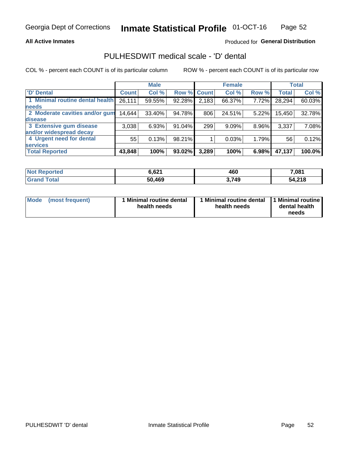## **All Active Inmates**

## Produced for General Distribution

## PULHESDWIT medical scale - 'D' dental

COL % - percent each COUNT is of its particular column

|                                 |              | <b>Male</b> |        |              | <b>Female</b> |       |              | <b>Total</b> |
|---------------------------------|--------------|-------------|--------|--------------|---------------|-------|--------------|--------------|
| <b>D'</b> Dental                | <b>Count</b> | Col %       | Row %  | <b>Count</b> | Col %         | Row % | <b>Total</b> | Col %        |
| 1 Minimal routine dental health | 26,111       | 59.55%      | 92.28% | 2,183        | 66.37%        | 7.72% | 28,294       | 60.03%       |
| <b>needs</b>                    |              |             |        |              |               |       |              |              |
| 2 Moderate cavities and/or gum  | 14,644       | 33.40%      | 94.78% | 806          | 24.51%        | 5.22% | 15,450       | 32.78%       |
| disease                         |              |             |        |              |               |       |              |              |
| 3 Extensive gum disease         | 3,038        | 6.93%       | 91.04% | 299          | 9.09%         | 8.96% | 3,337        | 7.08%        |
| and/or widespread decay         |              |             |        |              |               |       |              |              |
| 4 Urgent need for dental        | 55           | 0.13%       | 98.21% |              | 0.03%         | 1.79% | 56           | 0.12%        |
| <b>services</b>                 |              |             |        |              |               |       |              |              |
| <b>Total Reported</b>           | 43,848       | 100%        | 93.02% | 3,289        | 100%          | 6.98% | 47,137       | 100.0%       |

| <b>Not Reported</b>   | 6.621  | 460   | 7,081  |
|-----------------------|--------|-------|--------|
| <b>Total</b><br>Grand | 50,469 | 3,749 | 54,218 |

| Mode | (most frequent) | <b>Minimal routine dental</b><br>health needs | 1 Minimal routine dental 1 Minimal routine<br>health needs | dental health<br>needs |
|------|-----------------|-----------------------------------------------|------------------------------------------------------------|------------------------|
|------|-----------------|-----------------------------------------------|------------------------------------------------------------|------------------------|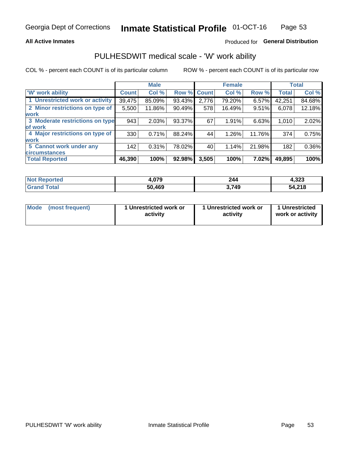## **All Active Inmates**

## Produced for General Distribution

## PULHESDWIT medical scale - 'W' work ability

COL % - percent each COUNT is of its particular column

|                                 |              | <b>Male</b> |        |             | <b>Female</b> |        |              | <b>Total</b> |
|---------------------------------|--------------|-------------|--------|-------------|---------------|--------|--------------|--------------|
| 'W' work ability                | <b>Count</b> | Col %       |        | Row % Count | Col %         | Row %  | <b>Total</b> | Col %        |
| 1 Unrestricted work or activity | 39,475       | 85.09%      | 93.43% | 2,776       | 79.20%        | 6.57%  | 42,251       | 84.68%       |
| 2 Minor restrictions on type of | 5,500        | 11.86%      | 90.49% | 578         | 16.49%        | 9.51%  | 6,078        | 12.18%       |
| <b>work</b>                     |              |             |        |             |               |        |              |              |
| 3 Moderate restrictions on type | 943          | 2.03%       | 93.37% | 67          | 1.91%         | 6.63%  | 1,010        | 2.02%        |
| lof work                        |              |             |        |             |               |        |              |              |
| 4 Major restrictions on type of | 330          | 0.71%       | 88.24% | 44          | 1.26%         | 11.76% | 374          | 0.75%        |
| <b>work</b>                     |              |             |        |             |               |        |              |              |
| 5 Cannot work under any         | 142          | 0.31%       | 78.02% | 40          | 1.14%         | 21.98% | 182          | 0.36%        |
| <b>circumstances</b>            |              |             |        |             |               |        |              |              |
| <b>Total Reported</b>           | 46,390       | 100%        | 92.98% | 3,505       | 100%          | 7.02%  | 49,895       | 100%         |

| <b>Not Reported</b>    | +,079  | 244   | <b>000 ו</b><br>4.323 |
|------------------------|--------|-------|-----------------------|
| <b>Total</b><br>'Grand | 50,469 | 3,749 | 54,218                |

| Mode            | 1 Unrestricted work or | 1 Unrestricted work or | 1 Unrestricted   |
|-----------------|------------------------|------------------------|------------------|
| (most frequent) | activity               | activity               | work or activity |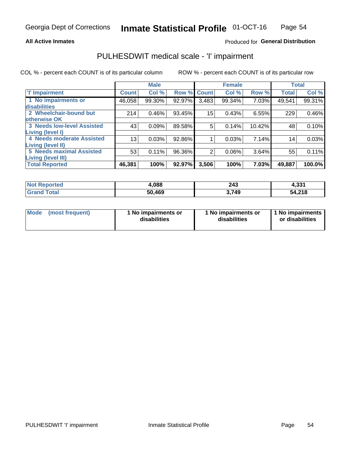## **All Active Inmates**

## Produced for General Distribution

## PULHESDWIT medical scale - 'I' impairment

COL % - percent each COUNT is of its particular column

|                                   |              | <b>Male</b> |        |             | <b>Female</b> |        |              | <b>Total</b> |
|-----------------------------------|--------------|-------------|--------|-------------|---------------|--------|--------------|--------------|
| <b>T' Impairment</b>              | <b>Count</b> | Col %       |        | Row % Count | Col %         | Row %  | <b>Total</b> | Col %        |
| 1 No impairments or               | 46,058       | 99.30%      | 92.97% | 3,483       | 99.34%        | 7.03%  | 49,541       | 99.31%       |
| <b>disabilities</b>               |              |             |        |             |               |        |              |              |
| 2 Wheelchair-bound but            | 214          | 0.46%       | 93.45% | 15          | 0.43%         | 6.55%  | 229          | 0.46%        |
| otherwise OK                      |              |             |        |             |               |        |              |              |
| <b>3 Needs low-level Assisted</b> | 43           | 0.09%       | 89.58% | 5           | 0.14%         | 10.42% | 48           | 0.10%        |
| Living (level I)                  |              |             |        |             |               |        |              |              |
| 4 Needs moderate Assisted         | 13           | 0.03%       | 92.86% |             | 0.03%         | 7.14%  | 14           | 0.03%        |
| <b>Living (level II)</b>          |              |             |        |             |               |        |              |              |
| <b>5 Needs maximal Assisted</b>   | 53           | 0.11%       | 96.36% | 2           | 0.06%         | 3.64%  | 55           | 0.11%        |
| Living (level III)                |              |             |        |             |               |        |              |              |
| <b>Total Reported</b>             | 46,381       | 100%        | 92.97% | 3,506       | 100%          | 7.03%  | 49,887       | 100.0%       |

| $^{\mathrm{I}}$ Not $\kappa$<br><b>Reported</b> | .088.  | 243<br>$\sim$ | 4,331  |
|-------------------------------------------------|--------|---------------|--------|
| <b>Total</b><br><b>Grand</b>                    | 50,469 | 749.          | 54,218 |

| <b>Mode</b> | (most frequent) | <b>No impairments or</b><br>disabilities | 1 No impairments or<br>disabilities | 1 No impairments<br>or disabilities |
|-------------|-----------------|------------------------------------------|-------------------------------------|-------------------------------------|
|-------------|-----------------|------------------------------------------|-------------------------------------|-------------------------------------|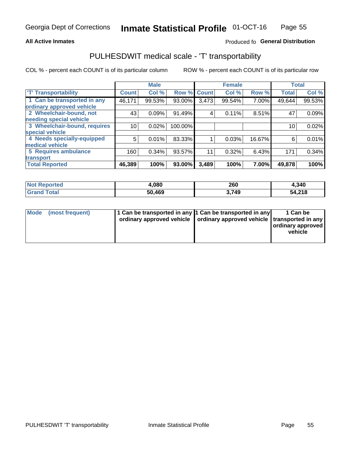## **All Active Inmates**

## Produced fo General Distribution

## PULHESDWIT medical scale - 'T' transportability

COL % - percent each COUNT is of its particular column

|                              |              | <b>Male</b> |         |              | <b>Female</b> |        |              | <b>Total</b> |
|------------------------------|--------------|-------------|---------|--------------|---------------|--------|--------------|--------------|
| <b>T' Transportability</b>   | <b>Count</b> | Col %       | Row %   | <b>Count</b> | Col %         | Row %  | <b>Total</b> | Col %        |
| 1 Can be transported in any  | 46,171       | 99.53%      | 93.00%  | 3,473        | 99.54%        | 7.00%  | 49,644       | 99.53%       |
| ordinary approved vehicle    |              |             |         |              |               |        |              |              |
| 2 Wheelchair-bound, not      | 43           | 0.09%       | 91.49%  | 4            | 0.11%         | 8.51%  | 47           | 0.09%        |
| needing special vehicle      |              |             |         |              |               |        |              |              |
| 3 Wheelchair-bound, requires | 10           | 0.02%       | 100.00% |              |               |        | 10           | 0.02%        |
| special vehicle              |              |             |         |              |               |        |              |              |
| 4 Needs specially-equipped   | 5            | 0.01%       | 83.33%  |              | 0.03%         | 16.67% | 6            | 0.01%        |
| medical vehicle              |              |             |         |              |               |        |              |              |
| <b>5 Requires ambulance</b>  | 160          | 0.34%       | 93.57%  | 11           | 0.32%         | 6.43%  | 171          | 0.34%        |
| transport                    |              |             |         |              |               |        |              |              |
| <b>Total Reported</b>        | 46,389       | 100%        | 93.00%  | 3,489        | 100%          | 7.00%  | 49,878       | 100%         |

| <b>Not</b><br>Reported | 1.080  | 260   | 4,340       |
|------------------------|--------|-------|-------------|
| 'otal                  | 50,469 | 3,749 | 4,218<br>54 |

|  | Mode (most frequent) | 1 Can be transported in any 1 Can be transported in any<br>ordinary approved vehicle   ordinary approved vehicle   transported in any |  | 1 Can be<br>  ordinary approved  <br>vehicle |
|--|----------------------|---------------------------------------------------------------------------------------------------------------------------------------|--|----------------------------------------------|
|--|----------------------|---------------------------------------------------------------------------------------------------------------------------------------|--|----------------------------------------------|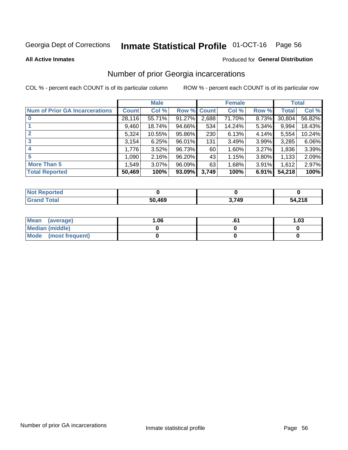# Inmate Statistical Profile 01-OCT-16 Page 56

**All Active Inmates** 

### Produced for General Distribution

## Number of prior Georgia incarcerations

COL % - percent each COUNT is of its particular column

|                                       |              | <b>Male</b> |             |       | <b>Female</b> |       |        | <b>Total</b> |
|---------------------------------------|--------------|-------------|-------------|-------|---------------|-------|--------|--------------|
| <b>Num of Prior GA Incarcerations</b> | <b>Count</b> | Col %       | Row % Count |       | Col %         | Row % | Total  | Col %        |
|                                       | 28,116       | 55.71%      | 91.27%      | 2,688 | 71.70%        | 8.73% | 30,804 | 56.82%       |
|                                       | 9,460        | 18.74%      | 94.66%      | 534   | 14.24%        | 5.34% | 9,994  | 18.43%       |
| $\overline{2}$                        | 5,324        | 10.55%      | 95.86%      | 230   | 6.13%         | 4.14% | 5,554  | 10.24%       |
| 3                                     | 3,154        | 6.25%       | 96.01%      | 131   | 3.49%         | 3.99% | 3,285  | 6.06%        |
| 4                                     | 1,776        | 3.52%       | 96.73%      | 60 l  | 1.60%         | 3.27% | 1,836  | 3.39%        |
| 5                                     | 1,090        | 2.16%       | 96.20%      | 43    | 1.15%         | 3.80% | 1,133  | 2.09%        |
| <b>More Than 5</b>                    | 1,549        | 3.07%       | $96.09\%$   | 63    | 1.68%         | 3.91% | 1,612  | 2.97%        |
| <b>Total Reported</b>                 | 50,469       | 100%        | 93.09%      | 3,749 | 100%          | 6.91% | 54,218 | 100%         |

| <b>Not Reported</b>          |        |       |        |
|------------------------------|--------|-------|--------|
| <b>Total</b><br><b>Grand</b> | 50,469 | 3,749 | 54,218 |

| Mean (average)       | .06 | 1.03 |
|----------------------|-----|------|
| Median (middle)      |     |      |
| Mode (most frequent) |     |      |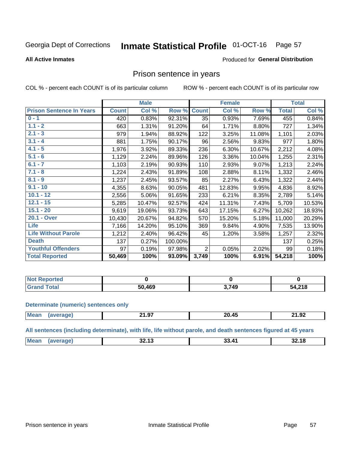#### Inmate Statistical Profile 01-OCT-16 Page 57

### **All Active Inmates**

### Produced for General Distribution

## Prison sentence in years

COL % - percent each COUNT is of its particular column

ROW % - percent each COUNT is of its particular row

|                                 |              | <b>Male</b> |         |                | <b>Female</b> |        |              | <b>Total</b> |
|---------------------------------|--------------|-------------|---------|----------------|---------------|--------|--------------|--------------|
| <b>Prison Sentence In Years</b> | <b>Count</b> | Col %       | Row %   | <b>Count</b>   | Col %         | Row %  | <b>Total</b> | Col %        |
| $0 - 1$                         | 420          | 0.83%       | 92.31%  | 35             | 0.93%         | 7.69%  | 455          | 0.84%        |
| $1.1 - 2$                       | 663          | 1.31%       | 91.20%  | 64             | 1.71%         | 8.80%  | 727          | 1.34%        |
| $2.1 - 3$                       | 979          | 1.94%       | 88.92%  | 122            | 3.25%         | 11.08% | 1,101        | 2.03%        |
| $3.1 - 4$                       | 881          | 1.75%       | 90.17%  | 96             | 2.56%         | 9.83%  | 977          | 1.80%        |
| $4.1 - 5$                       | 1,976        | 3.92%       | 89.33%  | 236            | 6.30%         | 10.67% | 2,212        | 4.08%        |
| $5.1 - 6$                       | 1,129        | 2.24%       | 89.96%  | 126            | 3.36%         | 10.04% | 1,255        | 2.31%        |
| $6.1 - 7$                       | 1,103        | 2.19%       | 90.93%  | 110            | 2.93%         | 9.07%  | 1,213        | 2.24%        |
| $7.1 - 8$                       | 1,224        | 2.43%       | 91.89%  | 108            | 2.88%         | 8.11%  | 1,332        | 2.46%        |
| $8.1 - 9$                       | 1,237        | 2.45%       | 93.57%  | 85             | 2.27%         | 6.43%  | 1,322        | 2.44%        |
| $9.1 - 10$                      | 4,355        | 8.63%       | 90.05%  | 481            | 12.83%        | 9.95%  | 4,836        | 8.92%        |
| $10.1 - 12$                     | 2,556        | 5.06%       | 91.65%  | 233            | 6.21%         | 8.35%  | 2,789        | 5.14%        |
| $12.1 - 15$                     | 5,285        | 10.47%      | 92.57%  | 424            | 11.31%        | 7.43%  | 5,709        | 10.53%       |
| $15.1 - 20$                     | 9,619        | 19.06%      | 93.73%  | 643            | 17.15%        | 6.27%  | 10,262       | 18.93%       |
| 20.1 - Over                     | 10,430       | 20.67%      | 94.82%  | 570            | 15.20%        | 5.18%  | 11,000       | 20.29%       |
| <b>Life</b>                     | 7,166        | 14.20%      | 95.10%  | 369            | 9.84%         | 4.90%  | 7,535        | 13.90%       |
| <b>Life Without Parole</b>      | 1,212        | 2.40%       | 96.42%  | 45             | 1.20%         | 3.58%  | 1,257        | 2.32%        |
| <b>Death</b>                    | 137          | 0.27%       | 100.00% |                |               |        | 137          | 0.25%        |
| <b>Youthful Offenders</b>       | 97           | 0.19%       | 97.98%  | $\overline{2}$ | 0.05%         | 2.02%  | 99           | 0.18%        |
| <b>Total Reported</b>           | 50,469       | 100%        | 93.09%  | 3,749          | 100%          | 6.91%  | 54,218       | 100%         |

| <b>Not Reported</b>          |        |            |        |
|------------------------------|--------|------------|--------|
| <b>otal</b><br>$C_{\rm eff}$ | 50.469 | 1710<br>43 | 54,218 |

### **Determinate (numeric) sentences only**

| <b>Mear</b> | $\sim$ $\sim$<br>-1.97 | . .<br>ንበ<br>. л.<br>----- | 21.92<br>$-$ |
|-------------|------------------------|----------------------------|--------------|
|             |                        |                            |              |

All sentences (including determinate), with life, life without parole, and death sentences figured at 45 years

| Me:<br><br>$\mathbf{A}^{\prime}$<br>っっ<br><b>40</b><br>34. IO<br>JL.IJ<br>$ -$<br>___ |  |  |  |
|---------------------------------------------------------------------------------------|--|--|--|
|                                                                                       |  |  |  |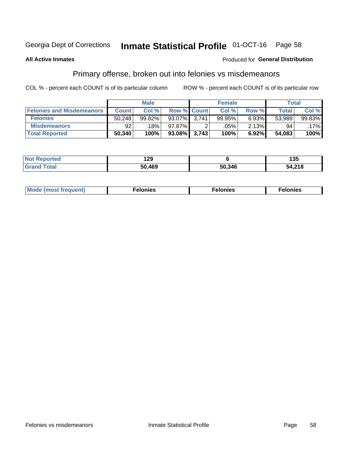#### **Inmate Statistical Profile 01-OCT-16** Page 58

## **All Active Inmates**

## **Produced for General Distribution**

## Primary offense, broken out into felonies vs misdemeanors

COL % - percent each COUNT is of its particular column

|                                  |              | <b>Male</b> |              |                    | <b>Female</b> |       | Total        |        |
|----------------------------------|--------------|-------------|--------------|--------------------|---------------|-------|--------------|--------|
| <b>Felonies and Misdemeanors</b> | <b>Count</b> | Col%        |              | <b>Row % Count</b> | Col%          | Row % | <b>Total</b> | Col %  |
| <b>Felonies</b>                  | 50.248       | 99.82%      | 93.07%       | 3.741              | 99.95%        | 6.93% | 53,989       | 99.83% |
| <b>Misdemeanors</b>              | 92           | 18%         | 97.87%       |                    | .05%          | 2.13% | 94           | .17%   |
| <b>Total Reported</b>            | 50,340       | 100%        | 93.08% 3,743 |                    | 100%          | 6.92% | 54,083       | 100%   |

| <b>Not</b>            | 1 א    |        | 135    |
|-----------------------|--------|--------|--------|
| <b>Reported</b>       | 1 L J  |        | טטי    |
| ™otal<br><b>Grand</b> | 50.469 | 50,346 | 54,218 |

| Mo | ____ | 11 C.S<br>. | onies<br>. |
|----|------|-------------|------------|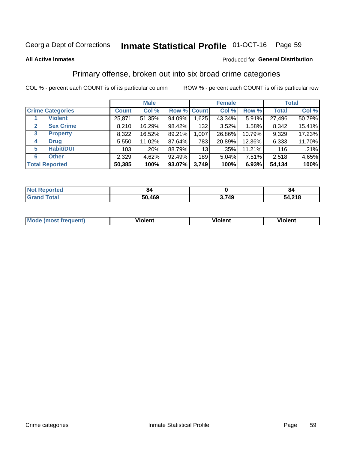#### **Inmate Statistical Profile 01-OCT-16** Page 59

### **All Active Inmates**

## Produced for General Distribution

## Primary offense, broken out into six broad crime categories

COL % - percent each COUNT is of its particular column

|                                 | <b>Male</b>  |        |        |             | <b>Female</b> | <b>Total</b> |              |        |
|---------------------------------|--------------|--------|--------|-------------|---------------|--------------|--------------|--------|
| <b>Crime Categories</b>         | <b>Count</b> | Col %  |        | Row % Count | Col %         | Row %        | <b>Total</b> | Col %  |
| <b>Violent</b>                  | 25,871       | 51.35% | 94.09% | 1,625       | 43.34%        | 5.91%        | 27,496       | 50.79% |
| <b>Sex Crime</b><br>2           | 8,210        | 16.29% | 98.42% | 132         | 3.52%         | 1.58%        | 8,342        | 15.41% |
| $\mathbf{3}$<br><b>Property</b> | 8,322        | 16.52% | 89.21% | 1,007       | 26.86%        | 10.79%       | 9,329        | 17.23% |
| <b>Drug</b><br>4                | 5,550        | 11.02% | 87.64% | 783         | 20.89%        | 12.36%       | 6,333        | 11.70% |
| <b>Habit/DUI</b><br>5           | 103          | .20%   | 88.79% | 13          | $.35\%$       | 11.21%       | 116          | .21%   |
| <b>Other</b><br>6               | 2,329        | 4.62%  | 92.49% | 189         | 5.04%         | 7.51%        | 2,518        | 4.65%  |
| <b>Total Reported</b>           | 50,385       | 100%   | 93.07% | 3,749       | 100%          | 6.93%        | 54,134       | 100%   |

| Reported<br>NOT F      | 84     |       | 84     |
|------------------------|--------|-------|--------|
| <b>Total</b><br>'Grand | 50,469 | 3,749 | 54,218 |

| M | $\overline{\phantom{a}}$<br>- --<br>100011 | .<br><b>VIOIGIIL</b> | 1.91311 |
|---|--------------------------------------------|----------------------|---------|
|   |                                            |                      |         |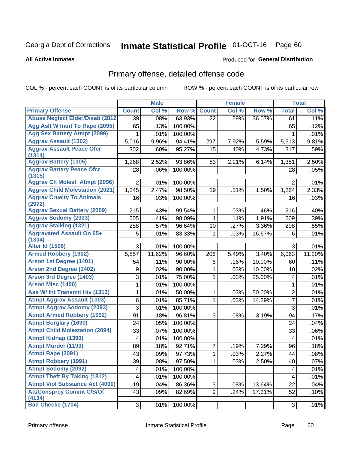# Inmate Statistical Profile 01-OCT-16 Page 60

### **All Active Inmates**

### **Produced for General Distribution**

## Primary offense, detailed offense code

COL % - percent each COUNT is of its particular column

|                                            |                | <b>Male</b> |         |                | <b>Female</b> |        |                | <b>Total</b> |
|--------------------------------------------|----------------|-------------|---------|----------------|---------------|--------|----------------|--------------|
| <b>Primary Offense</b>                     | <b>Count</b>   | Col %       | Row %   | <b>Count</b>   | Col %         | Row %  | <b>Total</b>   | Col %        |
| <b>Abuse Neglect Elder/Disab (2812)</b>    | 39             | .08%        | 63.93%  | 22             | .59%          | 36.07% | 61             | .11%         |
| Agg Aslt W Intnt To Rape (2095)            | 65             | .13%        | 100.00% |                |               |        | 65             | .12%         |
| <b>Agg Sex Battery Atmpt (2099)</b>        | 1              | .01%        | 100.00% |                |               |        | 1              | .01%         |
| <b>Aggrav Assault (1302)</b>               | 5,016          | 9.96%       | 94.41%  | 297            | 7.92%         | 5.59%  | 5,313          | 9.81%        |
| <b>Aggrav Assault Peace Ofcr</b>           | 302            | .60%        | 95.27%  | 15             | .40%          | 4.73%  | 317            | .59%         |
| (1314)<br><b>Aggrav Battery (1305)</b>     | 1,268          | 2.52%       | 93.86%  | 83             | 2.21%         | 6.14%  | 1,351          | 2.50%        |
| <b>Aggrav Battery Peace Ofcr</b>           | 28             | .06%        | 100.00% |                |               |        | 28             | .05%         |
| (1315)                                     |                |             |         |                |               |        |                |              |
| <b>Aggrav Ch Molest Atmpt (2096)</b>       | $\overline{2}$ | .01%        | 100.00% |                |               |        | $\overline{2}$ | .01%         |
| <b>Aggrav Child Molestation (2021)</b>     | 1,245          | 2.47%       | 98.50%  | 19             | .51%          | 1.50%  | 1,264          | 2.33%        |
| <b>Aggrav Cruelty To Animals</b>           | 16             | .03%        | 100.00% |                |               |        | 16             | .03%         |
| (2972)                                     |                |             |         |                |               |        |                |              |
| <b>Aggrav Sexual Battery (2009)</b>        | 215            | .43%        | 99.54%  | $\mathbf{1}$   | .03%          | .46%   | 216            | .40%         |
| <b>Aggrav Sodomy (2003)</b>                | 205            | .41%        | 98.09%  | 4              | .11%          | 1.91%  | 209            | .39%         |
| <b>Aggrav Stalking (1321)</b>              | 288            | .57%        | 96.64%  | 10             | .27%          | 3.36%  | 298            | .55%         |
| <b>Aggravated Assault On 65+</b><br>(1304) | 5              | .01%        | 83.33%  | 1              | .03%          | 16.67% | 6              | .01%         |
| <b>Alter Id (1506)</b>                     | 3              | .01%        | 100.00% |                |               |        | 3              | .01%         |
| <b>Armed Robbery (1902)</b>                | 5,857          | 11.62%      | 96.60%  | 206            | 5.49%         | 3.40%  | 6,063          | 11.20%       |
| Arson 1st Degree (1401)                    | 54             | .11%        | 90.00%  | 6              | .16%          | 10.00% | 60             | .11%         |
| <b>Arson 2nd Degree (1402)</b>             | 9              | .02%        | 90.00%  | 1              | .03%          | 10.00% | 10             | .02%         |
| <b>Arson 3rd Degree (1403)</b>             | 3              | .01%        | 75.00%  | 1              | .03%          | 25.00% | 4              | .01%         |
| Arson Misc (1400)                          | 1              | .01%        | 100.00% |                |               |        | $\mathbf{1}$   | .01%         |
| Ass W/ Int Transmit Hiv (1313)             | 1              | .01%        | 50.00%  | $\mathbf{1}$   | .03%          | 50.00% | $\overline{2}$ | .01%         |
| <b>Atmpt Aggrav Assault (1303)</b>         | 6              | .01%        | 85.71%  | 1              | .03%          | 14.29% | $\overline{7}$ | .01%         |
| <b>Atmpt Aggrav Sodomy (2093)</b>          | 3              | .01%        | 100.00% |                |               |        | 3              | .01%         |
| <b>Atmpt Armed Robbery (1992)</b>          | 91             | .18%        | 96.81%  | 3              | .08%          | 3.19%  | 94             | .17%         |
| <b>Atmpt Burglary (1690)</b>               | 24             | .05%        | 100.00% |                |               |        | 24             | .04%         |
| <b>Atmpt Child Molestation (2094)</b>      | 33             | .07%        | 100.00% |                |               |        | 33             | .06%         |
| <b>Atmpt Kidnap (1390)</b>                 | 4              | .01%        | 100.00% |                |               |        | $\overline{4}$ | .01%         |
| <b>Atmpt Murder (1190)</b>                 | 89             | .18%        | 92.71%  | 7              | .19%          | 7.29%  | 96             | .18%         |
| Atmpt Rape (2091)                          | 43             | .09%        | 97.73%  | $\overline{1}$ | .03%          | 2.27%  | 44             | .08%         |
| <b>Atmpt Robbery (1991)</b>                | 39             | .08%        | 97.50%  | 1              | .03%          | 2.50%  | 40             | .07%         |
| <b>Atmpt Sodomy (2092)</b>                 | 4              | .01%        | 100.00% |                |               |        | $\overline{4}$ | .01%         |
| <b>Atmpt Theft By Taking (1812)</b>        | 4              | .01%        | 100.00% |                |               |        | $\overline{4}$ | .01%         |
| <b>Atmpt Viol Substance Act (4090)</b>     | 19             | .04%        | 86.36%  | 3              | .08%          | 13.64% | 22             | .04%         |
| <b>Att/Consprcy Commt C/S/Of</b><br>(4134) | 43             | .09%        | 82.69%  | 9              | .24%          | 17.31% | 52             | .10%         |
| <b>Bad Checks (1704)</b>                   | 3              | .01%        | 100.00% |                |               |        | 3              | $.01\%$      |
|                                            |                |             |         |                |               |        |                |              |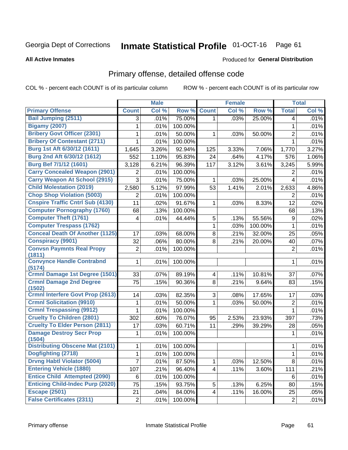#### **Inmate Statistical Profile 01-OCT-16** Page 61

### **All Active Inmates**

## **Produced for General Distribution**

## Primary offense, detailed offense code

COL % - percent each COUNT is of its particular column

|                                                   |                | <b>Male</b> |         |                         | <b>Female</b> |         |                | <b>Total</b> |
|---------------------------------------------------|----------------|-------------|---------|-------------------------|---------------|---------|----------------|--------------|
| <b>Primary Offense</b>                            | <b>Count</b>   | Col %       | Row %   | <b>Count</b>            | Col %         | Row %   | <b>Total</b>   | Col %        |
| <b>Bail Jumping (2511)</b>                        | 3              | .01%        | 75.00%  | $\mathbf{1}$            | .03%          | 25.00%  | 4              | .01%         |
| <b>Bigamy (2007)</b>                              | 1              | .01%        | 100.00% |                         |               |         | $\mathbf{1}$   | .01%         |
| <b>Bribery Govt Officer (2301)</b>                | 1              | .01%        | 50.00%  | 1                       | .03%          | 50.00%  | $\overline{2}$ | .01%         |
| <b>Bribery Of Contestant (2711)</b>               | 1              | .01%        | 100.00% |                         |               |         | $\mathbf{1}$   | .01%         |
| Burg 1st Aft 6/30/12 (1611)                       | 1,645          | 3.26%       | 92.94%  | 125                     | 3.33%         | 7.06%   | 1,770          | 3.27%        |
| Burg 2nd Aft 6/30/12 (1612)                       | 552            | 1.10%       | 95.83%  | 24                      | .64%          | 4.17%   | 576            | 1.06%        |
| Burg Bef 7/1/12 (1601)                            | 3,128          | 6.21%       | 96.39%  | 117                     | 3.12%         | 3.61%   | 3,245          | 5.99%        |
| <b>Carry Concealed Weapon (2901)</b>              | $\overline{2}$ | .01%        | 100.00% |                         |               |         | 2              | .01%         |
| <b>Carry Weapon At School (2915)</b>              | 3              | .01%        | 75.00%  | 1                       | .03%          | 25.00%  | 4              | .01%         |
| <b>Child Molestation (2019)</b>                   | 2,580          | 5.12%       | 97.99%  | 53                      | 1.41%         | 2.01%   | 2,633          | 4.86%        |
| <b>Chop Shop Violation (5003)</b>                 | 2              | .01%        | 100.00% |                         |               |         | 2              | .01%         |
| <b>Cnspire Traffic Cntrl Sub (4130)</b>           | 11             | .02%        | 91.67%  | $\mathbf{1}$            | .03%          | 8.33%   | 12             | .02%         |
| <b>Computer Pornography (1760)</b>                | 68             | .13%        | 100.00% |                         |               |         | 68             | .13%         |
| <b>Computer Theft (1761)</b>                      | 4              | .01%        | 44.44%  | 5                       | .13%          | 55.56%  | 9              | .02%         |
| <b>Computer Trespass (1762)</b>                   |                |             |         | 1                       | .03%          | 100.00% | 1              | .01%         |
| <b>Conceal Death Of Another (1125)</b>            | 17             | .03%        | 68.00%  | 8                       | .21%          | 32.00%  | 25             | .05%         |
| <b>Conspiracy (9901)</b>                          | 32             | .06%        | 80.00%  | 8                       | .21%          | 20.00%  | 40             | .07%         |
| <b>Convsn Paymnts Real Propy</b><br>(1811)        | 2              | .01%        | 100.00% |                         |               |         | $\overline{2}$ | .01%         |
| <b>Convynce Handle Contrabnd</b><br>(5174)        | 1              | .01%        | 100.00% |                         |               |         | 1              | .01%         |
| Crmnl Damage 1st Degree (1501)                    | 33             | .07%        | 89.19%  | $\overline{\mathbf{4}}$ | .11%          | 10.81%  | 37             | .07%         |
| <b>Crmnl Damage 2nd Degree</b>                    | 75             | .15%        | 90.36%  | 8                       | .21%          | 9.64%   | 83             | .15%         |
| (1502)<br><b>Crmnl Interfere Govt Prop (2613)</b> | 14             | .03%        | 82.35%  | 3                       | .08%          | 17.65%  | 17             | .03%         |
| <b>Crmnl Solicitation (9910)</b>                  | 1              | .01%        | 50.00%  | 1                       | .03%          | 50.00%  | $\overline{2}$ | .01%         |
| <b>Crmnl Trespassing (9912)</b>                   | 1              | .01%        | 100.00% |                         |               |         | $\mathbf{1}$   | .01%         |
| <b>Cruelty To Children (2801)</b>                 | 302            | .60%        | 76.07%  | 95                      | 2.53%         | 23.93%  | 397            | .73%         |
| <b>Cruelty To Elder Person (2811)</b>             | 17             | .03%        | 60.71%  | 11                      | .29%          | 39.29%  | 28             | .05%         |
| <b>Damage Destroy Secr Prop</b>                   | 1              | .01%        | 100.00% |                         |               |         | 1              | .01%         |
| (1504)                                            |                |             |         |                         |               |         |                |              |
| <b>Distributing Obscene Mat (2101)</b>            | 1              | .01%        | 100.00% |                         |               |         | 1              | .01%         |
| Dogfighting (2718)                                | $\overline{1}$ | .01%        | 100.00% |                         |               |         | $\overline{1}$ | .01%         |
| <b>Drvng Habtl Violator (5004)</b>                | 7              | .01%        | 87.50%  | 1                       | .03%          | 12.50%  | 8              | .01%         |
| <b>Entering Vehicle (1880)</b>                    | 107            | .21%        | 96.40%  | $\overline{\mathbf{4}}$ | .11%          | 3.60%   | 111            | .21%         |
| <b>Entice Child Attempted (2090)</b>              | 6              | .01%        | 100.00% |                         |               |         | 6              | .01%         |
| <b>Enticing Child-Indec Purp (2020)</b>           | 75             | .15%        | 93.75%  | 5                       | .13%          | 6.25%   | 80             | .15%         |
| <b>Escape (2501)</b>                              | 21             | .04%        | 84.00%  | $\overline{\mathbf{4}}$ | .11%          | 16.00%  | 25             | .05%         |
| <b>False Certificates (2311)</b>                  | $2\vert$       | .01%        | 100.00% |                         |               |         | $\sqrt{2}$     | .01%         |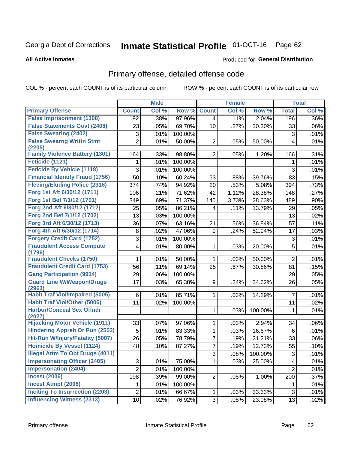#### **Inmate Statistical Profile 01-OCT-16** Page 62

### **All Active Inmates**

## **Produced for General Distribution**

## Primary offense, detailed offense code

COL % - percent each COUNT is of its particular column

|                                            |                | <b>Male</b> |         |                | <b>Female</b> |         |                | <b>Total</b> |
|--------------------------------------------|----------------|-------------|---------|----------------|---------------|---------|----------------|--------------|
| <b>Primary Offense</b>                     | <b>Count</b>   | Col %       | Row %   | <b>Count</b>   | Col %         | Row %   | <b>Total</b>   | Col %        |
| <b>False Imprisonment (1308)</b>           | 192            | .38%        | 97.96%  | 4              | .11%          | 2.04%   | 196            | .36%         |
| <b>False Statements Govt (2408)</b>        | 23             | .05%        | 69.70%  | 10             | .27%          | 30.30%  | 33             | .06%         |
| <b>False Swearing (2402)</b>               | 3              | .01%        | 100.00% |                |               |         | 3              | .01%         |
| <b>False Swearng Writtn Stmt</b>           | $\overline{2}$ | .01%        | 50.00%  | $\overline{2}$ | .05%          | 50.00%  | 4              | .01%         |
| (2205)                                     |                |             |         |                |               |         |                |              |
| <b>Family Violence Battery (1301)</b>      | 164            | .33%        | 98.80%  | 2 <sup>1</sup> | .05%          | 1.20%   | 166            | .31%         |
| Feticide (1121)                            | 1              | .01%        | 100.00% |                |               |         | 1              | .01%         |
| <b>Feticide By Vehicle (1118)</b>          | 3              | .01%        | 100.00% |                |               |         | 3              | .01%         |
| <b>Financial Identity Fraud (1756)</b>     | 50             | .10%        | 60.24%  | 33             | .88%          | 39.76%  | 83             | .15%         |
| <b>Fleeing/Eluding Police (2316)</b>       | 374            | .74%        | 94.92%  | 20             | .53%          | 5.08%   | 394            | .73%         |
| Forg 1st Aft 6/30/12 (1711)                | 106            | .21%        | 71.62%  | 42             | 1.12%         | 28.38%  | 148            | .27%         |
| Forg 1st Bef 7/1/12 (1701)                 | 349            | .69%        | 71.37%  | 140            | 3.73%         | 28.63%  | 489            | .90%         |
| Forg 2nd Aft 6/30/12 (1712)                | 25             | .05%        | 86.21%  | 4              | .11%          | 13.79%  | 29             | .05%         |
| Forg 2nd Bef 7/1/12 (1702)                 | 13             | .03%        | 100.00% |                |               |         | 13             | .02%         |
| Forg 3rd Aft 6/30/12 (1713)                | 36             | .07%        | 63.16%  | 21             | .56%          | 36.84%  | 57             | .11%         |
| Forg 4th Aft 6/30/12 (1714)                | 8              | .02%        | 47.06%  | 9              | .24%          | 52.94%  | 17             | .03%         |
| <b>Forgery Credit Card (1752)</b>          | 3              | .01%        | 100.00% |                |               |         | 3              | .01%         |
| <b>Fraudulent Access Compute</b><br>(1796) | 4              | .01%        | 80.00%  | $\mathbf 1$    | .03%          | 20.00%  | 5              | .01%         |
| <b>Fraudulent Checks (1750)</b>            | 1              | .01%        | 50.00%  | $\mathbf 1$    | .03%          | 50.00%  | $\overline{2}$ | .01%         |
| <b>Fraudulent Credit Card (1753)</b>       | 56             | .11%        | 69.14%  | 25             | .67%          | 30.86%  | 81             | .15%         |
| <b>Gang Participation (9914)</b>           | 29             | .06%        | 100.00% |                |               |         | 29             | .05%         |
| <b>Guard Line W/Weapon/Drugs</b>           | 17             | .03%        | 65.38%  | 9              | .24%          | 34.62%  | 26             | .05%         |
| (2963)                                     |                |             |         |                |               |         |                |              |
| <b>Habit Traf Viol/Impaired (5005)</b>     | 6              | .01%        | 85.71%  | $\mathbf{1}$   | .03%          | 14.29%  | $\overline{7}$ | .01%         |
| <b>Habit Traf Viol/Other (5006)</b>        | 11             | .02%        | 100.00% |                |               |         | 11             | .02%         |
| <b>Harbor/Conceal Sex Offndr</b><br>(2027) |                |             |         | 1              | .03%          | 100.00% | 1              | .01%         |
| <b>Hijacking Motor Vehicle (1911)</b>      | 33             | .07%        | 97.06%  | $\mathbf{1}$   | .03%          | 2.94%   | 34             | .06%         |
| <b>Hindering Appreh Or Pun (2503)</b>      | 5              | .01%        | 83.33%  | 1              | .03%          | 16.67%  | 6              | .01%         |
| Hit-Run W/Injury/Fatality (5007)           | 26             | .05%        | 78.79%  | $\overline{7}$ | .19%          | 21.21%  | 33             | .06%         |
| <b>Homicide By Vessel (1124)</b>           | 48             | .10%        | 87.27%  | 7              | .19%          | 12.73%  | 55             | .10%         |
| <b>Illegal Attm To Obt Drugs (4011)</b>    |                |             |         | $\overline{3}$ | .08%          | 100.00% | $\overline{3}$ | .01%         |
| <b>Impersonating Officer (2405)</b>        | 3              | .01%        | 75.00%  | $\mathbf{1}$   | .03%          | 25.00%  | 4              | .01%         |
| <b>Impersonation (2404)</b>                | $\overline{2}$ | .01%        | 100.00% |                |               |         | $\overline{2}$ | .01%         |
| <b>Incest (2006)</b>                       | 198            | .39%        | 99.00%  | 2              | .05%          | 1.00%   | 200            | .37%         |
| <b>Incest Atmpt (2098)</b>                 | 1              | .01%        | 100.00% |                |               |         | $\mathbf 1$    | .01%         |
| <b>Inciting To Insurrection (2203)</b>     | $\overline{c}$ | .01%        | 66.67%  | $\mathbf 1$    | .03%          | 33.33%  | $\mathfrak{S}$ | .01%         |
| <b>Influencing Witness (2313)</b>          | 10             | .02%        | 76.92%  | $3\vert$       | .08%          | 23.08%  | 13             | .02%         |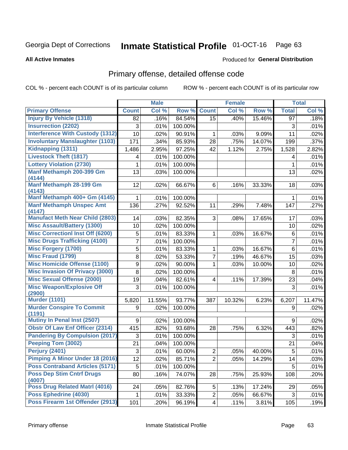# Inmate Statistical Profile 01-OCT-16 Page 63

### **All Active Inmates**

### **Produced for General Distribution**

## Primary offense, detailed offense code

COL % - percent each COUNT is of its particular column

|                                                                                                                      | <b>Male</b>    |                      |                                       | <b>Female</b>                                  |                      |                           | <b>Total</b>   |
|----------------------------------------------------------------------------------------------------------------------|----------------|----------------------|---------------------------------------|------------------------------------------------|----------------------|---------------------------|----------------|
| <b>Count</b>                                                                                                         | Col %          | Row %                | <b>Count</b>                          | Col %                                          | Row %                | <b>Total</b>              | Col %          |
| 82                                                                                                                   | .16%           | 84.54%               | $\overline{15}$                       | .40%                                           | 15.46%               | $\overline{97}$           | .18%           |
| 3                                                                                                                    | .01%           | 100.00%              |                                       |                                                |                      | 3                         | .01%           |
| 10                                                                                                                   | .02%           | 90.91%               | 1                                     | .03%                                           | 9.09%                | 11                        | .02%           |
| 171                                                                                                                  | .34%           | 85.93%               | 28                                    | .75%                                           | 14.07%               | 199                       | .37%           |
| 1,486                                                                                                                | 2.95%          | 97.25%               | 42                                    | 1.12%                                          | 2.75%                | 1,528                     | 2.82%          |
| 4                                                                                                                    | .01%           | 100.00%              |                                       |                                                |                      | 4                         | .01%           |
| 1                                                                                                                    | .01%           | 100.00%              |                                       |                                                |                      | 1                         | .01%           |
| 13                                                                                                                   | .03%           | 100.00%              |                                       |                                                |                      | 13                        | .02%           |
| 12                                                                                                                   | .02%           | 66.67%               | 6                                     | .16%                                           | 33.33%               | 18                        | .03%           |
| 1                                                                                                                    | .01%           | 100.00%              |                                       |                                                |                      | 1                         | .01%           |
| 136                                                                                                                  | .27%           | 92.52%               | 11                                    | .29%                                           | 7.48%                | 147                       | .27%           |
| 14                                                                                                                   | .03%           | 82.35%               | 3                                     | .08%                                           | 17.65%               | 17                        | .03%           |
| 10                                                                                                                   | .02%           | 100.00%              |                                       |                                                |                      | 10                        | .02%           |
| 5                                                                                                                    | .01%           | 83.33%               | 1                                     | .03%                                           | 16.67%               | 6                         | .01%           |
| 7                                                                                                                    | .01%           | 100.00%              |                                       |                                                |                      | $\overline{7}$            | .01%           |
| 5                                                                                                                    | .01%           | 83.33%               | 1                                     | .03%                                           | 16.67%               | $6\phantom{1}$            | .01%           |
| 8                                                                                                                    | .02%           | 53.33%               | 7                                     | .19%                                           | 46.67%               | 15                        | .03%           |
| 9                                                                                                                    | .02%           | 90.00%               | 1                                     | .03%                                           | 10.00%               | 10                        | .02%           |
| 8                                                                                                                    | .02%           | 100.00%              |                                       |                                                |                      | 8                         | .01%           |
| 19                                                                                                                   | .04%           | 82.61%               | 4                                     | .11%                                           | 17.39%               | 23                        | .04%           |
| 3                                                                                                                    | .01%           | 100.00%              |                                       |                                                |                      | $\mathbf{3}$              | .01%           |
| 5,820                                                                                                                | 11.55%         | 93.77%               | 387                                   | 10.32%                                         | 6.23%                | 6,207                     | 11.47%         |
| 9                                                                                                                    | .02%           | 100.00%              |                                       |                                                |                      | 9                         | .02%           |
| 9                                                                                                                    | .02%           |                      |                                       |                                                |                      | 9                         | .02%           |
| 415                                                                                                                  | .82%           | 93.68%               | 28                                    | .75%                                           | 6.32%                | 443                       | .82%           |
| 3                                                                                                                    | .01%           | 100.00%              |                                       |                                                |                      | 3                         | .01%           |
| 21                                                                                                                   | .04%           | 100.00%              |                                       |                                                |                      | 21                        | .04%           |
| 3                                                                                                                    | .01%           | 60.00%               | $\overline{2}$                        | .05%                                           | 40.00%               | 5                         | .01%           |
| <b>Pimping A Minor Under 18 (2016)</b><br>12                                                                         | .02%           | 85.71%               | $\overline{2}$                        | .05%                                           | 14.29%               | 14                        | .03%           |
| 5                                                                                                                    | .01%           | 100.00%              |                                       |                                                |                      | 5                         | .01%           |
| 80                                                                                                                   | .16%           | 74.07%               | 28                                    | .75%                                           | 25.93%               | 108                       | .20%           |
|                                                                                                                      |                |                      |                                       |                                                |                      |                           | .05%           |
|                                                                                                                      |                |                      |                                       |                                                |                      |                           | .01%           |
|                                                                                                                      |                |                      |                                       |                                                |                      |                           | .19%           |
| <b>Interference With Custody (1312)</b><br><b>Pandering By Compulsion (2017)</b><br>Poss Firearm 1st Offender (2913) | 24<br>1<br>101 | .05%<br>.01%<br>.20% | 100.00%<br>82.76%<br>33.33%<br>96.19% | 5<br>$\overline{c}$<br>$\overline{\mathbf{4}}$ | .13%<br>.05%<br>.11% | 17.24%<br>66.67%<br>3.81% | 29<br>3<br>105 |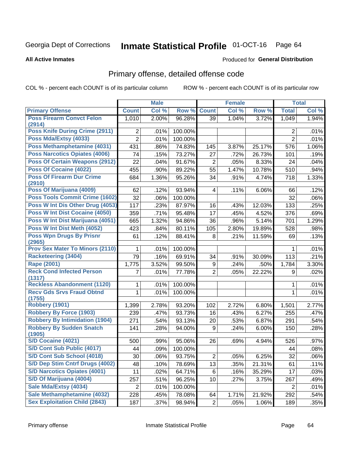# Inmate Statistical Profile 01-OCT-16 Page 64

### **All Active Inmates**

## **Produced for General Distribution**

## Primary offense, detailed offense code

COL % - percent each COUNT is of its particular column

|                                        |                 | <b>Male</b> |         |                         | <b>Female</b> |        |                | <b>Total</b> |
|----------------------------------------|-----------------|-------------|---------|-------------------------|---------------|--------|----------------|--------------|
| <b>Primary Offense</b>                 | <b>Count</b>    | Col %       | Row %   | <b>Count</b>            | Col %         | Row %  | <b>Total</b>   | Col %        |
| <b>Poss Firearm Convct Felon</b>       | 1,010           | 2.00%       | 96.28%  | 39                      | 1.04%         | 3.72%  | 1,049          | 1.94%        |
| (2914)                                 |                 |             |         |                         |               |        |                |              |
| <b>Poss Knife During Crime (2911)</b>  | 2               | .01%        | 100.00% |                         |               |        | $\overline{2}$ | .01%         |
| Poss Mda/Extsy (4033)                  | $\overline{2}$  | .01%        | 100.00% |                         |               |        | $\overline{2}$ | .01%         |
| Poss Methamphetamine (4031)            | 431             | .86%        | 74.83%  | 145                     | 3.87%         | 25.17% | 576            | 1.06%        |
| <b>Poss Narcotics Opiates (4006)</b>   | 74              | .15%        | 73.27%  | 27                      | .72%          | 26.73% | 101            | .19%         |
| <b>Poss Of Certain Weapons (2912)</b>  | 22              | .04%        | 91.67%  | 2                       | .05%          | 8.33%  | 24             | .04%         |
| Poss Of Cocaine (4022)                 | 455             | .90%        | 89.22%  | 55                      | 1.47%         | 10.78% | 510            | .94%         |
| <b>Poss Of Firearm Dur Crime</b>       | 684             | 1.36%       | 95.26%  | 34                      | .91%          | 4.74%  | 718            | 1.33%        |
| (2910)<br>Poss Of Marijuana (4009)     | 62              | .12%        | 93.94%  | $\overline{\mathbf{4}}$ | .11%          | 6.06%  | 66             | .12%         |
| <b>Poss Tools Commit Crime (1602)</b>  | 32              | .06%        | 100.00% |                         |               |        | 32             | .06%         |
| Poss W Int Dis Other Drug (4053)       | 117             | .23%        | 87.97%  | 16                      | .43%          | 12.03% | 133            | .25%         |
| Poss W Int Dist Cocaine (4050)         | 359             | .71%        | 95.48%  | 17                      | .45%          | 4.52%  | 376            | .69%         |
| Poss W Int Dist Marijuana (4051)       | 665             | 1.32%       | 94.86%  | 36                      | .96%          | 5.14%  | 701            | 1.29%        |
| Poss W Int Dist Meth (4052)            |                 | .84%        |         |                         |               |        |                |              |
| <b>Poss Wpn Drugs By Prisnr</b>        | 423             |             | 80.11%  | 105                     | 2.80%         | 19.89% | 528            | .98%         |
| (2965)                                 | 61              | .12%        | 88.41%  | 8                       | .21%          | 11.59% | 69             | .13%         |
| <b>Prov Sex Mater To Minors (2110)</b> | 1               | .01%        | 100.00% |                         |               |        | 1              | .01%         |
| <b>Racketeering (3404)</b>             | $\overline{79}$ | .16%        | 69.91%  | 34                      | .91%          | 30.09% | 113            | .21%         |
| <b>Rape (2001)</b>                     | 1,775           | 3.52%       | 99.50%  | 9                       | .24%          | .50%   | 1,784          | 3.30%        |
| <b>Reck Cond Infected Person</b>       | 7               | .01%        | 77.78%  | $\overline{2}$          | .05%          | 22.22% | 9              | .02%         |
| (1317)                                 |                 |             |         |                         |               |        |                |              |
| <b>Reckless Abandonment (1120)</b>     | 1               | .01%        | 100.00% |                         |               |        | 1              | .01%         |
| <b>Recv Gds Srvs Fraud Obtnd</b>       | $\mathbf{1}$    | .01%        | 100.00% |                         |               |        | $\mathbf{1}$   | .01%         |
| (1755)<br><b>Robbery (1901)</b>        |                 |             |         |                         |               |        |                |              |
| <b>Robbery By Force (1903)</b>         | 1,399           | 2.78%       | 93.20%  | 102                     | 2.72%         | 6.80%  | 1,501          | 2.77%        |
| <b>Robbery By Intimidation (1904)</b>  | 239             | .47%        | 93.73%  | 16                      | .43%          | 6.27%  | 255            | .47%         |
| <b>Robbery By Sudden Snatch</b>        | 271             | .54%        | 93.13%  | 20                      | .53%          | 6.87%  | 291            | .54%         |
| (1905)                                 | 141             | .28%        | 94.00%  | 9                       | .24%          | 6.00%  | 150            | .28%         |
| S/D Cocaine (4021)                     | 500             | .99%        | 95.06%  | 26                      | .69%          | 4.94%  | 526            | .97%         |
| S/D Cont Sub Public (4017)             | 44              | .09%        | 100.00% |                         |               |        | 44             | .08%         |
| S/D Cont Sub School (4018)             | 30              | .06%        | 93.75%  | 2                       | .05%          | 6.25%  | 32             | $.06\%$      |
| S/D Dep Stim Cntrf Drugs (4002)        | 48              | .10%        | 78.69%  | 13                      | .35%          | 21.31% | 61             | .11%         |
| <b>S/D Narcotics Opiates (4001)</b>    | 11              | .02%        | 64.71%  | 6                       | .16%          | 35.29% | 17             | .03%         |
| S/D Of Marijuana (4004)                | 257             | .51%        | 96.25%  | 10                      | .27%          | 3.75%  | 267            | .49%         |
| Sale Mda/Extsy (4034)                  | $\overline{c}$  | .01%        | 100.00% |                         |               |        | 2              | .01%         |
| Sale Methamphetamine (4032)            | 228             | .45%        | 78.08%  | 64                      | 1.71%         | 21.92% | 292            | .54%         |
| <b>Sex Exploitation Child (2843)</b>   | 187             | .37%        | 98.94%  | $\overline{2}$          | .05%          | 1.06%  | 189            | .35%         |
|                                        |                 |             |         |                         |               |        |                |              |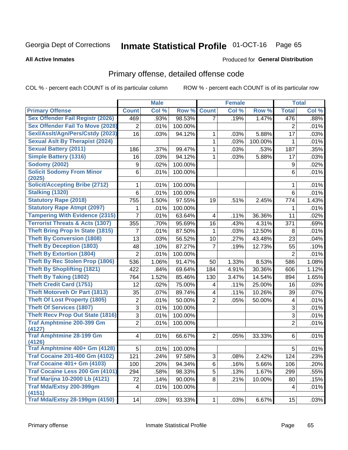# Inmate Statistical Profile 01-OCT-16 Page 65

**All Active Inmates** 

## **Produced for General Distribution**

## Primary offense, detailed offense code

COL % - percent each COUNT is of its particular column

|                                            |                  | <b>Male</b> |         |                         | <b>Female</b> |         |                | <b>Total</b> |
|--------------------------------------------|------------------|-------------|---------|-------------------------|---------------|---------|----------------|--------------|
| <b>Primary Offense</b>                     | <b>Count</b>     | Col %       | Row %   | <b>Count</b>            | Col %         | Row %   | <b>Total</b>   | Col %        |
| <b>Sex Offender Fail Registr (2026)</b>    | 469              | .93%        | 98.53%  | $\overline{7}$          | .19%          | 1.47%   | 476            | .88%         |
| <b>Sex Offender Fail To Move (2028)</b>    | $\overline{2}$   | .01%        | 100.00% |                         |               |         | $\overline{2}$ | .01%         |
| Sexl/Asslt/Agn/Pers/Cstdy (2023)           | 16               | .03%        | 94.12%  | 1                       | .03%          | 5.88%   | 17             | .03%         |
| <b>Sexual Aslt By Therapist (2024)</b>     |                  |             |         | 1                       | .03%          | 100.00% | 1              | .01%         |
| <b>Sexual Battery (2011)</b>               | 186              | .37%        | 99.47%  | 1                       | .03%          | .53%    | 187            | .35%         |
| <b>Simple Battery (1316)</b>               | 16               | .03%        | 94.12%  | 1                       | .03%          | 5.88%   | 17             | .03%         |
| <b>Sodomy (2002)</b>                       | $\boldsymbol{9}$ | .02%        | 100.00% |                         |               |         | $9\,$          | .02%         |
| <b>Solicit Sodomy From Minor</b><br>(2025) | 6                | .01%        | 100.00% |                         |               |         | 6              | .01%         |
| <b>Solicit/Accepting Bribe (2712)</b>      | 1                | .01%        | 100.00% |                         |               |         | 1              | .01%         |
| <b>Stalking (1320)</b>                     | 6                | .01%        | 100.00% |                         |               |         | 6              | .01%         |
| <b>Statutory Rape (2018)</b>               | 755              | 1.50%       | 97.55%  | 19                      | .51%          | 2.45%   | 774            | 1.43%        |
| <b>Statutory Rape Atmpt (2097)</b>         | 1                | .01%        | 100.00% |                         |               |         | 1              | .01%         |
| <b>Tampering With Evidence (2315)</b>      | 7                | .01%        | 63.64%  | 4                       | .11%          | 36.36%  | 11             | .02%         |
| <b>Terrorist Threats &amp; Acts (1307)</b> | 355              | .70%        | 95.69%  | 16                      | .43%          | 4.31%   | 371            | .69%         |
| <b>Theft Bring Prop In State (1815)</b>    | 7                | .01%        | 87.50%  | 1                       | .03%          | 12.50%  | 8              | .01%         |
| <b>Theft By Conversion (1808)</b>          | 13               | .03%        | 56.52%  | 10                      | .27%          | 43.48%  | 23             | .04%         |
| <b>Theft By Deception (1803)</b>           | 48               | .10%        | 87.27%  | $\overline{7}$          | .19%          | 12.73%  | 55             | .10%         |
| <b>Theft By Extortion (1804)</b>           | $\overline{2}$   | .01%        | 100.00% |                         |               |         | $\overline{2}$ | .01%         |
| <b>Theft By Rec Stolen Prop (1806)</b>     | 536              | 1.06%       | 91.47%  | 50                      | 1.33%         | 8.53%   | 586            | 1.08%        |
| <b>Theft By Shoplifting (1821)</b>         | 422              | .84%        | 69.64%  | 184                     | 4.91%         | 30.36%  | 606            | 1.12%        |
| <b>Theft By Taking (1802)</b>              | 764              | 1.52%       | 85.46%  | 130                     | 3.47%         | 14.54%  | 894            | 1.65%        |
| <b>Theft Credit Card (1751)</b>            | 12               | .02%        | 75.00%  | $\overline{\mathbf{4}}$ | .11%          | 25.00%  | 16             | .03%         |
| <b>Theft Motorveh Or Part (1813)</b>       | 35               | .07%        | 89.74%  | $\overline{\mathbf{4}}$ | .11%          | 10.26%  | 39             | .07%         |
| <b>Theft Of Lost Property (1805)</b>       | $\boldsymbol{2}$ | .01%        | 50.00%  | $\overline{2}$          | .05%          | 50.00%  | 4              | .01%         |
| <b>Theft Of Services (1807)</b>            | $\overline{3}$   | .01%        | 100.00% |                         |               |         | 3              | .01%         |
| <b>Theft Recv Prop Out State (1816)</b>    | 3                | .01%        | 100.00% |                         |               |         | 3              | .01%         |
| <b>Traf Amphtmine 200-399 Gm</b><br>(4127) | $\overline{2}$   | .01%        | 100.00% |                         |               |         | $\overline{2}$ | .01%         |
| <b>Traf Amphtmine 28-199 Gm</b><br>(4126)  | 4                | .01%        | 66.67%  | $\overline{2}$          | .05%          | 33.33%  | 6              | .01%         |
| Traf Amphtmine 400+ Gm (4128)              | 5                | .01%        | 100.00% |                         |               |         | 5              | .01%         |
| <b>Traf Cocaine 201-400 Gm (4102)</b>      | 121              | .24%        | 97.58%  | 3                       | .08%          | 2.42%   | 124            | .23%         |
| <b>Traf Cocaine 401+ Gm (4103)</b>         | 100              | .20%        | 94.34%  | 6                       | .16%          | 5.66%   | 106            | .20%         |
| Traf Cocaine Less 200 Gm (4101)            | 294              | .58%        | 98.33%  | 5                       | .13%          | 1.67%   | 299            | .55%         |
| <b>Traf Marijna 10-2000 Lb (4121)</b>      | 72               | .14%        | 90.00%  | 8                       | .21%          | 10.00%  | 80             | .15%         |
| Traf Mda/Extsy 200-399gm<br>(4151)         | 4                | .01%        | 100.00% |                         |               |         | 4              | .01%         |
| <b>Traf Mda/Extsy 28-199gm (4150)</b>      | 14               | .03%        | 93.33%  | 1                       | .03%          | 6.67%   | 15             | .03%         |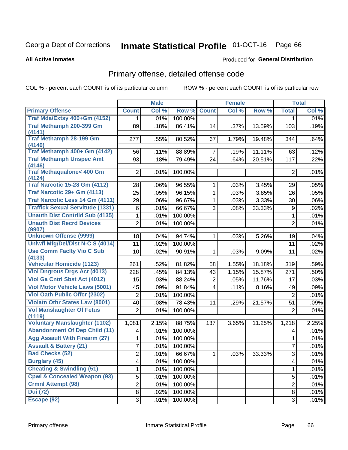# Inmate Statistical Profile 01-OCT-16 Page 66

### **All Active Inmates**

### **Produced for General Distribution**

## Primary offense, detailed offense code

COL % - percent each COUNT is of its particular column

|                                               |                | <b>Male</b> |         |                | <b>Female</b> |        |                | <b>Total</b> |
|-----------------------------------------------|----------------|-------------|---------|----------------|---------------|--------|----------------|--------------|
| <b>Primary Offense</b>                        | <b>Count</b>   | Col %       | Row %   | <b>Count</b>   | Col %         | Row %  | <b>Total</b>   | Col %        |
| Traf Mda/Extsy 400+Gm (4152)                  | 1              | .01%        | 100.00% |                |               |        | $\mathbf{1}$   | .01%         |
| Traf Methamph 200-399 Gm<br>(4141)            | 89             | .18%        | 86.41%  | 14             | .37%          | 13.59% | 103            | .19%         |
| <b>Traf Methamph 28-199 Gm</b><br>(4140)      | 277            | .55%        | 80.52%  | 67             | 1.79%         | 19.48% | 344            | .64%         |
| Traf Methamph 400+ Gm (4142)                  | 56             | .11%        | 88.89%  | $\overline{7}$ | .19%          | 11.11% | 63             | .12%         |
| <b>Traf Methamph Unspec Amt</b><br>(4146)     | 93             | .18%        | 79.49%  | 24             | .64%          | 20.51% | 117            | .22%         |
| <b>Traf Methaqualone&lt; 400 Gm</b><br>(4124) | 2              | .01%        | 100.00% |                |               |        | $\overline{2}$ | .01%         |
| <b>Traf Narcotic 15-28 Gm (4112)</b>          | 28             | .06%        | 96.55%  | 1              | .03%          | 3.45%  | 29             | .05%         |
| Traf Narcotic 29+ Gm (4113)                   | 25             | .05%        | 96.15%  | $\mathbf{1}$   | .03%          | 3.85%  | 26             | .05%         |
| <b>Traf Narcotic Less 14 Gm (4111)</b>        | 29             | .06%        | 96.67%  | $\mathbf{1}$   | .03%          | 3.33%  | 30             | .06%         |
| <b>Traffick Sexual Servitude (1331)</b>       | 6              | .01%        | 66.67%  | 3              | .08%          | 33.33% | 9              | .02%         |
| <b>Unauth Dist Contrild Sub (4135)</b>        | 1              | .01%        | 100.00% |                |               |        | 1              | .01%         |
| <b>Unauth Dist Recrd Devices</b><br>(9907)    | $\overline{2}$ | .01%        | 100.00% |                |               |        | $\overline{2}$ | .01%         |
| <b>Unknown Offense (9999)</b>                 | 18             | .04%        | 94.74%  | $\mathbf{1}$   | .03%          | 5.26%  | 19             | .04%         |
| Uniwfl Mfg/Del/Dist N-C S (4014)              | 11             | .02%        | 100.00% |                |               |        | 11             | .02%         |
| <b>Use Comm Facity Vio C Sub</b>              | 10             | .02%        | 90.91%  | $\mathbf{1}$   | .03%          | 9.09%  | 11             | .02%         |
| (4133)<br><b>Vehicular Homicide (1123)</b>    | 261            | .52%        | 81.82%  | 58             | 1.55%         | 18.18% | 319            | .59%         |
| <b>Viol Dngrous Drgs Act (4013)</b>           | 228            | .45%        | 84.13%  | 43             | 1.15%         | 15.87% | 271            | .50%         |
| Viol Ga Cntrl Sbst Act (4012)                 | 15             | .03%        | 88.24%  | $\overline{2}$ | .05%          | 11.76% | 17             | .03%         |
| <b>Viol Motor Vehicle Laws (5001)</b>         | 45             | .09%        | 91.84%  | $\overline{4}$ | .11%          | 8.16%  | 49             | .09%         |
| <b>Viol Oath Public Offer (2302)</b>          | $\overline{2}$ | .01%        | 100.00% |                |               |        | $\overline{2}$ | .01%         |
| <b>Violatn Othr States Law (8001)</b>         | 40             | .08%        | 78.43%  | 11             | .29%          | 21.57% | 51             | .09%         |
| <b>Vol Manslaughter Of Fetus</b><br>(1119)    | 2              | .01%        | 100.00% |                |               |        | $\overline{2}$ | .01%         |
| <b>Voluntary Manslaughter (1102)</b>          | 1,081          | 2.15%       | 88.75%  | 137            | 3.65%         | 11.25% | 1,218          | 2.25%        |
| <b>Abandonment Of Dep Child (11)</b>          | 4              | .01%        | 100.00% |                |               |        | 4              | .01%         |
| <b>Agg Assault With Firearm (27)</b>          | 1              | .01%        | 100.00% |                |               |        | 1              | .01%         |
| <b>Assault &amp; Battery (21)</b>             | 7              | .01%        | 100.00% |                |               |        | $\overline{7}$ | .01%         |
| <b>Bad Checks (52)</b>                        | 2              | .01%        | 66.67%  | 1              | .03%          | 33.33% | $\overline{3}$ | .01%         |
| <b>Burglary (45)</b>                          | 4              | .01%        | 100.00% |                |               |        | 4              | .01%         |
| <b>Cheating &amp; Swindling (51)</b>          | 1              | .01%        | 100.00% |                |               |        | 1              | .01%         |
| <b>Cpwl &amp; Concealed Weapon (93)</b>       | 5              | .01%        | 100.00% |                |               |        | 5              | .01%         |
| <b>Crmnl Attempt (98)</b>                     | 2              | .01%        | 100.00% |                |               |        | $\overline{2}$ | .01%         |
| <b>Dui</b> (72)                               | 8              | .02%        | 100.00% |                |               |        | 8              | .01%         |
| Escape (92)                                   | 3              | .01%        | 100.00% |                |               |        | 3              | .01%         |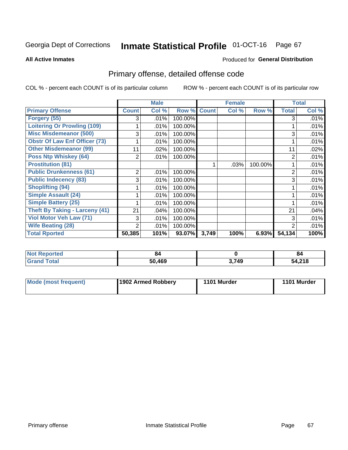#### **Inmate Statistical Profile 01-OCT-16** Page 67

**All Active Inmates** 

## **Produced for General Distribution**

## Primary offense, detailed offense code

COL % - percent each COUNT is of its particular column

|                                       |                | <b>Male</b> |         |              | <b>Female</b> |         |                | <b>Total</b> |
|---------------------------------------|----------------|-------------|---------|--------------|---------------|---------|----------------|--------------|
| <b>Primary Offense</b>                | <b>Count</b>   | Col %       | Row %   | <b>Count</b> | Col %         | Row %   | <b>Total</b>   | Col %        |
| Forgery (55)                          | 3              | .01%        | 100.00% |              |               |         | 3              | .01%         |
| <b>Loitering Or Prowling (109)</b>    |                | .01%        | 100.00% |              |               |         |                | .01%         |
| <b>Misc Misdemeanor (500)</b>         | 3              | .01%        | 100.00% |              |               |         | 3              | .01%         |
| <b>Obstr Of Law Enf Officer (73)</b>  |                | .01%        | 100.00% |              |               |         |                | .01%         |
| <b>Other Misdemeanor (99)</b>         | 11             | .02%        | 100.00% |              |               |         | 11             | .02%         |
| <b>Poss Ntp Whiskey (64)</b>          | $\overline{2}$ | .01%        | 100.00% |              |               |         | 2              | .01%         |
| <b>Prostitution (81)</b>              |                |             |         |              | .03%          | 100.00% |                | .01%         |
| <b>Public Drunkenness (61)</b>        | $\overline{2}$ | .01%        | 100.00% |              |               |         | $\overline{2}$ | .01%         |
| <b>Public Indecency (83)</b>          | 3              | .01%        | 100.00% |              |               |         | 3              | .01%         |
| <b>Shoplifting (94)</b>               |                | .01%        | 100.00% |              |               |         |                | .01%         |
| <b>Simple Assault (24)</b>            |                | .01%        | 100.00% |              |               |         |                | .01%         |
| <b>Simple Battery (25)</b>            |                | .01%        | 100.00% |              |               |         |                | .01%         |
| <b>Theft By Taking - Larceny (41)</b> | 21             | .04%        | 100.00% |              |               |         | 21             | .04%         |
| Viol Motor Veh Law (71)               | 3              | .01%        | 100.00% |              |               |         | 3              | .01%         |
| <b>Wife Beating (28)</b>              | $\overline{2}$ | .01%        | 100.00% |              |               |         | 2              | .01%         |
| <b>Total Rported</b>                  | 50,385         | 101%        | 93.07%  | 3,749        | 100%          | 6.93%   | 54,134         | 100%         |

| тео | 84   |       | -84           |
|-----|------|-------|---------------|
|     | .469 | 3,749 | 54,218<br>-54 |

| Mode (most frequent) | 1902 Armed Robbery | 1101 Murder | 1101 Murder |
|----------------------|--------------------|-------------|-------------|
|                      |                    |             |             |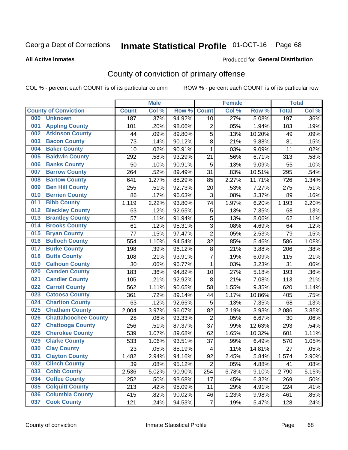# Inmate Statistical Profile 01-OCT-16 Page 68

### **All Active Inmates**

### Produced for General Distribution

## County of conviction of primary offense

COL % - percent each COUNT is of its particular column

|     |                             |              | <b>Male</b> |        |                          | <b>Female</b> |        |              | <b>Total</b> |
|-----|-----------------------------|--------------|-------------|--------|--------------------------|---------------|--------|--------------|--------------|
|     | <b>County of Conviction</b> | <b>Count</b> | Col %       | Row %  | <b>Count</b>             | Col %         | Row %  | <b>Total</b> | Col %        |
| 000 | <b>Unknown</b>              | 187          | .37%        | 94.92% | 10                       | .27%          | 5.08%  | 197          | .36%         |
| 001 | <b>Appling County</b>       | 101          | .20%        | 98.06% | 2                        | .05%          | 1.94%  | 103          | .19%         |
| 002 | <b>Atkinson County</b>      | 44           | .09%        | 89.80% | 5                        | .13%          | 10.20% | 49           | .09%         |
| 003 | <b>Bacon County</b>         | 73           | .14%        | 90.12% | 8                        | .21%          | 9.88%  | 81           | .15%         |
| 004 | <b>Baker County</b>         | 10           | .02%        | 90.91% | $\mathbf{1}$             | .03%          | 9.09%  | 11           | .02%         |
| 005 | <b>Baldwin County</b>       | 292          | .58%        | 93.29% | 21                       | .56%          | 6.71%  | 313          | .58%         |
| 006 | <b>Banks County</b>         | 50           | .10%        | 90.91% | 5                        | .13%          | 9.09%  | 55           | .10%         |
| 007 | <b>Barrow County</b>        | 264          | .52%        | 89.49% | 31                       | .83%          | 10.51% | 295          | .54%         |
| 008 | <b>Bartow County</b>        | 641          | 1.27%       | 88.29% | 85                       | 2.27%         | 11.71% | 726          | 1.34%        |
| 009 | <b>Ben Hill County</b>      | 255          | .51%        | 92.73% | 20                       | .53%          | 7.27%  | 275          | .51%         |
| 010 | <b>Berrien County</b>       | 86           | .17%        | 96.63% | 3                        | .08%          | 3.37%  | 89           | .16%         |
| 011 | <b>Bibb County</b>          | 1,119        | 2.22%       | 93.80% | 74                       | 1.97%         | 6.20%  | 1,193        | 2.20%        |
| 012 | <b>Bleckley County</b>      | 63           | .12%        | 92.65% | $\mathbf 5$              | .13%          | 7.35%  | 68           | .13%         |
| 013 | <b>Brantley County</b>      | 57           | .11%        | 91.94% | 5                        | .13%          | 8.06%  | 62           | .11%         |
| 014 | <b>Brooks County</b>        | 61           | .12%        | 95.31% | $\overline{3}$           | .08%          | 4.69%  | 64           | .12%         |
| 015 | <b>Bryan County</b>         | 77           | .15%        | 97.47% | $\overline{2}$           | .05%          | 2.53%  | 79           | .15%         |
| 016 | <b>Bulloch County</b>       | 554          | 1.10%       | 94.54% | 32                       | .85%          | 5.46%  | 586          | 1.08%        |
| 017 | <b>Burke County</b>         | 198          | .39%        | 96.12% | $\bf 8$                  | .21%          | 3.88%  | 206          | .38%         |
| 018 | <b>Butts County</b>         | 108          | .21%        | 93.91% | $\overline{7}$           | .19%          | 6.09%  | 115          | .21%         |
| 019 | <b>Calhoun County</b>       | 30           | .06%        | 96.77% | $\mathbf{1}$             | .03%          | 3.23%  | 31           | .06%         |
| 020 | <b>Camden County</b>        | 183          | .36%        | 94.82% | 10                       | .27%          | 5.18%  | 193          | .36%         |
| 021 | <b>Candler County</b>       | 105          | .21%        | 92.92% | 8                        | .21%          | 7.08%  | 113          | .21%         |
| 022 | <b>Carroll County</b>       | 562          | 1.11%       | 90.65% | 58                       | 1.55%         | 9.35%  | 620          | 1.14%        |
| 023 | <b>Catoosa County</b>       | 361          | .72%        | 89.14% | 44                       | 1.17%         | 10.86% | 405          | .75%         |
| 024 | <b>Charlton County</b>      | 63           | .12%        | 92.65% | 5                        | .13%          | 7.35%  | 68           | .13%         |
| 025 | <b>Chatham County</b>       | 2,004        | 3.97%       | 96.07% | 82                       | 2.19%         | 3.93%  | 2,086        | 3.85%        |
| 026 | <b>Chattahoochee County</b> | 28           | .06%        | 93.33% | $\overline{2}$           | .05%          | 6.67%  | 30           | .06%         |
| 027 | <b>Chattooga County</b>     | 256          | .51%        | 87.37% | 37                       | .99%          | 12.63% | 293          | .54%         |
| 028 | <b>Cherokee County</b>      | 539          | 1.07%       | 89.68% | 62                       | 1.65%         | 10.32% | 601          | 1.11%        |
| 029 | <b>Clarke County</b>        | 533          | 1.06%       | 93.51% | 37                       | .99%          | 6.49%  | 570          | 1.05%        |
| 030 | <b>Clay County</b>          | 23           | .05%        | 85.19% | $\overline{\mathcal{A}}$ | .11%          | 14.81% | 27           | .05%         |
| 031 | <b>Clayton County</b>       | 1,482        | 2.94%       | 94.16% | 92                       | 2.45%         | 5.84%  | 1,574        | 2.90%        |
| 032 | <b>Clinch County</b>        | 39           | .08%        | 95.12% | $\overline{2}$           | .05%          | 4.88%  | 41           | .08%         |
| 033 | <b>Cobb County</b>          | 2,536        | 5.02%       | 90.90% | 254                      | 6.78%         | 9.10%  | 2,790        | 5.15%        |
| 034 | <b>Coffee County</b>        | 252          | .50%        | 93.68% | 17                       | .45%          | 6.32%  | 269          | .50%         |
| 035 | <b>Colquitt County</b>      | 213          | .42%        | 95.09% | 11                       | .29%          | 4.91%  | 224          | .41%         |
| 036 | <b>Columbia County</b>      | 415          | .82%        | 90.02% | 46                       | 1.23%         | 9.98%  | 461          | .85%         |
| 037 | <b>Cook County</b>          | 121          | .24%        | 94.53% | $\overline{7}$           | .19%          | 5.47%  | 128          | .24%         |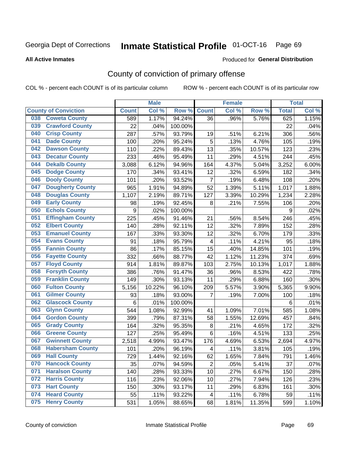# Inmate Statistical Profile 01-OCT-16 Page 69

**All Active Inmates** 

### Produced for General Distribution

## County of conviction of primary offense

COL % - percent each COUNT is of its particular column

|     |                             |                 | <b>Male</b> |         |                         | <b>Female</b> |        |                 | <b>Total</b> |
|-----|-----------------------------|-----------------|-------------|---------|-------------------------|---------------|--------|-----------------|--------------|
|     | <b>County of Conviction</b> | <b>Count</b>    | Col %       | Row %   | <b>Count</b>            | Col %         | Row %  | <b>Total</b>    | Col %        |
| 038 | <b>Coweta County</b>        | 589             | 1.17%       | 94.24%  | 36                      | .96%          | 5.76%  | 625             | 1.15%        |
| 039 | <b>Crawford County</b>      | 22              | .04%        | 100.00% |                         |               |        | 22              | .04%         |
| 040 | <b>Crisp County</b>         | 287             | .57%        | 93.79%  | 19                      | .51%          | 6.21%  | 306             | .56%         |
| 041 | <b>Dade County</b>          | 100             | .20%        | 95.24%  | 5                       | .13%          | 4.76%  | 105             | .19%         |
| 042 | <b>Dawson County</b>        | 110             | .22%        | 89.43%  | 13                      | .35%          | 10.57% | 123             | .23%         |
| 043 | <b>Decatur County</b>       | 233             | .46%        | 95.49%  | 11                      | .29%          | 4.51%  | 244             | .45%         |
| 044 | <b>Dekalb County</b>        | 3,088           | 6.12%       | 94.96%  | 164                     | 4.37%         | 5.04%  | 3,252           | 6.00%        |
| 045 | <b>Dodge County</b>         | 170             | .34%        | 93.41%  | 12                      | .32%          | 6.59%  | 182             | .34%         |
| 046 | <b>Dooly County</b>         | 101             | .20%        | 93.52%  | $\overline{7}$          | .19%          | 6.48%  | 108             | .20%         |
| 047 | <b>Dougherty County</b>     | 965             | 1.91%       | 94.89%  | 52                      | 1.39%         | 5.11%  | 1,017           | 1.88%        |
| 048 | <b>Douglas County</b>       | 1,107           | 2.19%       | 89.71%  | 127                     | 3.39%         | 10.29% | 1,234           | 2.28%        |
| 049 | <b>Early County</b>         | 98              | .19%        | 92.45%  | 8                       | .21%          | 7.55%  | 106             | .20%         |
| 050 | <b>Echols County</b>        | 9               | .02%        | 100.00% |                         |               |        | 9               | .02%         |
| 051 | <b>Effingham County</b>     | 225             | .45%        | 91.46%  | 21                      | .56%          | 8.54%  | 246             | .45%         |
| 052 | <b>Elbert County</b>        | 140             | .28%        | 92.11%  | 12                      | .32%          | 7.89%  | 152             | .28%         |
| 053 | <b>Emanuel County</b>       | 167             | .33%        | 93.30%  | 12                      | .32%          | 6.70%  | 179             | .33%         |
| 054 | <b>Evans County</b>         | 91              | .18%        | 95.79%  | $\overline{\mathbf{4}}$ | .11%          | 4.21%  | 95              | .18%         |
| 055 | <b>Fannin County</b>        | 86              | .17%        | 85.15%  | 15                      | .40%          | 14.85% | 101             | .19%         |
| 056 | <b>Fayette County</b>       | 332             | .66%        | 88.77%  | 42                      | 1.12%         | 11.23% | 374             | .69%         |
| 057 | <b>Floyd County</b>         | 914             | 1.81%       | 89.87%  | 103                     | 2.75%         | 10.13% | 1,017           | 1.88%        |
| 058 | <b>Forsyth County</b>       | 386             | .76%        | 91.47%  | 36                      | .96%          | 8.53%  | 422             | .78%         |
| 059 | <b>Franklin County</b>      | 149             | .30%        | 93.13%  | 11                      | .29%          | 6.88%  | 160             | .30%         |
| 060 | <b>Fulton County</b>        | 5,156           | 10.22%      | 96.10%  | 209                     | 5.57%         | 3.90%  | 5,365           | 9.90%        |
| 061 | <b>Gilmer County</b>        | 93              | .18%        | 93.00%  | $\overline{7}$          | .19%          | 7.00%  | 100             | .18%         |
| 062 | <b>Glascock County</b>      | $6\phantom{1}6$ | .01%        | 100.00% |                         |               |        | $6\phantom{1}6$ | .01%         |
| 063 | <b>Glynn County</b>         | 544             | 1.08%       | 92.99%  | 41                      | 1.09%         | 7.01%  | 585             | 1.08%        |
| 064 | <b>Gordon County</b>        | 399             | .79%        | 87.31%  | 58                      | 1.55%         | 12.69% | 457             | .84%         |
| 065 | <b>Grady County</b>         | 164             | .32%        | 95.35%  | $\bf 8$                 | .21%          | 4.65%  | 172             | .32%         |
| 066 | <b>Greene County</b>        | 127             | .25%        | 95.49%  | $6\phantom{1}$          | .16%          | 4.51%  | 133             | .25%         |
| 067 | <b>Gwinnett County</b>      | 2,518           | 4.99%       | 93.47%  | 176                     | 4.69%         | 6.53%  | 2,694           | 4.97%        |
| 068 | <b>Habersham County</b>     | 101             | .20%        | 96.19%  | $\overline{\mathbf{4}}$ | .11%          | 3.81%  | 105             | .19%         |
| 069 | <b>Hall County</b>          | 729             | 1.44%       | 92.16%  | 62                      | 1.65%         | 7.84%  | 791             | 1.46%        |
| 070 | <b>Hancock County</b>       | 35              | .07%        | 94.59%  | $\overline{2}$          | .05%          | 5.41%  | 37              | .07%         |
| 071 | <b>Haralson County</b>      | 140             | .28%        | 93.33%  | 10                      | .27%          | 6.67%  | 150             | .28%         |
| 072 | <b>Harris County</b>        | 116             | .23%        | 92.06%  | 10                      | .27%          | 7.94%  | 126             | .23%         |
| 073 | <b>Hart County</b>          | 150             | .30%        | 93.17%  | 11                      | .29%          | 6.83%  | 161             | .30%         |
| 074 | <b>Heard County</b>         | 55              | .11%        | 93.22%  | $\overline{4}$          | .11%          | 6.78%  | 59              | .11%         |
| 075 | <b>Henry County</b>         | 531             | 1.05%       | 88.65%  | 68                      | 1.81%         | 11.35% | 599             | 1.10%        |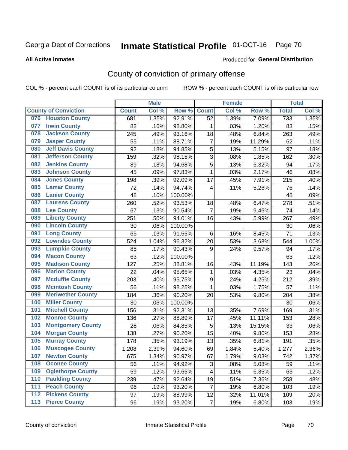# Inmate Statistical Profile 01-OCT-16 Page 70

### **All Active Inmates**

### Produced for General Distribution

## County of conviction of primary offense

COL % - percent each COUNT is of its particular column

|     |                             |              | <b>Male</b> |         |                  | <b>Female</b> |        |              | <b>Total</b> |
|-----|-----------------------------|--------------|-------------|---------|------------------|---------------|--------|--------------|--------------|
|     | <b>County of Conviction</b> | <b>Count</b> | Col %       | Row %   | <b>Count</b>     | Col%          | Row %  | <b>Total</b> | Col %        |
| 076 | <b>Houston County</b>       | 681          | 1.35%       | 92.91%  | 52               | 1.39%         | 7.09%  | 733          | 1.35%        |
| 077 | <b>Irwin County</b>         | 82           | .16%        | 98.80%  | 1                | .03%          | 1.20%  | 83           | .15%         |
| 078 | <b>Jackson County</b>       | 245          | .49%        | 93.16%  | 18               | .48%          | 6.84%  | 263          | .49%         |
| 079 | <b>Jasper County</b>        | 55           | .11%        | 88.71%  | $\overline{7}$   | .19%          | 11.29% | 62           | .11%         |
| 080 | <b>Jeff Davis County</b>    | 92           | .18%        | 94.85%  | 5                | .13%          | 5.15%  | 97           | .18%         |
| 081 | <b>Jefferson County</b>     | 159          | .32%        | 98.15%  | 3                | .08%          | 1.85%  | 162          | .30%         |
| 082 | <b>Jenkins County</b>       | 89           | .18%        | 94.68%  | 5                | .13%          | 5.32%  | 94           | .17%         |
| 083 | <b>Johnson County</b>       | 45           | .09%        | 97.83%  | $\mathbf{1}$     | .03%          | 2.17%  | 46           | .08%         |
| 084 | <b>Jones County</b>         | 198          | .39%        | 92.09%  | 17               | .45%          | 7.91%  | 215          | .40%         |
| 085 | <b>Lamar County</b>         | 72           | .14%        | 94.74%  | 4                | .11%          | 5.26%  | 76           | .14%         |
| 086 | <b>Lanier County</b>        | 48           | .10%        | 100.00% |                  |               |        | 48           | .09%         |
| 087 | <b>Laurens County</b>       | 260          | .52%        | 93.53%  | 18               | .48%          | 6.47%  | 278          | .51%         |
| 088 | <b>Lee County</b>           | 67           | .13%        | 90.54%  | $\overline{7}$   | .19%          | 9.46%  | 74           | .14%         |
| 089 | <b>Liberty County</b>       | 251          | .50%        | 94.01%  | 16               | .43%          | 5.99%  | 267          | .49%         |
| 090 | <b>Lincoln County</b>       | 30           | .06%        | 100.00% |                  |               |        | 30           | .06%         |
| 091 | <b>Long County</b>          | 65           | .13%        | 91.55%  | 6                | .16%          | 8.45%  | 71           | .13%         |
| 092 | <b>Lowndes County</b>       | 524          | 1.04%       | 96.32%  | 20               | .53%          | 3.68%  | 544          | 1.00%        |
| 093 | <b>Lumpkin County</b>       | 85           | .17%        | 90.43%  | 9                | .24%          | 9.57%  | 94           | .17%         |
| 094 | <b>Macon County</b>         | 63           | .12%        | 100.00% |                  |               |        | 63           | .12%         |
| 095 | <b>Madison County</b>       | 127          | .25%        | 88.81%  | 16               | .43%          | 11.19% | 143          | .26%         |
| 096 | <b>Marion County</b>        | 22           | .04%        | 95.65%  | $\mathbf{1}$     | .03%          | 4.35%  | 23           | .04%         |
| 097 | <b>Mcduffie County</b>      | 203          | .40%        | 95.75%  | $\boldsymbol{9}$ | .24%          | 4.25%  | 212          | .39%         |
| 098 | <b>Mcintosh County</b>      | 56           | .11%        | 98.25%  | $\mathbf{1}$     | .03%          | 1.75%  | 57           | .11%         |
| 099 | <b>Meriwether County</b>    | 184          | .36%        | 90.20%  | 20               | .53%          | 9.80%  | 204          | .38%         |
| 100 | <b>Miller County</b>        | 30           | .06%        | 100.00% |                  |               |        | 30           | .06%         |
| 101 | <b>Mitchell County</b>      | 156          | .31%        | 92.31%  | 13               | .35%          | 7.69%  | 169          | .31%         |
| 102 | <b>Monroe County</b>        | 136          | .27%        | 88.89%  | 17               | .45%          | 11.11% | 153          | .28%         |
| 103 | <b>Montgomery County</b>    | 28           | .06%        | 84.85%  | 5                | .13%          | 15.15% | 33           | .06%         |
| 104 | <b>Morgan County</b>        | 138          | .27%        | 90.20%  | 15               | .40%          | 9.80%  | 153          | .28%         |
| 105 | <b>Murray County</b>        | 178          | .35%        | 93.19%  | 13               | .35%          | 6.81%  | 191          | .35%         |
| 106 | <b>Muscogee County</b>      | 1,208        | 2.39%       | 94.60%  | 69               | 1.84%         | 5.40%  | 1,277        | 2.36%        |
| 107 | <b>Newton County</b>        | 675          | 1.34%       | 90.97%  | 67               | 1.79%         | 9.03%  | 742          | 1.37%        |
| 108 | <b>Oconee County</b>        | 56           | .11%        | 94.92%  | 3                | .08%          | 5.08%  | 59           | .11%         |
| 109 | <b>Oglethorpe County</b>    | 59           | .12%        | 93.65%  | 4                | .11%          | 6.35%  | 63           | .12%         |
| 110 | <b>Paulding County</b>      | 239          | .47%        | 92.64%  | 19               | .51%          | 7.36%  | 258          | .48%         |
| 111 | <b>Peach County</b>         | 96           | .19%        | 93.20%  | $\overline{7}$   | .19%          | 6.80%  | 103          | .19%         |
| 112 | <b>Pickens County</b>       | 97           | .19%        | 88.99%  | 12               | .32%          | 11.01% | 109          | .20%         |
| 113 | <b>Pierce County</b>        | 96           | .19%        | 93.20%  | $\overline{7}$   | .19%          | 6.80%  | 103          | .19%         |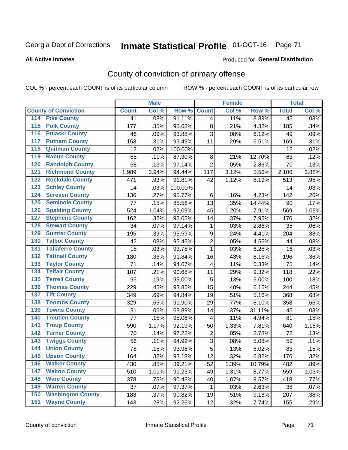# Inmate Statistical Profile 01-OCT-16 Page 71

### **All Active Inmates**

### Produced for General Distribution

## County of conviction of primary offense

COL % - percent each COUNT is of its particular column

|                                          |              | <b>Male</b> |         |                         | <b>Female</b> |        |                 | <b>Total</b> |
|------------------------------------------|--------------|-------------|---------|-------------------------|---------------|--------|-----------------|--------------|
| <b>County of Conviction</b>              | <b>Count</b> | Col %       | Row %   | <b>Count</b>            | Col %         | Row %  | <b>Total</b>    | Col %        |
| 114 Pike County                          | 41           | .08%        | 91.11%  | 4                       | .11%          | 8.89%  | $\overline{45}$ | .08%         |
| <b>Polk County</b><br>$\overline{115}$   | 177          | .35%        | 95.68%  | 8                       | .21%          | 4.32%  | 185             | .34%         |
| <b>Pulaski County</b><br>116             | 46           | .09%        | 93.88%  | 3                       | .08%          | 6.12%  | 49              | .09%         |
| 117<br><b>Putnam County</b>              | 158          | .31%        | 93.49%  | 11                      | .29%          | 6.51%  | 169             | .31%         |
| <b>Quitman County</b><br>118             | 12           | .02%        | 100.00% |                         |               |        | 12              | .02%         |
| <b>Rabun County</b><br>119               | 55           | .11%        | 87.30%  | 8                       | .21%          | 12.70% | 63              | .12%         |
| <b>Randolph County</b><br>120            | 68           | .13%        | 97.14%  | $\overline{2}$          | .05%          | 2.86%  | 70              | .13%         |
| <b>Richmond County</b><br>121            | 1,989        | 3.94%       | 94.44%  | 117                     | 3.12%         | 5.56%  | 2,106           | 3.88%        |
| <b>Rockdale County</b><br>122            | 471          | .93%        | 91.81%  | 42                      | 1.12%         | 8.19%  | 513             | .95%         |
| <b>Schley County</b><br>123              | 14           | .03%        | 100.00% |                         |               |        | 14              | .03%         |
| <b>Screven County</b><br>124             | 136          | .27%        | 95.77%  | 6                       | .16%          | 4.23%  | 142             | .26%         |
| <b>Seminole County</b><br>125            | 77           | .15%        | 85.56%  | 13                      | .35%          | 14.44% | 90              | .17%         |
| <b>Spalding County</b><br>126            | 524          | 1.04%       | 92.09%  | 45                      | 1.20%         | 7.91%  | 569             | 1.05%        |
| <b>Stephens County</b><br>127            | 162          | .32%        | 92.05%  | 14                      | .37%          | 7.95%  | 176             | .32%         |
| <b>Stewart County</b><br>128             | 34           | .07%        | 97.14%  | 1                       | .03%          | 2.86%  | 35              | .06%         |
| <b>Sumter County</b><br>129              | 195          | .39%        | 95.59%  | $\boldsymbol{9}$        | .24%          | 4.41%  | 204             | .38%         |
| <b>Talbot County</b><br>130              | 42           | .08%        | 95.45%  | $\overline{2}$          | .05%          | 4.55%  | 44              | .08%         |
| <b>Taliaferro County</b><br>131          | 15           | .03%        | 93.75%  | $\mathbf{1}$            | .03%          | 6.25%  | 16              | .03%         |
| <b>Tattnall County</b><br>132            | 180          | .36%        | 91.84%  | 16                      | .43%          | 8.16%  | 196             | .36%         |
| <b>Taylor County</b><br>133              | 71           | .14%        | 94.67%  | $\overline{\mathbf{4}}$ | .11%          | 5.33%  | 75              | .14%         |
| <b>Telfair County</b><br>134             | 107          | .21%        | 90.68%  | 11                      | .29%          | 9.32%  | 118             | .22%         |
| <b>Terrell County</b><br>135             | 95           | .19%        | 95.00%  | 5                       | .13%          | 5.00%  | 100             | .18%         |
| <b>Thomas County</b><br>136              | 229          | .45%        | 93.85%  | 15                      | .40%          | 6.15%  | 244             | .45%         |
| <b>Tift County</b><br>137                | 349          | .69%        | 94.84%  | 19                      | .51%          | 5.16%  | 368             | .68%         |
| <b>Toombs County</b><br>138              | 329          | .65%        | 91.90%  | 29                      | .77%          | 8.10%  | 358             | .66%         |
| <b>Towns County</b><br>139               | 31           | .06%        | 68.89%  | 14                      | .37%          | 31.11% | 45              | .08%         |
| <b>Treutlen County</b><br>140            | 77           | .15%        | 95.06%  | 4                       | .11%          | 4.94%  | 81              | .15%         |
| 141<br><b>Troup County</b>               | 590          | 1.17%       | 92.19%  | 50                      | 1.33%         | 7.81%  | 640             | 1.18%        |
| <b>Turner County</b><br>142              | 70           | .14%        | 97.22%  | 2                       | .05%          | 2.78%  | 72              | .13%         |
| <b>Twiggs County</b><br>$\overline{143}$ | 56           | .11%        | 94.92%  | 3                       | .08%          | 5.08%  | 59              | .11%         |
| <b>Union County</b><br>144               | 78           | .15%        | 93.98%  | $\overline{5}$          | .13%          | 6.02%  | 83              | .15%         |
| 145<br><b>Upson County</b>               | 164          | .32%        | 93.18%  | 12                      | .32%          | 6.82%  | 176             | .32%         |
| <b>Walker County</b><br>146              | 430          | .85%        | 89.21%  | 52                      | 1.39%         | 10.79% | 482             | .89%         |
| <b>Walton County</b><br>147              | 510          | 1.01%       | 91.23%  | 49                      | 1.31%         | 8.77%  | 559             | 1.03%        |
| <b>Ware County</b><br>148                | 378          | .75%        | 90.43%  | 40                      | 1.07%         | 9.57%  | 418             | .77%         |
| <b>Warren County</b><br>149              | 37           | .07%        | 97.37%  | 1                       | .03%          | 2.63%  | 38              | .07%         |
| <b>Washington County</b><br>150          | 188          | .37%        | 90.82%  | 19                      | .51%          | 9.18%  | 207             | .38%         |
| <b>Wayne County</b><br>151               | 143          | .28%        | 92.26%  | 12                      | .32%          | 7.74%  | 155             | .29%         |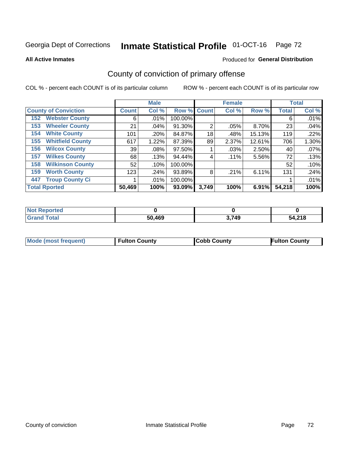# Inmate Statistical Profile 01-OCT-16 Page 72

**All Active Inmates** 

## Produced for General Distribution

## County of conviction of primary offense

COL % - percent each COUNT is of its particular column

|                                |              | <b>Male</b> |             |                | <b>Female</b> |          |              | <b>Total</b> |
|--------------------------------|--------------|-------------|-------------|----------------|---------------|----------|--------------|--------------|
| <b>County of Conviction</b>    | <b>Count</b> | Col %       | Row % Count |                | Col %         | Row %    | <b>Total</b> | Col %        |
| <b>Webster County</b><br>152   | 6            | .01%        | 100.00%     |                |               |          | 6            | .01%         |
| <b>Wheeler County</b><br>153   | 21           | .04%        | 91.30%      | $\overline{2}$ | .05%          | 8.70%    | 23           | .04%         |
| <b>White County</b><br>154     | 101          | .20%        | 84.87%      | 18             | .48%          | 15.13%   | 119          | .22%         |
| <b>Whitfield County</b><br>155 | 617          | 1.22%       | 87.39%      | 89             | 2.37%         | 12.61%   | 706          | 1.30%        |
| <b>Wilcox County</b><br>156    | 39           | $.08\%$     | 97.50%      |                | $.03\%$       | 2.50%    | 40           | .07%         |
| <b>Wilkes County</b><br>157    | 68           | .13%        | 94.44%      | 4              | $.11\%$       | 5.56%    | 72           | .13%         |
| <b>Wilkinson County</b><br>158 | 52           | .10%        | 100.00%     |                |               |          | 52           | .10%         |
| <b>Worth County</b><br>159     | 123          | .24%        | 93.89%      | 8              | .21%          | 6.11%    | 131          | .24%         |
| <b>Troup County Ci</b><br>447  |              | $.01\%$     | 100.00%     |                |               |          |              | .01%         |
| <b>Total Rported</b>           | 50,469       | 100%        | 93.09%      | 3,749          | 100%          | $6.91\%$ | 54,218       | 100%         |

| <b>Not Reported</b> |        |       |        |
|---------------------|--------|-------|--------|
| <b>Grand Total</b>  | 50,469 | 3,749 | 54,218 |

|  | <b>Mode (most frequent)</b> | <b>Fulton County</b> | <b>Cobb County</b> | <b>Fulton County</b> |
|--|-----------------------------|----------------------|--------------------|----------------------|
|--|-----------------------------|----------------------|--------------------|----------------------|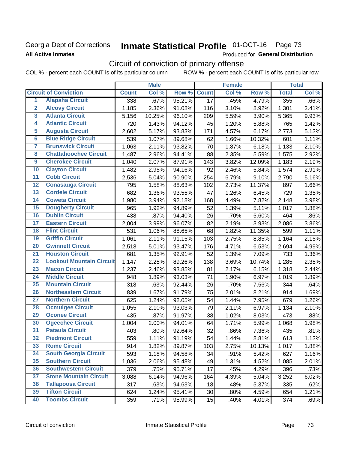## **Georgia Dept of Corrections All Active Inmates**

# Inmate Statistical Profile 01-OCT-16 Page 73

Produced for General Distribution

# Circuit of conviction of primary offense

COL % - percent each COUNT is of its particular column ROW % - percent each COUNT is of its particular row

|                         |                                 |              | <b>Male</b> |        |                 | <b>Female</b> |        |              | <b>Total</b> |
|-------------------------|---------------------------------|--------------|-------------|--------|-----------------|---------------|--------|--------------|--------------|
|                         | <b>Circuit of Conviction</b>    | <b>Count</b> | Col %       | Row %  | <b>Count</b>    | Col %         | Row %  | <b>Total</b> | Col %        |
| 1                       | <b>Alapaha Circuit</b>          | 338          | .67%        | 95.21% | $\overline{17}$ | .45%          | 4.79%  | 355          | .66%         |
| $\overline{2}$          | <b>Alcovy Circuit</b>           | 1,185        | 2.36%       | 91.08% | 116             | 3.10%         | 8.92%  | 1,301        | 2.41%        |
| $\overline{\mathbf{3}}$ | <b>Atlanta Circuit</b>          | 5,156        | 10.25%      | 96.10% | 209             | 5.59%         | 3.90%  | 5,365        | 9.93%        |
| 4                       | <b>Atlantic Circuit</b>         | 720          | 1.43%       | 94.12% | 45              | 1.20%         | 5.88%  | 765          | 1.42%        |
| $\overline{5}$          | <b>Augusta Circuit</b>          | 2,602        | 5.17%       | 93.83% | 171             | 4.57%         | 6.17%  | 2,773        | 5.13%        |
| $\overline{\bf{6}}$     | <b>Blue Ridge Circuit</b>       | 539          | 1.07%       | 89.68% | 62              | 1.66%         | 10.32% | 601          | 1.11%        |
| 7                       | <b>Brunswick Circuit</b>        | 1,063        | 2.11%       | 93.82% | 70              | 1.87%         | 6.18%  | 1,133        | 2.10%        |
| $\overline{\mathbf{8}}$ | <b>Chattahoochee Circuit</b>    | 1,487        | 2.96%       | 94.41% | 88              | 2.35%         | 5.59%  | 1,575        | 2.92%        |
| $\overline{9}$          | <b>Cherokee Circuit</b>         | 1,040        | 2.07%       | 87.91% | 143             | 3.82%         | 12.09% | 1,183        | 2.19%        |
| 10                      | <b>Clayton Circuit</b>          | 1,482        | 2.95%       | 94.16% | 92              | 2.46%         | 5.84%  | 1,574        | 2.91%        |
| $\overline{11}$         | <b>Cobb Circuit</b>             | 2,536        | 5.04%       | 90.90% | 254             | 6.79%         | 9.10%  | 2,790        | 5.16%        |
| $\overline{12}$         | <b>Conasauga Circuit</b>        | 795          | 1.58%       | 88.63% | 102             | 2.73%         | 11.37% | 897          | 1.66%        |
| 13                      | <b>Cordele Circuit</b>          | 682          | 1.36%       | 93.55% | 47              | 1.26%         | 6.45%  | 729          | 1.35%        |
| $\overline{14}$         | <b>Coweta Circuit</b>           | 1,980        | 3.94%       | 92.18% | 168             | 4.49%         | 7.82%  | 2,148        | 3.98%        |
| 15                      | <b>Dougherty Circuit</b>        | 965          | 1.92%       | 94.89% | 52              | 1.39%         | 5.11%  | 1,017        | 1.88%        |
| 16                      | <b>Dublin Circuit</b>           | 438          | .87%        | 94.40% | 26              | .70%          | 5.60%  | 464          | .86%         |
| 17                      | <b>Eastern Circuit</b>          | 2,004        | 3.99%       | 96.07% | 82              | 2.19%         | 3.93%  | 2,086        | 3.86%        |
| $\overline{18}$         | <b>Flint Circuit</b>            | 531          | 1.06%       | 88.65% | 68              | 1.82%         | 11.35% | 599          | 1.11%        |
| 19                      | <b>Griffin Circuit</b>          | 1,061        | 2.11%       | 91.15% | 103             | 2.75%         | 8.85%  | 1,164        | 2.15%        |
| 20                      | <b>Gwinnett Circuit</b>         | 2,518        | 5.01%       | 93.47% | 176             | 4.71%         | 6.53%  | 2,694        | 4.99%        |
| $\overline{21}$         | <b>Houston Circuit</b>          | 681          | 1.35%       | 92.91% | 52              | 1.39%         | 7.09%  | 733          | 1.36%        |
| $\overline{22}$         | <b>Lookout Mountain Circuit</b> | 1,147        | 2.28%       | 89.26% | 138             | 3.69%         | 10.74% | 1,285        | 2.38%        |
| 23                      | <b>Macon Circuit</b>            | 1,237        | 2.46%       | 93.85% | 81              | 2.17%         | 6.15%  | 1,318        | 2.44%        |
| $\overline{24}$         | <b>Middle Circuit</b>           | 948          | 1.89%       | 93.03% | 71              | 1.90%         | 6.97%  | 1,019        | 1.89%        |
| $\overline{25}$         | <b>Mountain Circuit</b>         | 318          | .63%        | 92.44% | 26              | .70%          | 7.56%  | 344          | .64%         |
| 26                      | <b>Northeastern Circuit</b>     | 839          | 1.67%       | 91.79% | 75              | 2.01%         | 8.21%  | 914          | 1.69%        |
| $\overline{27}$         | <b>Northern Circuit</b>         | 625          | 1.24%       | 92.05% | 54              | 1.44%         | 7.95%  | 679          | 1.26%        |
| 28                      | <b>Ocmulgee Circuit</b>         | 1,055        | 2.10%       | 93.03% | 79              | 2.11%         | 6.97%  | 1,134        | 2.10%        |
| 29                      | <b>Oconee Circuit</b>           | 435          | .87%        | 91.97% | 38              | 1.02%         | 8.03%  | 473          | .88%         |
| 30                      | <b>Ogeechee Circuit</b>         | 1,004        | 2.00%       | 94.01% | 64              | 1.71%         | 5.99%  | 1,068        | 1.98%        |
| $\overline{31}$         | <b>Pataula Circuit</b>          | 403          | .80%        | 92.64% | 32              | .86%          | 7.36%  | 435          | .81%         |
| 32                      | <b>Piedmont Circuit</b>         | 559          | 1.11%       | 91.19% | 54              | 1.44%         | 8.81%  | 613          | 1.13%        |
| 33                      | <b>Rome Circuit</b>             | 914          | 1.82%       | 89.87% | 103             | 2.75%         | 10.13% | 1,017        | 1.88%        |
| 34                      | <b>South Georgia Circuit</b>    | 593          | 1.18%       | 94.58% | 34              | .91%          | 5.42%  | 627          | 1.16%        |
| 35                      | <b>Southern Circuit</b>         | 1,036        | 2.06%       | 95.48% | 49              | 1.31%         | 4.52%  | 1,085        | 2.01%        |
| 36                      | <b>Southwestern Circuit</b>     | 379          | .75%        | 95.71% | 17              | .45%          | 4.29%  | 396          | .73%         |
| 37                      | <b>Stone Mountain Circuit</b>   | 3,088        | 6.14%       | 94.96% | 164             | 4.39%         | 5.04%  | 3,252        | 6.02%        |
| 38                      | <b>Tallapoosa Circuit</b>       | 317          | .63%        | 94.63% | 18              | .48%          | 5.37%  | 335          | .62%         |
| 39                      | <b>Tifton Circuit</b>           | 624          | 1.24%       | 95.41% | 30              | .80%          | 4.59%  | 654          | 1.21%        |
| 40                      | <b>Toombs Circuit</b>           | 359          | .71%        | 95.99% | 15              | .40%          | 4.01%  | 374          | .69%         |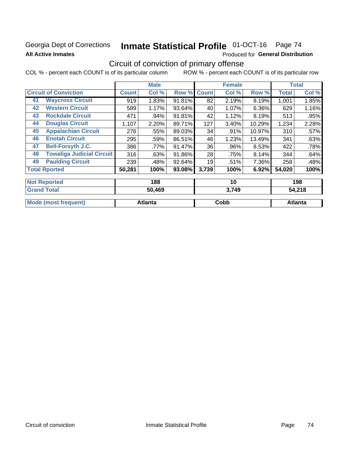## **Georgia Dept of Corrections All Active Inmates**

# Inmate Statistical Profile 01-OCT-16 Page 74

Produced for General Distribution

# Circuit of conviction of primary offense

COL % - percent each COUNT is of its particular column ROW % - percent each COUNT is of its particular row

|    |                                  |              | <b>Male</b> |        |              | <b>Female</b> |        |              | <b>Total</b> |
|----|----------------------------------|--------------|-------------|--------|--------------|---------------|--------|--------------|--------------|
|    | <b>Circuit of Conviction</b>     | <b>Count</b> | Col %       | Row %  | <b>Count</b> | Col %         | Row %  | <b>Total</b> | Col %        |
| 41 | <b>Waycross Circuit</b>          | 919          | 1.83%       | 91.81% | 82           | 2.19%         | 8.19%  | 1,001        | 1.85%        |
| 42 | <b>Western Circuit</b>           | 589          | 1.17%       | 93.64% | 40           | 1.07%         | 6.36%  | 629          | 1.16%        |
| 43 | <b>Rockdale Circuit</b>          | 471          | .94%        | 91.81% | 42           | 1.12%         | 8.19%  | 513          | .95%         |
| 44 | <b>Douglas Circuit</b>           | 1,107        | 2.20%       | 89.71% | 127          | 3.40%         | 10.29% | 1,234        | 2.28%        |
| 45 | <b>Appalachian Circuit</b>       | 276          | .55%        | 89.03% | 34           | $.91\%$       | 10.97% | 310          | $.57\%$      |
| 46 | <b>Enotah Circuit</b>            | 295          | .59%        | 86.51% | 46           | 1.23%         | 13.49% | 341          | .63%         |
| 47 | <b>Bell-Forsyth J.C.</b>         | 386          | .77%        | 91.47% | 36           | .96%          | 8.53%  | 422          | .78%         |
| 48 | <b>Towaliga Judicial Circuit</b> | 316          | .63%        | 91.86% | 28           | .75%          | 8.14%  | 344          | .64%         |
| 49 | <b>Paulding Circuit</b>          | 239          | .48%        | 92.64% | 19           | .51%          | 7.36%  | 258          | .48%         |
|    | <b>Total Rported</b>             | 50,281       | 100%        | 93.08% | 3,739        | 100%          | 6.92%  | 54,020       | 100%         |
|    | <b>Net Deneman</b>               |              | $\sqrt{2}$  |        |              | 4 A           |        |              | $\sqrt{2}$   |

| $\blacksquare$       | טטו            | יי    | טע ו           |
|----------------------|----------------|-------|----------------|
| <b>Grand Total</b>   | 50,469         | 3,749 | 54,218         |
|                      |                |       |                |
| Mode (most frequent) | <b>Atlanta</b> | Cobb  | <b>Atlanta</b> |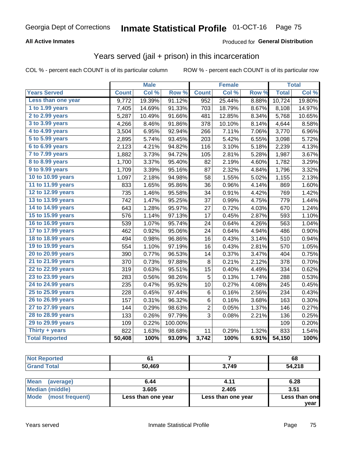#### **All Active Inmates**

### Produced for **General Distribution**

## Years served (jail + prison) in this incarceration

|                        |              | <b>Male</b> |         |                | <b>Female</b> |       |              | <b>Total</b> |
|------------------------|--------------|-------------|---------|----------------|---------------|-------|--------------|--------------|
| <b>Years Served</b>    | <b>Count</b> | Col %       | Row %   | <b>Count</b>   | Col %         | Row % | <b>Total</b> | Col %        |
| Less than one year     | 9,772        | 19.39%      | 91.12%  | 952            | 25.44%        | 8.88% | 10,724       | 19.80%       |
| 1 to 1.99 years        | 7,405        | 14.69%      | 91.33%  | 703            | 18.79%        | 8.67% | 8,108        | 14.97%       |
| 2 to 2.99 years        | 5,287        | 10.49%      | 91.66%  | 481            | 12.85%        | 8.34% | 5,768        | 10.65%       |
| 3 to 3.99 years        | 4,266        | 8.46%       | 91.86%  | 378            | 10.10%        | 8.14% | 4,644        | 8.58%        |
| 4 to 4.99 years        | 3,504        | 6.95%       | 92.94%  | 266            | 7.11%         | 7.06% | 3,770        | 6.96%        |
| 5 to 5.99 years        | 2,895        | 5.74%       | 93.45%  | 203            | 5.42%         | 6.55% | 3,098        | 5.72%        |
| 6 to 6.99 years        | 2,123        | 4.21%       | 94.82%  | 116            | 3.10%         | 5.18% | 2,239        | 4.13%        |
| 7 to 7.99 years        | 1,882        | 3.73%       | 94.72%  | 105            | 2.81%         | 5.28% | 1,987        | 3.67%        |
| <b>8 to 8.99 years</b> | 1,700        | 3.37%       | 95.40%  | 82             | 2.19%         | 4.60% | 1,782        | 3.29%        |
| 9 to 9.99 years        | 1,709        | 3.39%       | 95.16%  | 87             | 2.32%         | 4.84% | 1,796        | 3.32%        |
| 10 to 10.99 years      | 1,097        | 2.18%       | 94.98%  | 58             | 1.55%         | 5.02% | 1,155        | 2.13%        |
| 11 to 11.99 years      | 833          | 1.65%       | 95.86%  | 36             | 0.96%         | 4.14% | 869          | 1.60%        |
| 12 to 12.99 years      | 735          | 1.46%       | 95.58%  | 34             | 0.91%         | 4.42% | 769          | 1.42%        |
| 13 to 13.99 years      | 742          | 1.47%       | 95.25%  | 37             | 0.99%         | 4.75% | 779          | 1.44%        |
| 14 to 14.99 years      | 643          | 1.28%       | 95.97%  | 27             | 0.72%         | 4.03% | 670          | 1.24%        |
| 15 to 15.99 years      | 576          | 1.14%       | 97.13%  | 17             | 0.45%         | 2.87% | 593          | 1.10%        |
| 16 to 16.99 years      | 539          | 1.07%       | 95.74%  | 24             | 0.64%         | 4.26% | 563          | 1.04%        |
| 17 to 17.99 years      | 462          | 0.92%       | 95.06%  | 24             | 0.64%         | 4.94% | 486          | 0.90%        |
| 18 to 18.99 years      | 494          | 0.98%       | 96.86%  | 16             | 0.43%         | 3.14% | 510          | 0.94%        |
| 19 to 19.99 years      | 554          | 1.10%       | 97.19%  | 16             | 0.43%         | 2.81% | 570          | 1.05%        |
| 20 to 20.99 years      | 390          | 0.77%       | 96.53%  | 14             | 0.37%         | 3.47% | 404          | 0.75%        |
| 21 to 21.99 years      | 370          | 0.73%       | 97.88%  | 8              | 0.21%         | 2.12% | 378          | 0.70%        |
| 22 to 22.99 years      | 319          | 0.63%       | 95.51%  | 15             | 0.40%         | 4.49% | 334          | 0.62%        |
| 23 to 23.99 years      | 283          | 0.56%       | 98.26%  | 5              | 0.13%         | 1.74% | 288          | 0.53%        |
| 24 to 24.99 years      | 235          | 0.47%       | 95.92%  | 10             | 0.27%         | 4.08% | 245          | 0.45%        |
| 25 to 25.99 years      | 228          | 0.45%       | 97.44%  | 6              | 0.16%         | 2.56% | 234          | 0.43%        |
| 26 to 26.99 years      | 157          | 0.31%       | 96.32%  | 6              | 0.16%         | 3.68% | 163          | 0.30%        |
| 27 to 27.99 years      | 144          | 0.29%       | 98.63%  | $\overline{c}$ | 0.05%         | 1.37% | 146          | 0.27%        |
| 28 to 28.99 years      | 133          | 0.26%       | 97.79%  | 3              | 0.08%         | 2.21% | 136          | 0.25%        |
| 29 to 29.99 years      | 109          | 0.22%       | 100.00% |                |               |       | 109          | 0.20%        |
| Thirty + years         | 822          | 1.63%       | 98.68%  | 11             | 0.29%         | 1.32% | 833          | 1.54%        |
| <b>Total Reported</b>  | 50,408       | 100%        | 93.09%  | 3,742          | 100%          | 6.91% | 54,150       | 100%         |

| тео |      |      | 68      |
|-----|------|------|---------|
|     | .469 | 3749 | 1.210   |
|     | 50   | - 7  | 4,Z I O |

| <b>Mean</b><br>(average) | 6.44               | 4.11               | 6.28          |
|--------------------------|--------------------|--------------------|---------------|
| Median (middle)          | 3.605              | 2.405              | 3.51          |
| Mode (most frequent)     | Less than one year | Less than one year | Less than one |
|                          |                    |                    | vear          |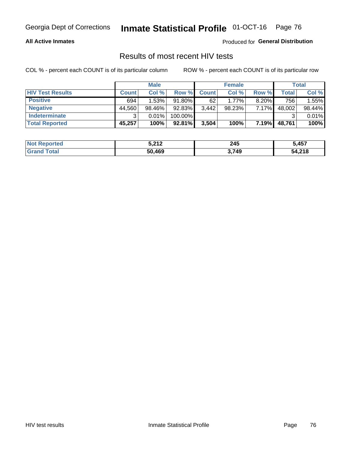#### **All Active Inmates**

Produced for **General Distribution**

### Results of most recent HIV tests

|                         |              | <b>Male</b> |           |              | <b>Female</b> |          |        | Total  |
|-------------------------|--------------|-------------|-----------|--------------|---------------|----------|--------|--------|
| <b>HIV Test Results</b> | <b>Count</b> | Col %       | Row %I    | <b>Count</b> | Col %         | Row %    | Total  | Col %  |
| <b>Positive</b>         | 694          | 1.53%       | 91.80%    | 62           | $1.77\%$      | $8.20\%$ | 756    | 1.55%  |
| <b>Negative</b>         | 44,560       | 98.46%      | 92.83%    | 3,442        | 98.23%        | 7.17%    | 48,002 | 98.44% |
| <b>Indeterminate</b>    | 2            | 0.01%       | 100.00%   |              |               |          |        | 0.01%  |
| <b>Total Reported</b>   | 45,257       | 100%        | $92.81\%$ | 3,504        | 100%          | 7.19%    | 48,761 | 100%   |

| <b>Not Reported</b> | 5,212  | 245   | 5,457  |
|---------------------|--------|-------|--------|
| Total<br>Gran       | 50,469 | 3,749 | 54,218 |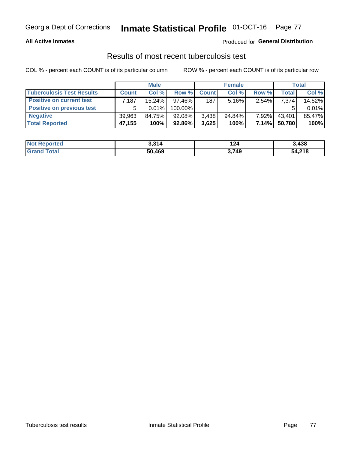#### **All Active Inmates**

#### Produced for **General Distribution**

### Results of most recent tuberculosis test

|                                  | <b>Male</b>  |           | <b>Female</b> |              |           | Total    |              |        |
|----------------------------------|--------------|-----------|---------------|--------------|-----------|----------|--------------|--------|
| <b>Tuberculosis Test Results</b> | <b>Count</b> | Col%      | Row %         | <b>Count</b> | Col %     | Row %    | <b>Total</b> | Col %  |
| <b>Positive on current test</b>  | .187         | $15.24\%$ | $97.46\%$     | 187          | $5.16\%$  | $2.54\%$ | 7,374        | 14.52% |
| <b>Positive on previous test</b> | 5            | $0.01\%$  | 100.00%       |              |           |          |              | 0.01%  |
| <b>Negative</b>                  | 39,963       | 84.75%    | 92.08%        | 3,438        | $94.84\%$ | $7.92\%$ | 43,401       | 85.47% |
| <b>Total Reported</b>            | 47,155       | 100%      | 92.86%        | 3,625        | 100%      | 7.14%    | 50,780       | 100%   |

| <b>Not Reported</b>          | 3,314  | 24ء   | 3,438  |
|------------------------------|--------|-------|--------|
| <b>Total</b><br><b>Grand</b> | 50,469 | 3,749 | 54,218 |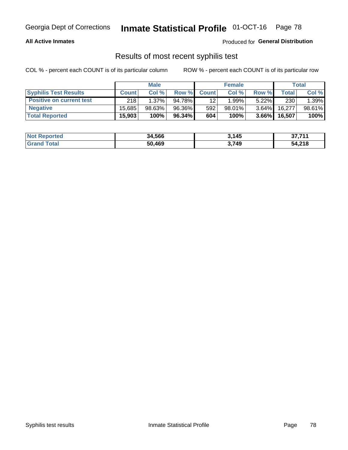#### **All Active Inmates**

Produced for **General Distribution**

### Results of most recent syphilis test

|                                 | <b>Male</b>  |           |        | <b>Female</b> |           |          | Total   |        |
|---------------------------------|--------------|-----------|--------|---------------|-----------|----------|---------|--------|
| <b>Syphilis Test Results</b>    | <b>Count</b> | Col%      | Row %  | <b>Count</b>  | Col %     | Row %    | Total I | Col %  |
| <b>Positive on current test</b> | 218          | $1.37\%$  | 94.78% | 12            | 1.99%」    | $5.22\%$ | 230     | 1.39%  |
| <b>Negative</b>                 | 15.685       | $98.63\%$ | 96.36% | 592           | $98.01\%$ | $3.64\%$ | 16.277  | 98.61% |
| <b>Total Reported</b>           | 15,903       | 100%      | 96.34% | 604           | 100%      | $3.66\%$ | 16,507  | 100%   |

| <b>Not Reported</b> | 34,566 | 3,145 | 37,711 |
|---------------------|--------|-------|--------|
| <b>Grand Total</b>  | 50,469 | 3,749 | 54,218 |